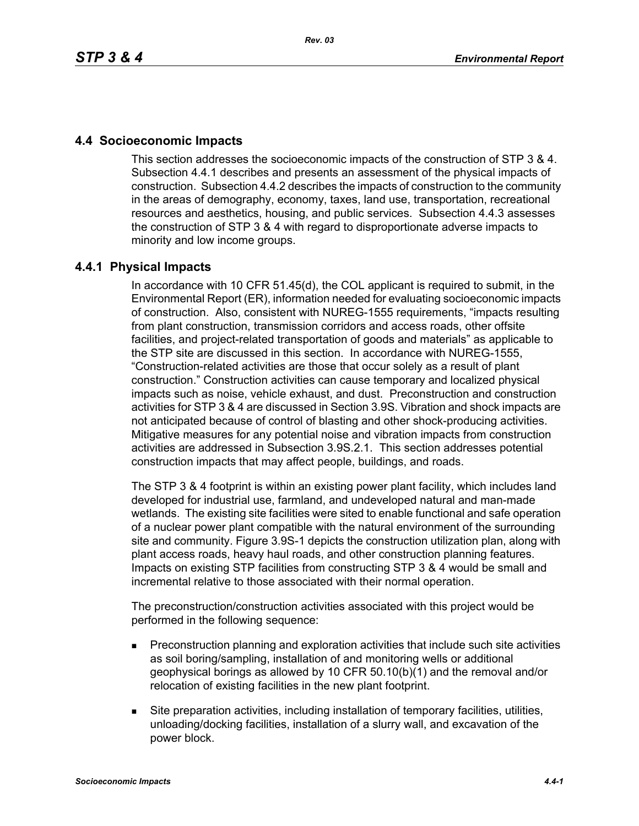## **4.4 Socioeconomic Impacts**

This section addresses the socioeconomic impacts of the construction of STP 3 & 4. Subsection 4.4.1 describes and presents an assessment of the physical impacts of construction. Subsection 4.4.2 describes the impacts of construction to the community in the areas of demography, economy, taxes, land use, transportation, recreational resources and aesthetics, housing, and public services. Subsection 4.4.3 assesses the construction of STP 3 & 4 with regard to disproportionate adverse impacts to minority and low income groups.

## **4.4.1 Physical Impacts**

In accordance with 10 CFR 51.45(d), the COL applicant is required to submit, in the Environmental Report (ER), information needed for evaluating socioeconomic impacts of construction. Also, consistent with NUREG-1555 requirements, "impacts resulting from plant construction, transmission corridors and access roads, other offsite facilities, and project-related transportation of goods and materials" as applicable to the STP site are discussed in this section. In accordance with NUREG-1555, "Construction-related activities are those that occur solely as a result of plant construction." Construction activities can cause temporary and localized physical impacts such as noise, vehicle exhaust, and dust. Preconstruction and construction activities for STP 3 & 4 are discussed in Section 3.9S. Vibration and shock impacts are not anticipated because of control of blasting and other shock-producing activities. Mitigative measures for any potential noise and vibration impacts from construction activities are addressed in Subsection 3.9S.2.1. This section addresses potential construction impacts that may affect people, buildings, and roads.

The STP 3 & 4 footprint is within an existing power plant facility, which includes land developed for industrial use, farmland, and undeveloped natural and man-made wetlands. The existing site facilities were sited to enable functional and safe operation of a nuclear power plant compatible with the natural environment of the surrounding site and community. Figure 3.9S-1 depicts the construction utilization plan, along with plant access roads, heavy haul roads, and other construction planning features. Impacts on existing STP facilities from constructing STP 3 & 4 would be small and incremental relative to those associated with their normal operation.

The preconstruction/construction activities associated with this project would be performed in the following sequence:

- **Preconstruction planning and exploration activities that include such site activities** as soil boring/sampling, installation of and monitoring wells or additional geophysical borings as allowed by 10 CFR 50.10(b)(1) and the removal and/or relocation of existing facilities in the new plant footprint.
- Site preparation activities, including installation of temporary facilities, utilities, unloading/docking facilities, installation of a slurry wall, and excavation of the power block.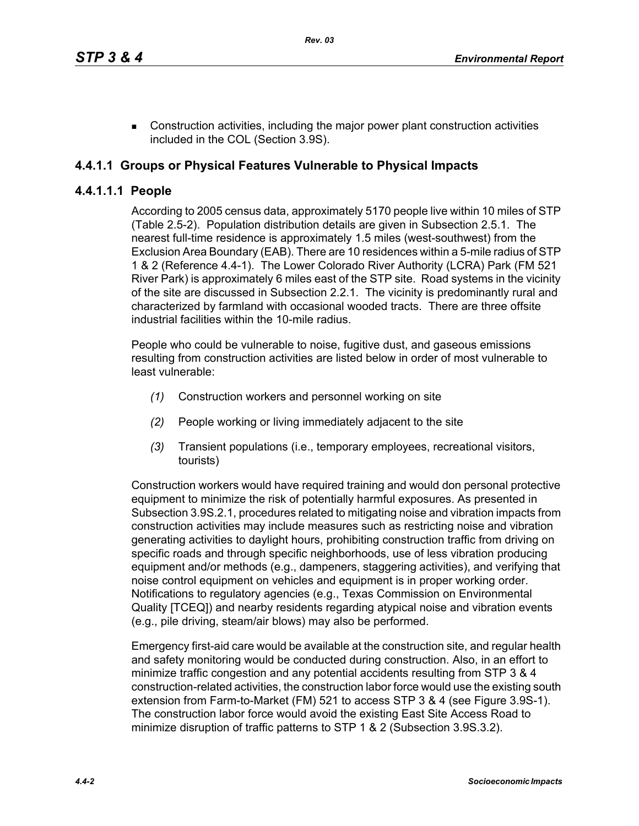■ Construction activities, including the major power plant construction activities included in the COL (Section 3.9S).

## **4.4.1.1 Groups or Physical Features Vulnerable to Physical Impacts**

## **4.4.1.1.1 People**

According to 2005 census data, approximately 5170 people live within 10 miles of STP (Table 2.5-2). Population distribution details are given in Subsection 2.5.1. The nearest full-time residence is approximately 1.5 miles (west-southwest) from the Exclusion Area Boundary (EAB). There are 10 residences within a 5-mile radius of STP 1 & 2 (Reference 4.4-1). The Lower Colorado River Authority (LCRA) Park (FM 521 River Park) is approximately 6 miles east of the STP site. Road systems in the vicinity of the site are discussed in Subsection 2.2.1. The vicinity is predominantly rural and characterized by farmland with occasional wooded tracts. There are three offsite industrial facilities within the 10-mile radius.

People who could be vulnerable to noise, fugitive dust, and gaseous emissions resulting from construction activities are listed below in order of most vulnerable to least vulnerable:

- *(1)* Construction workers and personnel working on site
- *(2)* People working or living immediately adjacent to the site
- *(3)* Transient populations (i.e., temporary employees, recreational visitors, tourists)

Construction workers would have required training and would don personal protective equipment to minimize the risk of potentially harmful exposures. As presented in Subsection 3.9S.2.1, procedures related to mitigating noise and vibration impacts from construction activities may include measures such as restricting noise and vibration generating activities to daylight hours, prohibiting construction traffic from driving on specific roads and through specific neighborhoods, use of less vibration producing equipment and/or methods (e.g., dampeners, staggering activities), and verifying that noise control equipment on vehicles and equipment is in proper working order. Notifications to regulatory agencies (e.g., Texas Commission on Environmental Quality [TCEQ]) and nearby residents regarding atypical noise and vibration events (e.g., pile driving, steam/air blows) may also be performed.

Emergency first-aid care would be available at the construction site, and regular health and safety monitoring would be conducted during construction. Also, in an effort to minimize traffic congestion and any potential accidents resulting from STP 3 & 4 construction-related activities, the construction labor force would use the existing south extension from Farm-to-Market (FM) 521 to access STP 3 & 4 (see Figure 3.9S-1). The construction labor force would avoid the existing East Site Access Road to minimize disruption of traffic patterns to STP 1 & 2 (Subsection 3.9S.3.2).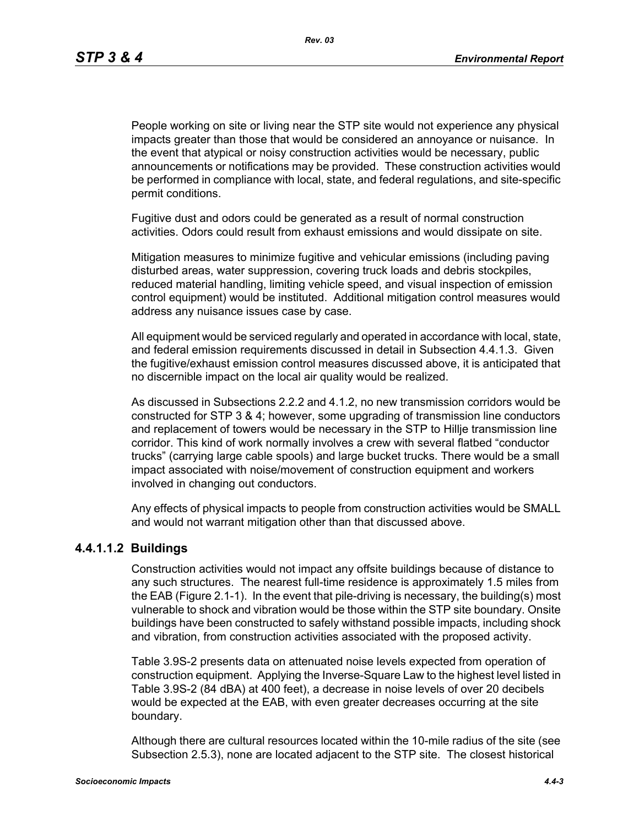People working on site or living near the STP site would not experience any physical impacts greater than those that would be considered an annoyance or nuisance. In the event that atypical or noisy construction activities would be necessary, public announcements or notifications may be provided. These construction activities would be performed in compliance with local, state, and federal regulations, and site-specific permit conditions.

Fugitive dust and odors could be generated as a result of normal construction activities. Odors could result from exhaust emissions and would dissipate on site.

Mitigation measures to minimize fugitive and vehicular emissions (including paving disturbed areas, water suppression, covering truck loads and debris stockpiles, reduced material handling, limiting vehicle speed, and visual inspection of emission control equipment) would be instituted. Additional mitigation control measures would address any nuisance issues case by case.

All equipment would be serviced regularly and operated in accordance with local, state, and federal emission requirements discussed in detail in Subsection 4.4.1.3. Given the fugitive/exhaust emission control measures discussed above, it is anticipated that no discernible impact on the local air quality would be realized.

As discussed in Subsections 2.2.2 and 4.1.2, no new transmission corridors would be constructed for STP 3 & 4; however, some upgrading of transmission line conductors and replacement of towers would be necessary in the STP to Hillje transmission line corridor. This kind of work normally involves a crew with several flatbed "conductor trucks" (carrying large cable spools) and large bucket trucks. There would be a small impact associated with noise/movement of construction equipment and workers involved in changing out conductors.

Any effects of physical impacts to people from construction activities would be SMALL and would not warrant mitigation other than that discussed above.

#### **4.4.1.1.2 Buildings**

Construction activities would not impact any offsite buildings because of distance to any such structures. The nearest full-time residence is approximately 1.5 miles from the EAB (Figure 2.1-1). In the event that pile-driving is necessary, the building(s) most vulnerable to shock and vibration would be those within the STP site boundary. Onsite buildings have been constructed to safely withstand possible impacts, including shock and vibration, from construction activities associated with the proposed activity.

Table 3.9S-2 presents data on attenuated noise levels expected from operation of construction equipment. Applying the Inverse-Square Law to the highest level listed in Table 3.9S-2 (84 dBA) at 400 feet), a decrease in noise levels of over 20 decibels would be expected at the EAB, with even greater decreases occurring at the site boundary.

Although there are cultural resources located within the 10-mile radius of the site (see Subsection 2.5.3), none are located adjacent to the STP site. The closest historical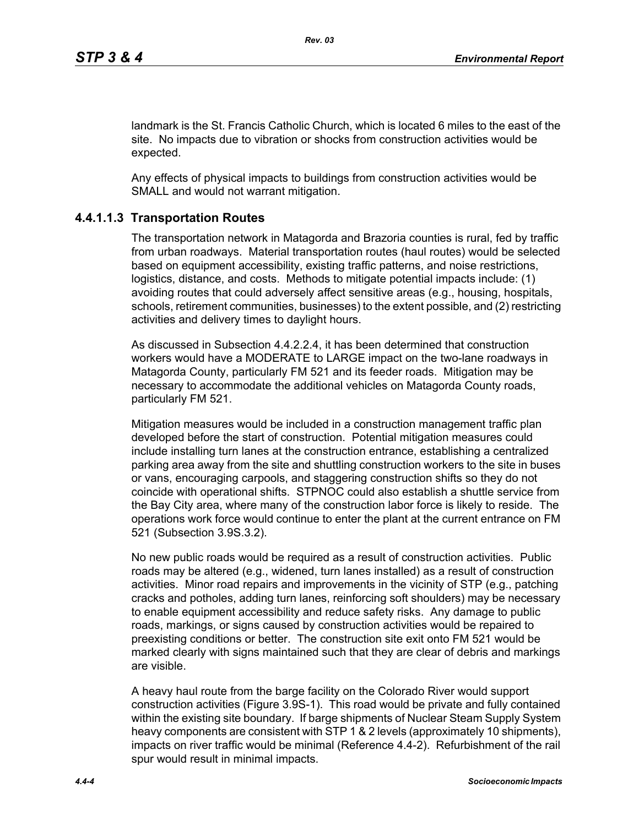landmark is the St. Francis Catholic Church, which is located 6 miles to the east of the site. No impacts due to vibration or shocks from construction activities would be expected.

Any effects of physical impacts to buildings from construction activities would be SMALL and would not warrant mitigation.

## **4.4.1.1.3 Transportation Routes**

The transportation network in Matagorda and Brazoria counties is rural, fed by traffic from urban roadways. Material transportation routes (haul routes) would be selected based on equipment accessibility, existing traffic patterns, and noise restrictions, logistics, distance, and costs. Methods to mitigate potential impacts include: (1) avoiding routes that could adversely affect sensitive areas (e.g., housing, hospitals, schools, retirement communities, businesses) to the extent possible, and (2) restricting activities and delivery times to daylight hours.

As discussed in Subsection 4.4.2.2.4, it has been determined that construction workers would have a MODERATE to LARGE impact on the two-lane roadways in Matagorda County, particularly FM 521 and its feeder roads. Mitigation may be necessary to accommodate the additional vehicles on Matagorda County roads, particularly FM 521.

Mitigation measures would be included in a construction management traffic plan developed before the start of construction. Potential mitigation measures could include installing turn lanes at the construction entrance, establishing a centralized parking area away from the site and shuttling construction workers to the site in buses or vans, encouraging carpools, and staggering construction shifts so they do not coincide with operational shifts. STPNOC could also establish a shuttle service from the Bay City area, where many of the construction labor force is likely to reside. The operations work force would continue to enter the plant at the current entrance on FM 521 (Subsection 3.9S.3.2).

No new public roads would be required as a result of construction activities. Public roads may be altered (e.g., widened, turn lanes installed) as a result of construction activities. Minor road repairs and improvements in the vicinity of STP (e.g., patching cracks and potholes, adding turn lanes, reinforcing soft shoulders) may be necessary to enable equipment accessibility and reduce safety risks. Any damage to public roads, markings, or signs caused by construction activities would be repaired to preexisting conditions or better. The construction site exit onto FM 521 would be marked clearly with signs maintained such that they are clear of debris and markings are visible.

A heavy haul route from the barge facility on the Colorado River would support construction activities (Figure 3.9S-1). This road would be private and fully contained within the existing site boundary. If barge shipments of Nuclear Steam Supply System heavy components are consistent with STP 1 & 2 levels (approximately 10 shipments), impacts on river traffic would be minimal (Reference 4.4-2). Refurbishment of the rail spur would result in minimal impacts.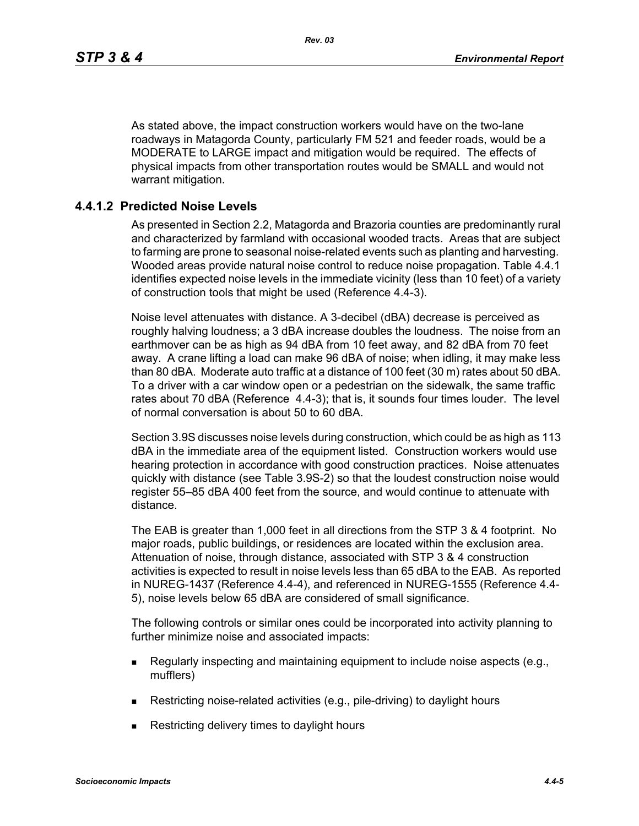As stated above, the impact construction workers would have on the two-lane roadways in Matagorda County, particularly FM 521 and feeder roads, would be a MODERATE to LARGE impact and mitigation would be required. The effects of physical impacts from other transportation routes would be SMALL and would not warrant mitigation.

## **4.4.1.2 Predicted Noise Levels**

As presented in Section 2.2, Matagorda and Brazoria counties are predominantly rural and characterized by farmland with occasional wooded tracts. Areas that are subject to farming are prone to seasonal noise-related events such as planting and harvesting. Wooded areas provide natural noise control to reduce noise propagation. Table 4.4.1 identifies expected noise levels in the immediate vicinity (less than 10 feet) of a variety of construction tools that might be used (Reference 4.4-3).

Noise level attenuates with distance. A 3-decibel (dBA) decrease is perceived as roughly halving loudness; a 3 dBA increase doubles the loudness. The noise from an earthmover can be as high as 94 dBA from 10 feet away, and 82 dBA from 70 feet away. A crane lifting a load can make 96 dBA of noise; when idling, it may make less than 80 dBA. Moderate auto traffic at a distance of 100 feet (30 m) rates about 50 dBA. To a driver with a car window open or a pedestrian on the sidewalk, the same traffic rates about 70 dBA (Reference 4.4-3); that is, it sounds four times louder. The level of normal conversation is about 50 to 60 dBA.

Section 3.9S discusses noise levels during construction, which could be as high as 113 dBA in the immediate area of the equipment listed. Construction workers would use hearing protection in accordance with good construction practices. Noise attenuates quickly with distance (see Table 3.9S-2) so that the loudest construction noise would register 55–85 dBA 400 feet from the source, and would continue to attenuate with distance.

The EAB is greater than 1,000 feet in all directions from the STP 3 & 4 footprint. No major roads, public buildings, or residences are located within the exclusion area. Attenuation of noise, through distance, associated with STP 3 & 4 construction activities is expected to result in noise levels less than 65 dBA to the EAB. As reported in NUREG-1437 (Reference 4.4-4), and referenced in NUREG-1555 (Reference 4.4- 5), noise levels below 65 dBA are considered of small significance.

The following controls or similar ones could be incorporated into activity planning to further minimize noise and associated impacts:

- Regularly inspecting and maintaining equipment to include noise aspects (e.g., mufflers)
- Restricting noise-related activities (e.g., pile-driving) to daylight hours
- **Restricting delivery times to daylight hours**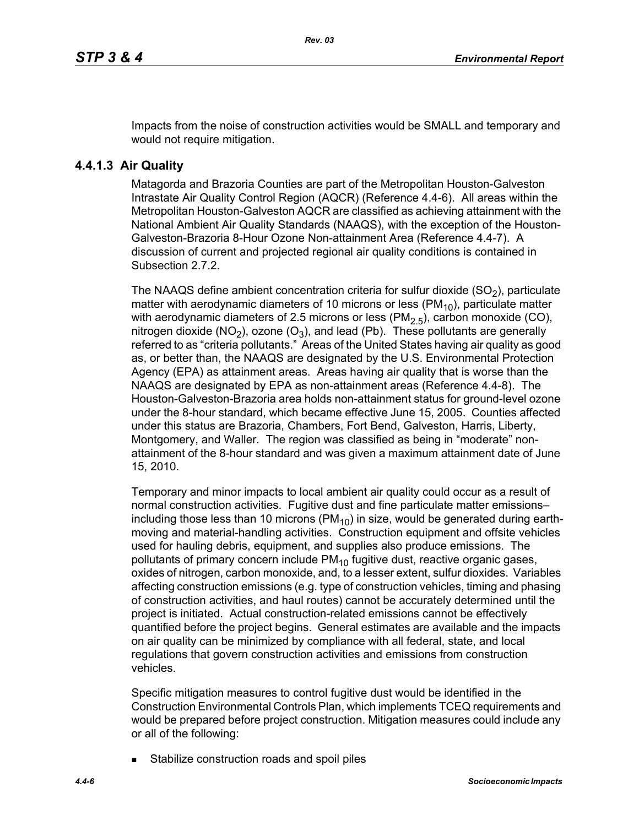Impacts from the noise of construction activities would be SMALL and temporary and would not require mitigation.

## **4.4.1.3 Air Quality**

Matagorda and Brazoria Counties are part of the Metropolitan Houston-Galveston Intrastate Air Quality Control Region (AQCR) (Reference 4.4-6). All areas within the Metropolitan Houston-Galveston AQCR are classified as achieving attainment with the National Ambient Air Quality Standards (NAAQS), with the exception of the Houston-Galveston-Brazoria 8-Hour Ozone Non-attainment Area (Reference 4.4-7). A discussion of current and projected regional air quality conditions is contained in Subsection 2.7.2.

The NAAQS define ambient concentration criteria for sulfur dioxide  $(SO<sub>2</sub>)$ , particulate matter with aerodynamic diameters of 10 microns or less ( $PM_{10}$ ), particulate matter with aerodynamic diameters of 2.5 microns or less (PM<sub>2.5</sub>), carbon monoxide (CO), nitrogen dioxide (NO<sub>2</sub>), ozone (O<sub>3</sub>), and lead (Pb). These pollutants are generally referred to as "criteria pollutants." Areas of the United States having air quality as good as, or better than, the NAAQS are designated by the U.S. Environmental Protection Agency (EPA) as attainment areas. Areas having air quality that is worse than the NAAQS are designated by EPA as non-attainment areas (Reference 4.4-8). The Houston-Galveston-Brazoria area holds non-attainment status for ground-level ozone under the 8-hour standard, which became effective June 15, 2005. Counties affected under this status are Brazoria, Chambers, Fort Bend, Galveston, Harris, Liberty, Montgomery, and Waller. The region was classified as being in "moderate" nonattainment of the 8-hour standard and was given a maximum attainment date of June 15, 2010.

Temporary and minor impacts to local ambient air quality could occur as a result of normal construction activities. Fugitive dust and fine particulate matter emissions– including those less than 10 microns ( $PM_{10}$ ) in size, would be generated during earthmoving and material-handling activities. Construction equipment and offsite vehicles used for hauling debris, equipment, and supplies also produce emissions. The pollutants of primary concern include  $PM_{10}$  fugitive dust, reactive organic gases, oxides of nitrogen, carbon monoxide, and, to a lesser extent, sulfur dioxides. Variables affecting construction emissions (e.g. type of construction vehicles, timing and phasing of construction activities, and haul routes) cannot be accurately determined until the project is initiated. Actual construction-related emissions cannot be effectively quantified before the project begins. General estimates are available and the impacts on air quality can be minimized by compliance with all federal, state, and local regulations that govern construction activities and emissions from construction vehicles.

Specific mitigation measures to control fugitive dust would be identified in the Construction Environmental Controls Plan, which implements TCEQ requirements and would be prepared before project construction. Mitigation measures could include any or all of the following:

Stabilize construction roads and spoil piles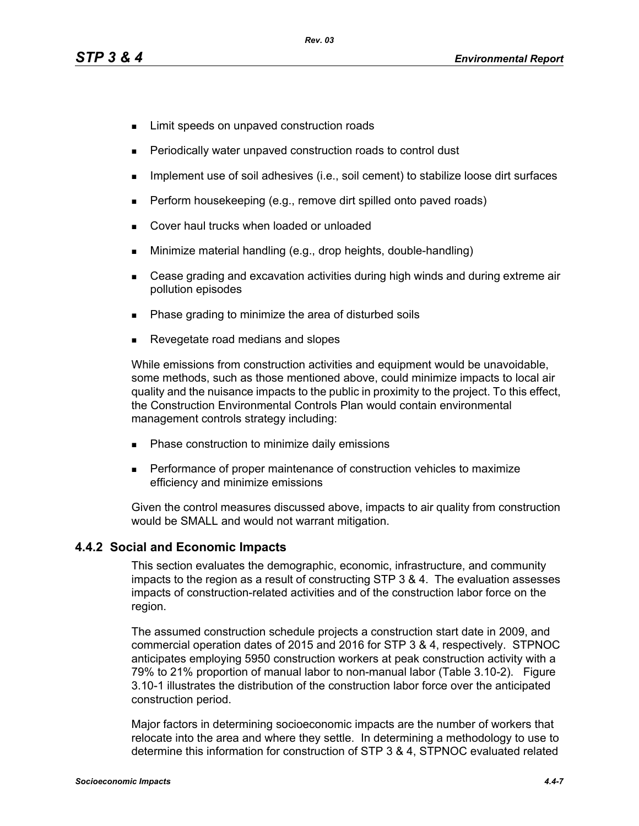- **EXECUTE:** Limit speeds on unpaved construction roads
- Periodically water unpaved construction roads to control dust
- **IMPLEMENT USE OF SOIL ADDES** (i.e., soil cement) to stabilize loose dirt surfaces
- **Perform housekeeping (e.g., remove dirt spilled onto paved roads)**
- Cover haul trucks when loaded or unloaded
- Minimize material handling (e.g., drop heights, double-handling)
- Cease grading and excavation activities during high winds and during extreme air pollution episodes
- Phase grading to minimize the area of disturbed soils
- Revegetate road medians and slopes

While emissions from construction activities and equipment would be unavoidable, some methods, such as those mentioned above, could minimize impacts to local air quality and the nuisance impacts to the public in proximity to the project. To this effect, the Construction Environmental Controls Plan would contain environmental management controls strategy including:

- **Phase construction to minimize daily emissions**
- **Performance of proper maintenance of construction vehicles to maximize** efficiency and minimize emissions

[Given the control measures discussed above, impacts to air quality from construction](http://factfinder.census.gov/)  would be SMALL and would not warrant mitigation.

## **4.4.2 Social and Economic Impacts**

This section evaluates the demographic, economic, infrastructure, and community impacts to the region as a result of constructing STP 3 & 4. The evaluation assesses impacts of construction-related activities and of the construction labor force on the region.

The assumed construction schedule projects a construction start date in 2009, and commercial operation dates of 2015 and 2016 for STP 3 & 4, respectively. STPNOC anticipates employing 5950 construction workers at peak construction activity with a 79% to 21% proportion of manual labor to non-manual labor (Table 3.10-2). Figure 3.10-1 illustrates the distribution of the construction labor force over the anticipated construction period.

[Major factors in determining socioeconomic impacts are the number of workers that](http://factfinder.census.gov/)  [relocate into the area and where they settle. In determining a methodology to use to](http://factfinder.census.gov/)  [determine this information for construction of STP 3 & 4, STPNOC evaluated related](http://factfinder.census.gov/)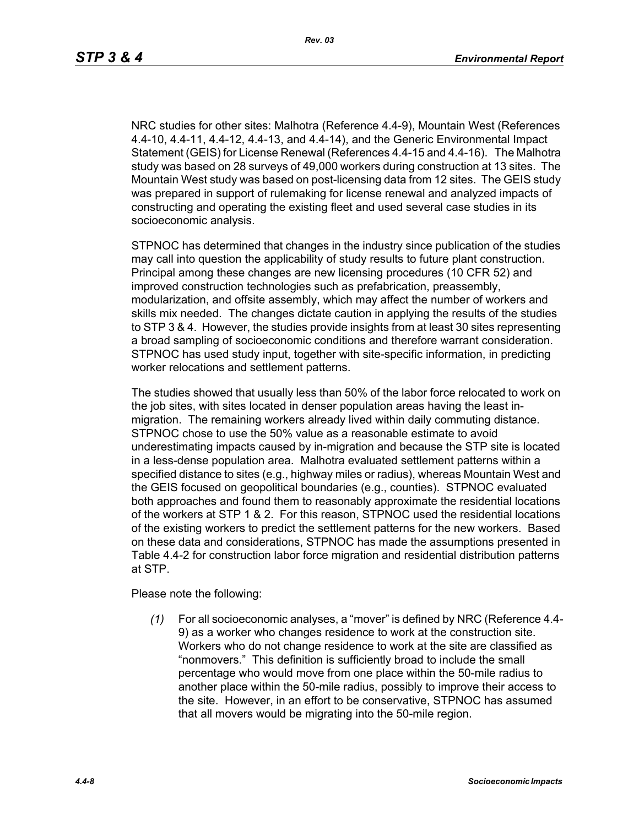NRC studies for other sites: Malhotra (Reference 4.4-9), Mountain West (References 4.4-10, 4.4-11, 4.4-12, 4.4-13, and 4.4-14), and the Generic Environmental Impact [Statement \(GEIS\) for License Renewal \(References 4.4-15 and 4.4-16\). The Malhotra](http://factfinder.census.gov/)  study was based on 28 surveys of 49,000 workers during construction at 13 sites. The Mountain West study was based on post-licensing data from 12 sites. The GEIS study was prepared in support of rulemaking for license renewal and analyzed impacts of constructing and operating the existing fleet and used several case studies in its socioeconomic analysis.

STPNOC has determined that changes in the industry since publication of the studies may call into question the applicability of study results to future plant construction. Principal among these changes are new licensing procedures (10 CFR 52) and improved construction technologies such as prefabrication, preassembly, modularization, and offsite assembly, which may affect the number of workers and skills mix needed. The changes dictate caution in applying the results of the studies to STP 3 & 4. However, the studies provide insights from at least 30 sites representing a broad sampling of socioeconomic conditions and therefore warrant consideration. STPNOC has used study input, together with site-specific information, in predicting worker relocations and settlement patterns.

The studies showed that usually less than 50% of the labor force relocated to work on the job sites, with sites located in denser population areas having the least inmigration. The remaining workers already lived within daily commuting distance. STPNOC chose to use the 50% value as a reasonable estimate to avoid underestimating impacts caused by in-migration and because the STP site is located in a less-dense population area. Malhotra evaluated settlement patterns within a specified distance to sites (e.g., highway miles or radius), whereas Mountain West and the GEIS focused on geopolitical boundaries (e.g., counties). STPNOC evaluated both approaches and found them to reasonably approximate the residential locations of the workers at STP 1 & 2. For this reason, STPNOC used the residential locations of the existing workers to predict the settlement patterns for the new workers. Based on these data and considerations, STPNOC has made the assumptions presented in Table 4.4-2 for construction labor force migration and residential distribution patterns at STP.

Please note the following:

*(1)* For all socioeconomic analyses, a "mover" is defined by NRC (Reference 4.4- 9) as a worker who changes residence to work at the construction site. Workers who do not change residence to work at the site are classified as "nonmovers." This definition is sufficiently broad to include the small percentage who would move from one place within the 50-mile radius to another place within the 50-mile radius, possibly to improve their access to the site. However, in an effort to be conservative, STPNOC has assumed that all movers would be migrating into the 50-mile region.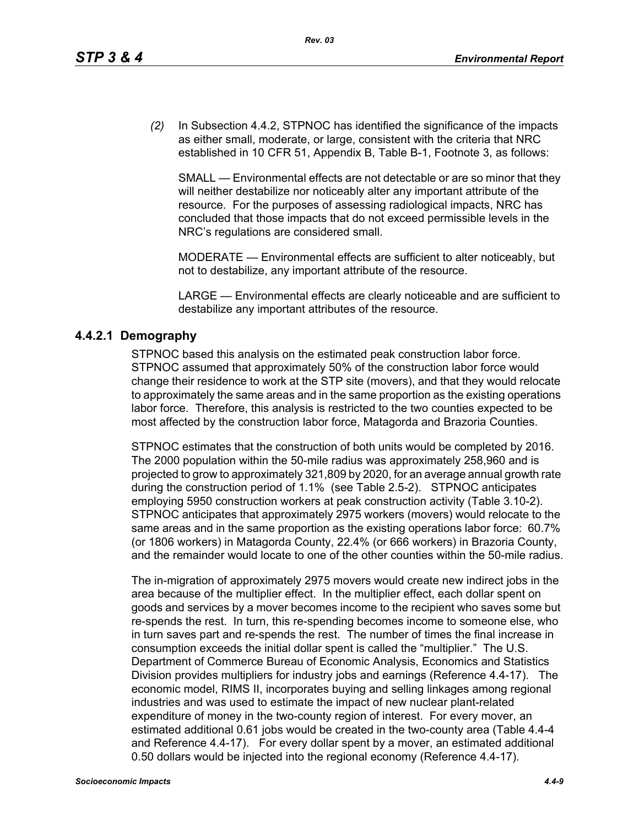*(2)* In Subsection 4.4.2, STPNOC has identified the significance of the impacts as either small, moderate, or large, consistent with the criteria that NRC established in 10 CFR 51, Appendix B, Table B-1, Footnote 3, as follows:

SMALL — Environmental effects are not detectable or are so minor that they will neither destabilize nor noticeably alter any important attribute of the resource. For the purposes of assessing radiological impacts, NRC has concluded that those impacts that do not exceed permissible levels in the NRC's regulations are considered small.

MODERATE — Environmental effects are sufficient to alter noticeably, but not to destabilize, any important attribute of the resource.

LARGE — Environmental effects are clearly noticeable and are sufficient to destabilize any important attributes of the resource.

## **4.4.2.1 Demography**

STPNOC based this analysis on the estimated peak construction labor force. STPNOC assumed that approximately 50% of the construction labor force would change their residence to work at the STP site (movers), and that they would relocate to approximately the same areas and in the same proportion as the existing operations labor force. Therefore, this analysis is restricted to the two counties expected to be most affected by the construction labor force, Matagorda and Brazoria Counties.

STPNOC estimates that the construction of both units would be completed by 2016. The 2000 population within the 50-mile radius was approximately 258,960 and is projected to grow to approximately 321,809 by 2020, for an average annual growth rate during the construction period of 1.1% (see Table 2.5-2). STPNOC anticipates employing 5950 construction workers at peak construction activity (Table 3.10-2). STPNOC anticipates that approximately 2975 workers (movers) would relocate to the same areas and in the same proportion as the existing operations labor force: 60.7% (or 1806 workers) in Matagorda County, 22.4% (or 666 workers) in Brazoria County, and the remainder would locate to one of the other counties within the 50-mile radius.

The in-migration of approximately 2975 movers would create new indirect jobs in the area because of the multiplier effect. In the multiplier effect, each dollar spent on goods and services by a mover becomes income to the recipient who saves some but re-spends the rest. In turn, this re-spending becomes income to someone else, who in turn saves part and re-spends the rest. The number of times the final increase in consumption exceeds the initial dollar spent is called the "multiplier." The U.S. Department of Commerce Bureau of Economic Analysis, Economics and Statistics Division provides multipliers for industry jobs and earnings (Reference 4.4-17). The economic model, RIMS II, incorporates buying and selling linkages among regional industries and was used to estimate the impact of new nuclear plant-related expenditure of money in the two-county region of interest. For every mover, an estimated additional 0.61 jobs would be created in the two-county area (Table 4.4-4 and Reference 4.4-17). For every dollar spent by a mover, an estimated additional 0.50 dollars would be injected into the regional economy (Reference 4.4-17).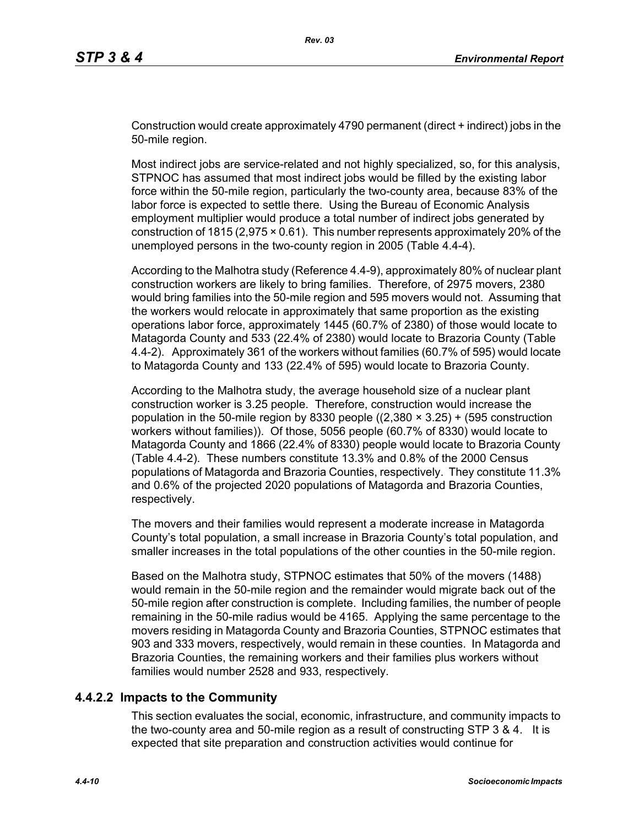Construction would create approximately 4790 permanent (direct + indirect) jobs in the 50-mile region.

Most indirect jobs are service-related and not highly specialized, so, for this analysis, STPNOC has assumed that most indirect jobs would be filled by the existing labor force within the 50-mile region, particularly the two-county area, because 83% of the labor force is expected to settle there. Using the Bureau of Economic Analysis employment multiplier would produce a total number of indirect jobs generated by construction of 1815 (2,975 × 0.61). This number represents approximately 20% of the unemployed persons in the two-county region in 2005 (Table 4.4-4).

According to the Malhotra study (Reference 4.4-9), approximately 80% of nuclear plant construction workers are likely to bring families. Therefore, of 2975 movers, 2380 would bring families into the 50-mile region and 595 movers would not. Assuming that the workers would relocate in approximately that same proportion as the existing operations labor force, approximately 1445 (60.7% of 2380) of those would locate to Matagorda County and 533 (22.4% of 2380) would locate to Brazoria County (Table 4.4-2). Approximately 361 of the workers without families (60.7% of 595) would locate to Matagorda County and 133 (22.4% of 595) would locate to Brazoria County.

According to the Malhotra study, the average household size of a nuclear plant construction worker is 3.25 people. Therefore, construction would increase the population in the 50-mile region by 8330 people  $((2,380 \times 3.25) + (595$  construction workers without families)). Of those, 5056 people (60.7% of 8330) would locate to Matagorda County and 1866 (22.4% of 8330) people would locate to Brazoria County (Table 4.4-2). These numbers constitute 13.3% and 0.8% of the 2000 Census populations of Matagorda and Brazoria Counties, respectively. They constitute 11.3% and 0.6% of the projected 2020 populations of Matagorda and Brazoria Counties, respectively.

The movers and their families would represent a moderate increase in Matagorda County's total population, a small increase in Brazoria County's total population, and smaller increases in the total populations of the other counties in the 50-mile region.

Based on the Malhotra study, STPNOC estimates that 50% of the movers (1488) would remain in the 50-mile region and the remainder would migrate back out of the 50-mile region after construction is complete. Including families, the number of people remaining in the 50-mile radius would be 4165. Applying the same percentage to the movers residing in Matagorda County and Brazoria Counties, STPNOC estimates that 903 and 333 movers, respectively, would remain in these counties. In Matagorda and Brazoria Counties, the remaining workers and their families plus workers without families would number 2528 and 933, respectively.

## **4.4.2.2 Impacts to the Community**

This section evaluates the social, economic, infrastructure, and community impacts to the two-county area and 50-mile region as a result of constructing STP 3 & 4. It is expected that site preparation and construction activities would continue for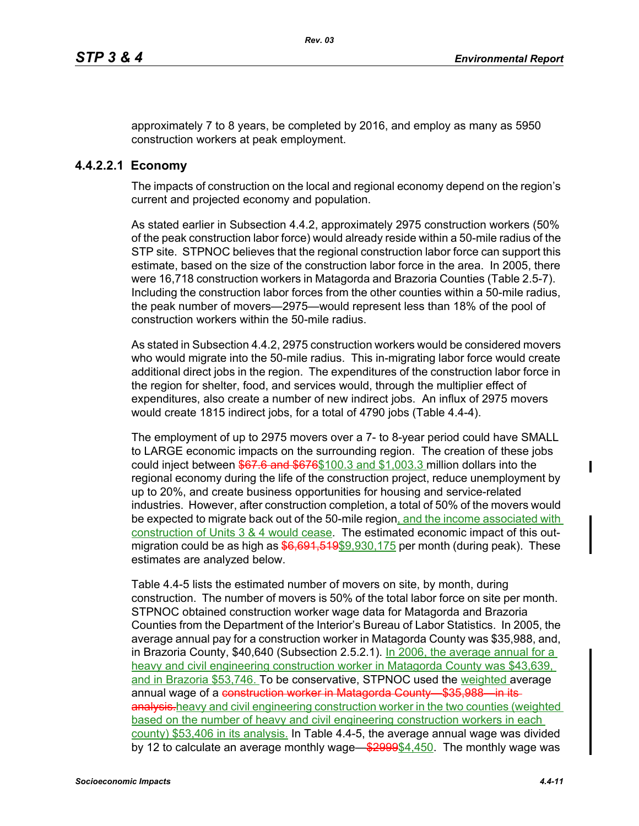approximately 7 to 8 years, be completed by 2016, and employ as many as 5950 construction workers at peak employment.

## **4.4.2.2.1 Economy**

The impacts of construction on the local and regional economy depend on the region's current and projected economy and population.

As stated earlier in Subsection 4.4.2, approximately 2975 construction workers (50% of the peak construction labor force) would already reside within a 50-mile radius of the STP site. STPNOC believes that the regional construction labor force can support this estimate, based on the size of the construction labor force in the area. In 2005, there were 16,718 construction workers in Matagorda and Brazoria Counties (Table 2.5-7). Including the construction labor forces from the other counties within a 50-mile radius, the peak number of movers—2975—would represent less than 18% of the pool of construction workers within the 50-mile radius.

As stated in Subsection 4.4.2, 2975 construction workers would be considered movers who would migrate into the 50-mile radius. This in-migrating labor force would create additional direct jobs in the region. The expenditures of the construction labor force in the region for shelter, food, and services would, through the multiplier effect of expenditures, also create a number of new indirect jobs. An influx of 2975 movers would create 1815 indirect jobs, for a total of 4790 jobs (Table 4.4-4).

The employment of up to 2975 movers over a 7- to 8-year period could have SMALL to LARGE economic impacts on the surrounding region. The creation of these jobs could inject between \$67.6 and \$676\$100.3 and \$1,003.3 million dollars into the regional economy during the life of the construction project, reduce unemployment by up to 20%, and create business opportunities for housing and service-related industries. However, after construction completion, a total of 50% of the movers would be expected to migrate back out of the 50-mile region, and the income associated with construction of Units 3 & 4 would cease. The estimated economic impact of this outmigration could be as high as  $$6,691,519$ \$9,930,175 per month (during peak). These estimates are analyzed below.

Table 4.4-5 lists the estimated number of movers on site, by month, during construction. The number of movers is 50% of the total labor force on site per month. STPNOC obtained construction worker wage data for Matagorda and Brazoria Counties from the Department of the Interior's Bureau of Labor Statistics. In 2005, the average annual pay for a construction worker in Matagorda County was \$35,988, and, in Brazoria County, \$40,640 (Subsection 2.5.2.1). In 2006, the average annual for a heavy and civil engineering construction worker in Matagorda County was \$43,639, and in Brazoria \$53,746. To be conservative, STPNOC used the weighted average annual wage of a construction worker in Matagorda County—\$35,988—in itsanalysis.heavy and civil engineering construction worker in the two counties (weighted based on the number of heavy and civil engineering construction workers in each county) \$53,406 in its analysis. In Table 4.4-5, the average annual wage was divided by 12 to calculate an average monthly wage—\$2999\$4,450. The monthly wage was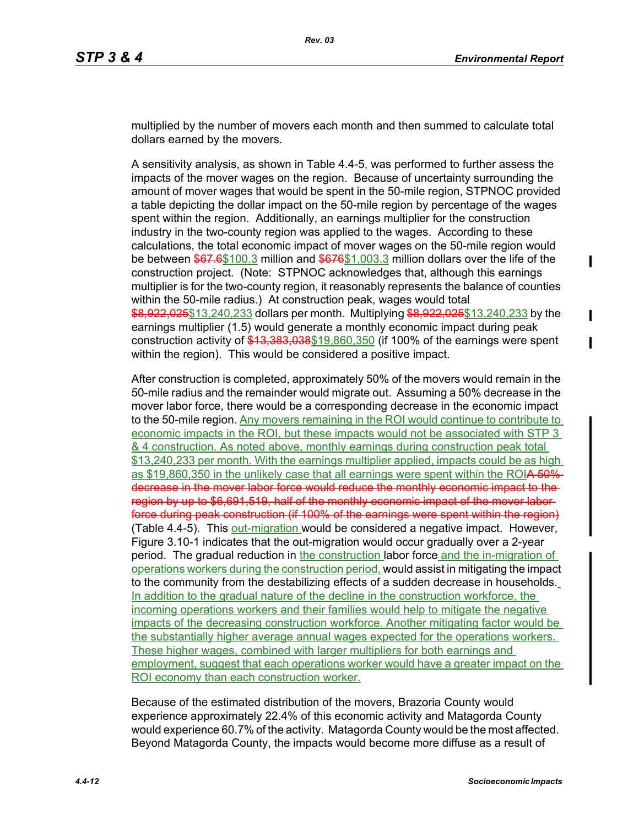multiplied by the number of movers each month and then summed to calculate total dollars earned by the movers.

A sensitivity analysis, as shown in Table 4.4-5, was performed to further assess the impacts of the mover wages on the region. Because of uncertainty surrounding the amount of mover wages that would be spent in the 50-mile region, STPNOC provided a table depicting the dollar impact on the 50-mile region by percentage of the wages spent within the region. Additionally, an earnings multiplier for the construction industry in the two-county region was applied to the wages. According to these calculations, the total economic impact of mover wages on the 50-mile region would be between \$67.6\$100.3 million and \$676\$1,003.3 million dollars over the life of the construction project. (Note: STPNOC acknowledges that, although this earnings multiplier is for the two-county region, it reasonably represents the balance of counties within the 50-mile radius.) At construction peak, wages would total \$8,922,025\$13,240,233 dollars per month. Multiplying \$8,922,025\$13,240,233 by the earnings multiplier (1.5) would generate a monthly economic impact during peak construction activity of \$13,383,038\$19,860,350 (if 100% of the earnings were spent within the region). This would be considered a positive impact.

After construction is completed, approximately 50% of the movers would remain in the 50-mile radius and the remainder would migrate out. Assuming a 50% decrease in the mover labor force, there would be a corresponding decrease in the economic impact to the 50-mile region. Any movers remaining in the ROI would continue to contribute to economic impacts in the ROI, but these impacts would not be associated with STP 3 & 4 construction. As noted above, monthly earnings during construction peak total \$13,240,233 per month. With the earnings multiplier applied, impacts could be as high as \$19,860,350 in the unlikely case that all earnings were spent within the ROIA 50% decrease in the mover labor force would reduce the monthly economic impact to the region by up to \$6,691,519, half of the monthly economic impact of the mover labor force during peak construction (if 100% of the earnings were spent within the region) (Table 4.4-5). This out-migration would be considered a negative impact. However, Figure 3.10-1 indicates that the out-migration would occur gradually over a 2-year period. The gradual reduction in the construction labor force and the in-migration of operations workers during the construction period, would assist in mitigating the impact to the community from the destabilizing effects of a sudden decrease in households. In addition to the gradual nature of the decline in the construction workforce, the incoming operations workers and their families would help to mitigate the negative impacts of the decreasing construction workforce. Another mitigating factor would be the substantially higher average annual wages expected for the operations workers. These higher wages, combined with larger multipliers for both earnings and employment, suggest that each operations worker would have a greater impact on the ROI economy than each construction worker.

Because of the estimated distribution of the movers, Brazoria County would experience approximately 22.4% of this economic activity and Matagorda County would experience 60.7% of the activity. Matagorda County would be the most affected. Beyond Matagorda County, the impacts would become more diffuse as a result of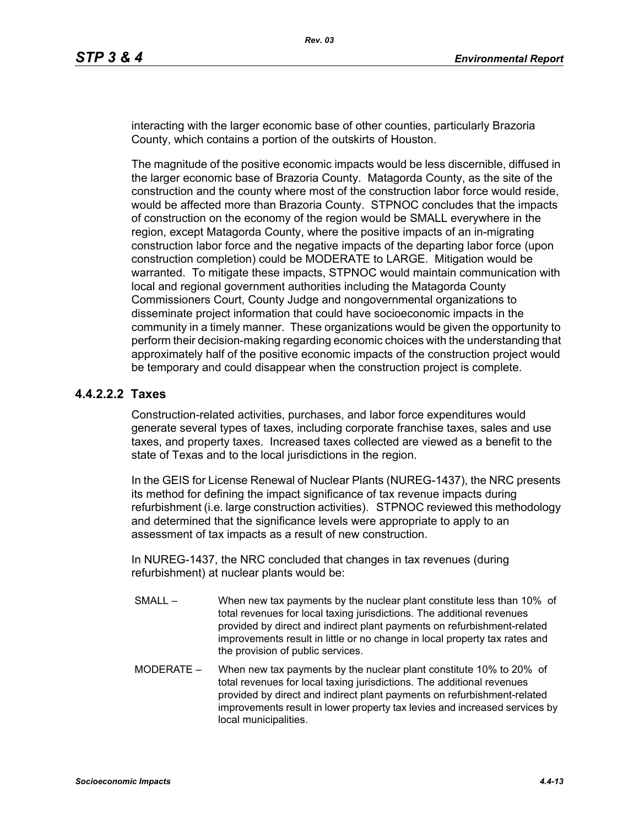interacting with the larger economic base of other counties, particularly Brazoria County, which contains a portion of the outskirts of Houston.

The magnitude of the positive economic impacts would be less discernible, diffused in the larger economic base of Brazoria County. Matagorda County, as the site of the construction and the county where most of the construction labor force would reside, would be affected more than Brazoria County. STPNOC concludes that the impacts of construction on the economy of the region would be SMALL everywhere in the region, except Matagorda County, where the positive impacts of an in-migrating construction labor force and the negative impacts of the departing labor force (upon construction completion) could be MODERATE to LARGE. Mitigation would be warranted. To mitigate these impacts, STPNOC would maintain communication with local and regional government authorities including the Matagorda County Commissioners Court, County Judge and nongovernmental organizations to disseminate project information that could have socioeconomic impacts in the community in a timely manner. These organizations would be given the opportunity to perform their decision-making regarding economic choices with the understanding that approximately half of the positive economic impacts of the construction project would be temporary and could disappear when the construction project is complete.

## **4.4.2.2.2 Taxes**

Construction-related activities, purchases, and labor force expenditures would generate several types of taxes, including corporate franchise taxes, sales and use taxes, and property taxes. Increased taxes collected are viewed as a benefit to the state of Texas and to the local jurisdictions in the region.

In the GEIS for License Renewal of Nuclear Plants (NUREG-1437), the NRC presents its method for defining the impact significance of tax revenue impacts during refurbishment (i.e. large construction activities). STPNOC reviewed this methodology and determined that the significance levels were appropriate to apply to an assessment of tax impacts as a result of new construction.

In NUREG-1437, the NRC concluded that changes in tax revenues (during refurbishment) at nuclear plants would be:

- SMALL When new tax payments by the nuclear plant constitute less than 10% of total revenues for local taxing jurisdictions. The additional revenues provided by direct and indirect plant payments on refurbishment-related improvements result in little or no change in local property tax rates and the provision of public services.
- MODERATE When new tax payments by the nuclear plant constitute 10% to 20% of total revenues for local taxing jurisdictions. The additional revenues provided by direct and indirect plant payments on refurbishment-related improvements result in lower property tax levies and increased services by local municipalities.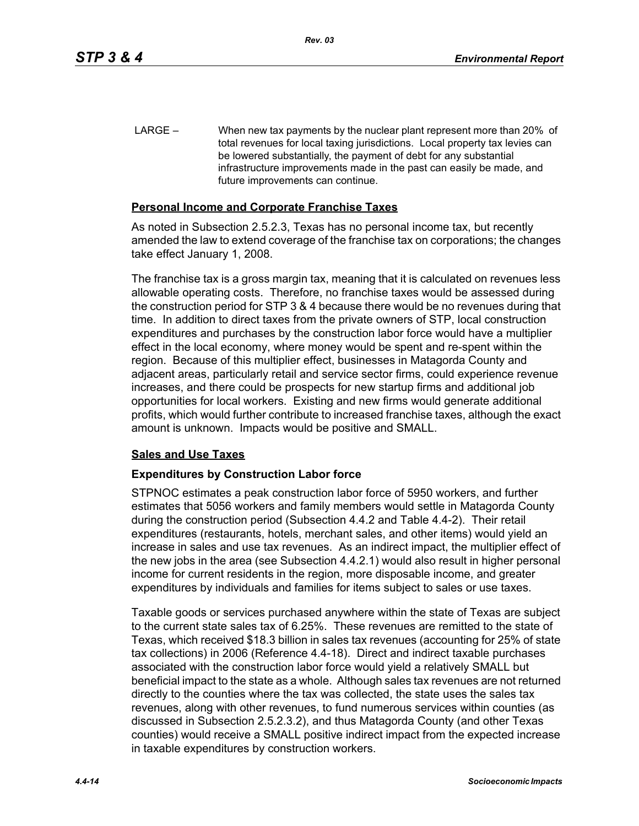LARGE – When new tax payments by the nuclear plant represent more than 20% of total revenues for local taxing jurisdictions. Local property tax levies can be lowered substantially, the payment of debt for any substantial infrastructure improvements made in the past can easily be made, and future improvements can continue.

## **Personal Income and Corporate Franchise Taxes**

As noted in Subsection 2.5.2.3, Texas has no personal income tax, but recently amended the law to extend coverage of the franchise tax on corporations; the changes take effect January 1, 2008.

The franchise tax is a gross margin tax, meaning that it is calculated on revenues less allowable operating costs. Therefore, no franchise taxes would be assessed during the construction period for STP 3 & 4 because there would be no revenues during that time. In addition to direct taxes from the private owners of STP, local construction expenditures and purchases by the construction labor force would have a multiplier effect in the local economy, where money would be spent and re-spent within the region. Because of this multiplier effect, businesses in Matagorda County and adjacent areas, particularly retail and service sector firms, could experience revenue increases, and there could be prospects for new startup firms and additional job opportunities for local workers. Existing and new firms would generate additional profits, which would further contribute to increased franchise taxes, although the exact amount is unknown. Impacts would be positive and SMALL.

#### **Sales and Use Taxes**

## **Expenditures by Construction Labor force**

STPNOC estimates a peak construction labor force of 5950 workers, and further estimates that 5056 workers and family members would settle in Matagorda County during the construction period (Subsection 4.4.2 and Table 4.4-2). Their retail expenditures (restaurants, hotels, merchant sales, and other items) would yield an increase in sales and use tax revenues. As an indirect impact, the multiplier effect of the new jobs in the area (see Subsection 4.4.2.1) would also result in higher personal income for current residents in the region, more disposable income, and greater expenditures by individuals and families for items subject to sales or use taxes.

Taxable goods or services purchased anywhere within the state of Texas are subject to the current state sales tax of 6.25%. These revenues are remitted to the state of Texas, which received \$18.3 billion in sales tax revenues (accounting for 25% of state tax collections) in 2006 (Reference 4.4-18). Direct and indirect taxable purchases associated with the construction labor force would yield a relatively SMALL but beneficial impact to the state as a whole. Although sales tax revenues are not returned directly to the counties where the tax was collected, the state uses the sales tax revenues, along with other revenues, to fund numerous services within counties (as discussed in Subsection 2.5.2.3.2), and thus Matagorda County (and other Texas counties) would receive a SMALL positive indirect impact from the expected increase in taxable expenditures by construction workers.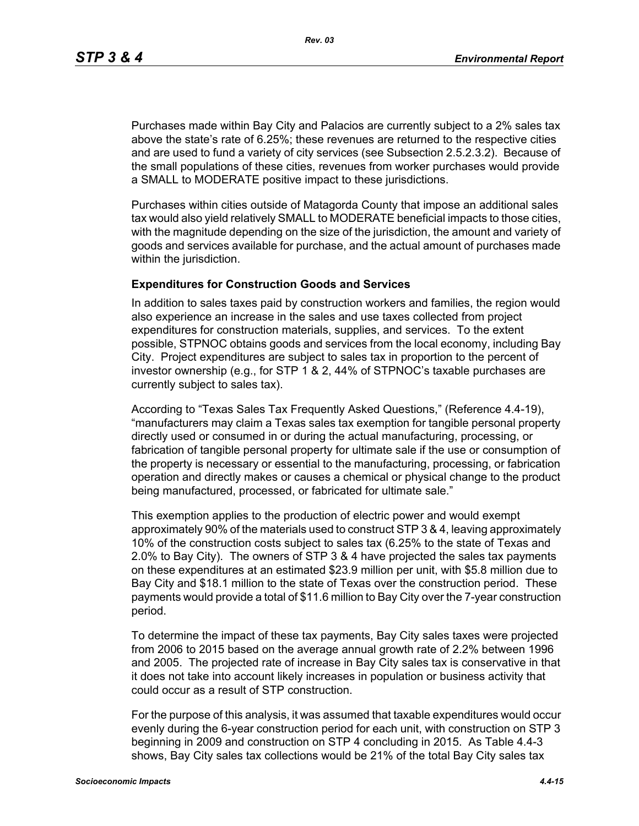*Rev. 03*

Purchases made within Bay City and Palacios are currently subject to a 2% sales tax above the state's rate of 6.25%; these revenues are returned to the respective cities and are used to fund a variety of city services (see Subsection 2.5.2.3.2). Because of the small populations of these cities, revenues from worker purchases would provide a SMALL to MODERATE positive impact to these jurisdictions.

Purchases within cities outside of Matagorda County that impose an additional sales tax would also yield relatively SMALL to MODERATE beneficial impacts to those cities, with the magnitude depending on the size of the jurisdiction, the amount and variety of goods and services available for purchase, and the actual amount of purchases made within the jurisdiction.

## **Expenditures for Construction Goods and Services**

In addition to sales taxes paid by construction workers and families, the region would also experience an increase in the sales and use taxes collected from project expenditures for construction materials, supplies, and services. To the extent possible, STPNOC obtains goods and services from the local economy, including Bay City. Project expenditures are subject to sales tax in proportion to the percent of investor ownership (e.g., for STP 1 & 2, 44% of STPNOC's taxable purchases are currently subject to sales tax).

According to "Texas Sales Tax Frequently Asked Questions," (Reference 4.4-19), "manufacturers may claim a Texas sales tax exemption for tangible personal property directly used or consumed in or during the actual manufacturing, processing, or fabrication of tangible personal property for ultimate sale if the use or consumption of the property is necessary or essential to the manufacturing, processing, or fabrication operation and directly makes or causes a chemical or physical change to the product being manufactured, processed, or fabricated for ultimate sale."

This exemption applies to the production of electric power and would exempt approximately 90% of the materials used to construct STP 3 & 4, leaving approximately 10% of the construction costs subject to sales tax (6.25% to the state of Texas and 2.0% to Bay City). The owners of STP 3 & 4 have projected the sales tax payments on these expenditures at an estimated \$23.9 million per unit, with \$5.8 million due to Bay City and \$18.1 million to the state of Texas over the construction period. These payments would provide a total of \$11.6 million to Bay City over the 7-year construction period.

To determine the impact of these tax payments, Bay City sales taxes were projected from 2006 to 2015 based on the average annual growth rate of 2.2% between 1996 and 2005. The projected rate of increase in Bay City sales tax is conservative in that it does not take into account likely increases in population or business activity that could occur as a result of STP construction.

For the purpose of this analysis, it was assumed that taxable expenditures would occur evenly during the 6-year construction period for each unit, with construction on STP 3 beginning in 2009 and construction on STP 4 concluding in 2015. As Table 4.4-3 shows, Bay City sales tax collections would be 21% of the total Bay City sales tax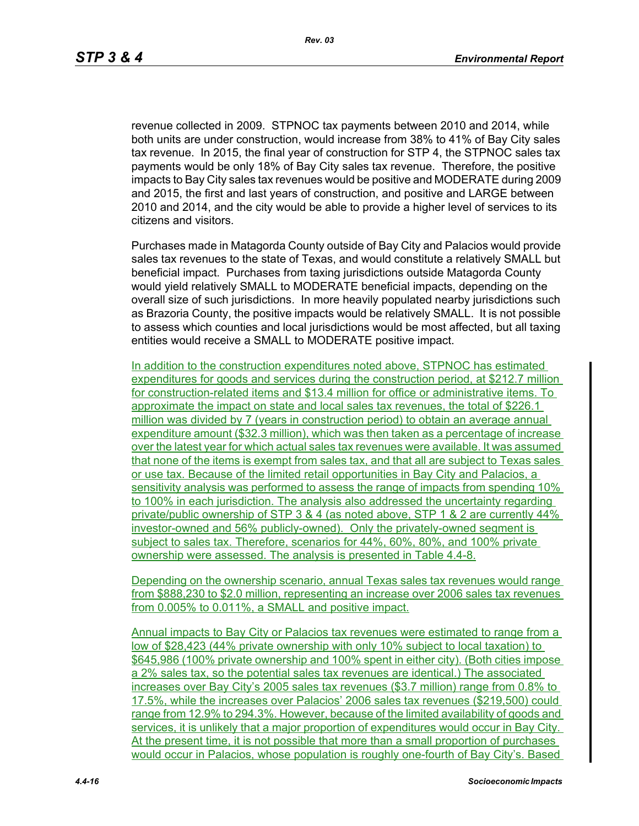revenue collected in 2009. STPNOC tax payments between 2010 and 2014, while both units are under construction, would increase from 38% to 41% of Bay City sales tax revenue. In 2015, the final year of construction for STP 4, the STPNOC sales tax payments would be only 18% of Bay City sales tax revenue. Therefore, the positive impacts to Bay City sales tax revenues would be positive and MODERATE during 2009 and 2015, the first and last years of construction, and positive and LARGE between 2010 and 2014, and the city would be able to provide a higher level of services to its citizens and visitors.

Purchases made in Matagorda County outside of Bay City and Palacios would provide sales tax revenues to the state of Texas, and would constitute a relatively SMALL but beneficial impact. Purchases from taxing jurisdictions outside Matagorda County would yield relatively SMALL to MODERATE beneficial impacts, depending on the overall size of such jurisdictions. In more heavily populated nearby jurisdictions such as Brazoria County, the positive impacts would be relatively SMALL. It is not possible to assess which counties and local jurisdictions would be most affected, but all taxing entities would receive a SMALL to MODERATE positive impact.

In addition to the construction expenditures noted above, STPNOC has estimated expenditures for goods and services during the construction period, at \$212.7 million for construction-related items and \$13.4 million for office or administrative items. To approximate the impact on state and local sales tax revenues, the total of \$226.1 million was divided by 7 (years in construction period) to obtain an average annual expenditure amount (\$32.3 million), which was then taken as a percentage of increase over the latest year for which actual sales tax revenues were available. It was assumed that none of the items is exempt from sales tax, and that all are subject to Texas sales or use tax. Because of the limited retail opportunities in Bay City and Palacios, a sensitivity analysis was performed to assess the range of impacts from spending 10% to 100% in each jurisdiction. The analysis also addressed the uncertainty regarding private/public ownership of STP 3 & 4 (as noted above, STP 1 & 2 are currently 44% investor-owned and 56% publicly-owned). Only the privately-owned segment is subject to sales tax. Therefore, scenarios for 44%, 60%, 80%, and 100% private ownership were assessed. The analysis is presented in Table 4.4-8.

Depending on the ownership scenario, annual Texas sales tax revenues would range from \$888,230 to \$2.0 million, representing an increase over 2006 sales tax revenues from 0.005% to 0.011%, a SMALL and positive impact.

Annual impacts to Bay City or Palacios tax revenues were estimated to range from a low of \$28,423 (44% private ownership with only 10% subject to local taxation) to \$645,986 (100% private ownership and 100% spent in either city). (Both cities impose a 2% sales tax, so the potential sales tax revenues are identical.) The associated increases over Bay City's 2005 sales tax revenues (\$3.7 million) range from 0.8% to 17.5%, while the increases over Palacios' 2006 sales tax revenues (\$219,500) could range from 12.9% to 294.3%. However, because of the limited availability of goods and services, it is unlikely that a major proportion of expenditures would occur in Bay City. At the present time, it is not possible that more than a small proportion of purchases would occur in Palacios, whose population is roughly one-fourth of Bay City's. Based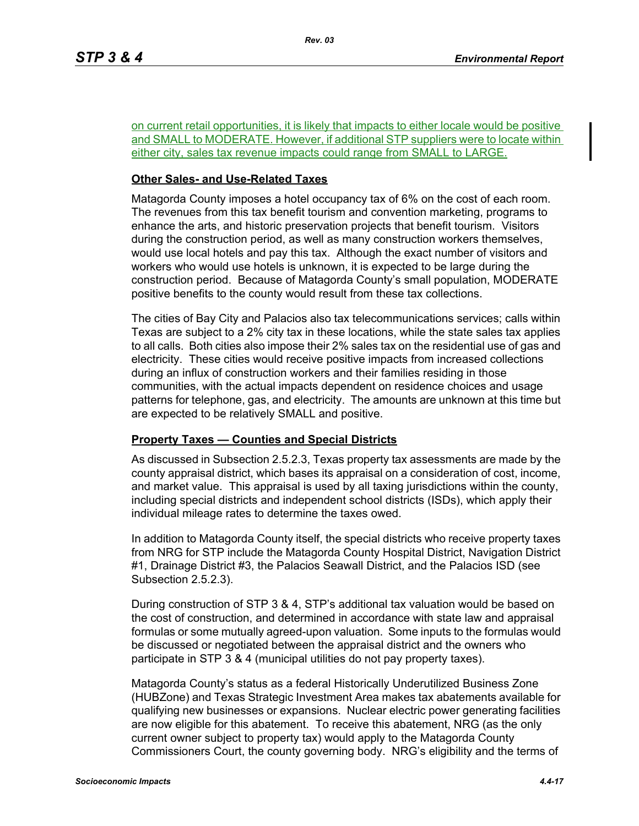on current retail opportunities, it is likely that impacts to either locale would be positive and SMALL to MODERATE. However, if additional STP suppliers were to locate within either city, sales tax revenue impacts could range from SMALL to LARGE.

## **Other Sales- and Use-Related Taxes**

Matagorda County imposes a hotel occupancy tax of 6% on the cost of each room. The revenues from this tax benefit tourism and convention marketing, programs to enhance the arts, and historic preservation projects that benefit tourism. Visitors during the construction period, as well as many construction workers themselves, would use local hotels and pay this tax. Although the exact number of visitors and workers who would use hotels is unknown, it is expected to be large during the construction period. Because of Matagorda County's small population, MODERATE positive benefits to the county would result from these tax collections.

The cities of Bay City and Palacios also tax telecommunications services; calls within Texas are subject to a 2% city tax in these locations, while the state sales tax applies to all calls. Both cities also impose their 2% sales tax on the residential use of gas and electricity. These cities would receive positive impacts from increased collections during an influx of construction workers and their families residing in those communities, with the actual impacts dependent on residence choices and usage patterns for telephone, gas, and electricity. The amounts are unknown at this time but are expected to be relatively SMALL and positive.

## **Property Taxes — Counties and Special Districts**

As discussed in Subsection 2.5.2.3, Texas property tax assessments are made by the county appraisal district, which bases its appraisal on a consideration of cost, income, and market value. This appraisal is used by all taxing jurisdictions within the county, including special districts and independent school districts (ISDs), which apply their individual mileage rates to determine the taxes owed.

In addition to Matagorda County itself, the special districts who receive property taxes from NRG for STP include the Matagorda County Hospital District, Navigation District #1, Drainage District #3, the Palacios Seawall District, and the Palacios ISD (see Subsection 2.5.2.3).

During construction of STP 3 & 4, STP's additional tax valuation would be based on the cost of construction, and determined in accordance with state law and appraisal formulas or some mutually agreed-upon valuation. Some inputs to the formulas would be discussed or negotiated between the appraisal district and the owners who participate in STP 3 & 4 (municipal utilities do not pay property taxes).

Matagorda County's status as a federal Historically Underutilized Business Zone (HUBZone) and Texas Strategic Investment Area makes tax abatements available for qualifying new businesses or expansions. Nuclear electric power generating facilities are now eligible for this abatement. To receive this abatement, NRG (as the only current owner subject to property tax) would apply to the Matagorda County Commissioners Court, the county governing body. NRG's eligibility and the terms of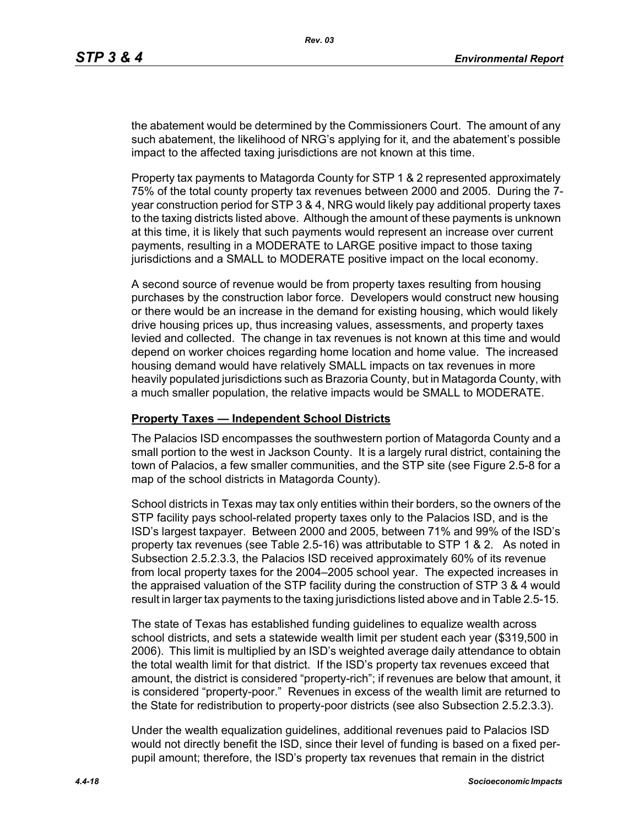the abatement would be determined by the Commissioners Court. The amount of any such abatement, the likelihood of NRG's applying for it, and the abatement's possible impact to the affected taxing jurisdictions are not known at this time.

Property tax payments to Matagorda County for STP 1 & 2 represented approximately 75% of the total county property tax revenues between 2000 and 2005. During the 7 year construction period for STP 3 & 4, NRG would likely pay additional property taxes to the taxing districts listed above. Although the amount of these payments is unknown at this time, it is likely that such payments would represent an increase over current payments, resulting in a MODERATE to LARGE positive impact to those taxing jurisdictions and a SMALL to MODERATE positive impact on the local economy.

A second source of revenue would be from property taxes resulting from housing purchases by the construction labor force. Developers would construct new housing or there would be an increase in the demand for existing housing, which would likely drive housing prices up, thus increasing values, assessments, and property taxes levied and collected. The change in tax revenues is not known at this time and would depend on worker choices regarding home location and home value. The increased housing demand would have relatively SMALL impacts on tax revenues in more heavily populated jurisdictions such as Brazoria County, but in Matagorda County, with a much smaller population, the relative impacts would be SMALL to MODERATE.

#### **Property Taxes — Independent School Districts**

The Palacios ISD encompasses the southwestern portion of Matagorda County and a small portion to the west in Jackson County. It is a largely rural district, containing the town of Palacios, a few smaller communities, and the STP site (see Figure 2.5-8 for a map of the school districts in Matagorda County).

School districts in Texas may tax only entities within their borders, so the owners of the STP facility pays school-related property taxes only to the Palacios ISD, and is the ISD's largest taxpayer. Between 2000 and 2005, between 71% and 99% of the ISD's property tax revenues (see Table 2.5-16) was attributable to STP 1 & 2. As noted in Subsection 2.5.2.3.3, the Palacios ISD received approximately 60% of its revenue from local property taxes for the 2004–2005 school year. The expected increases in the appraised valuation of the STP facility during the construction of STP 3 & 4 would result in larger tax payments to the taxing jurisdictions listed above and in Table 2.5-15.

The state of Texas has established funding guidelines to equalize wealth across school districts, and sets a statewide wealth limit per student each year (\$319,500 in 2006). This limit is multiplied by an ISD's weighted average daily attendance to obtain the total wealth limit for that district. If the ISD's property tax revenues exceed that amount, the district is considered "property-rich"; if revenues are below that amount, it is considered "property-poor." Revenues in excess of the wealth limit are returned to the State for redistribution to property-poor districts (see also Subsection 2.5.2.3.3).

Under the wealth equalization guidelines, additional revenues paid to Palacios ISD would not directly benefit the ISD, since their level of funding is based on a fixed perpupil amount; therefore, the ISD's property tax revenues that remain in the district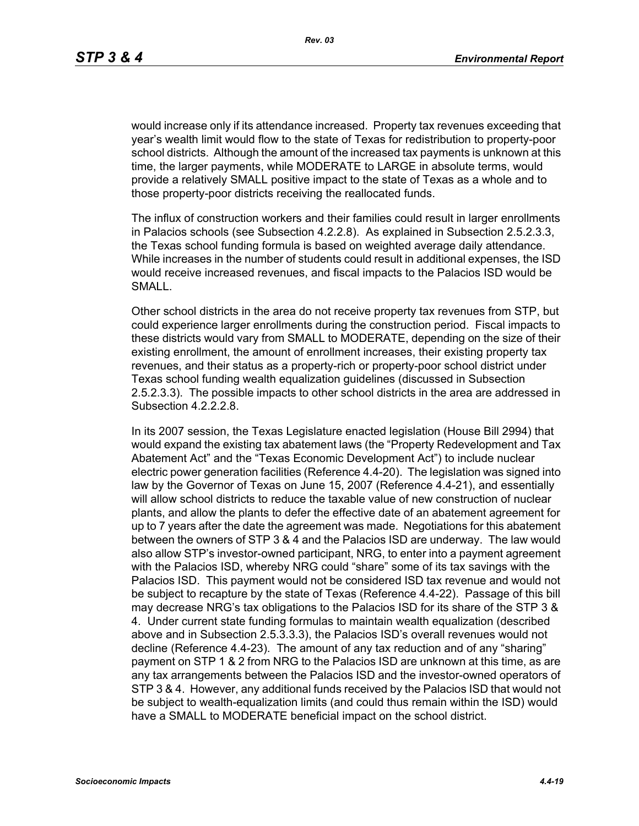would increase only if its attendance increased. Property tax revenues exceeding that year's wealth limit would flow to the state of Texas for redistribution to property-poor school districts. Although the amount of the increased tax payments is unknown at this time, the larger payments, while MODERATE to LARGE in absolute terms, would provide a relatively SMALL positive impact to the state of Texas as a whole and to those property-poor districts receiving the reallocated funds.

The influx of construction workers and their families could result in larger enrollments in Palacios schools (see Subsection 4.2.2.8). As explained in Subsection 2.5.2.3.3, the Texas school funding formula is based on weighted average daily attendance. While increases in the number of students could result in additional expenses, the ISD would receive increased revenues, and fiscal impacts to the Palacios ISD would be SMALL.

Other school districts in the area do not receive property tax revenues from STP, but could experience larger enrollments during the construction period. Fiscal impacts to these districts would vary from SMALL to MODERATE, depending on the size of their existing enrollment, the amount of enrollment increases, their existing property tax revenues, and their status as a property-rich or property-poor school district under Texas school funding wealth equalization guidelines (discussed in Subsection 2.5.2.3.3). The possible impacts to other school districts in the area are addressed in Subsection 4.2.2.2.8.

In its 2007 session, the Texas Legislature enacted legislation (House Bill 2994) that would expand the existing tax abatement laws (the "Property Redevelopment and Tax Abatement Act" and the "Texas Economic Development Act") to include nuclear electric power generation facilities (Reference 4.4-20). The legislation was signed into law by the Governor of Texas on June 15, 2007 (Reference 4.4-21), and essentially will allow school districts to reduce the taxable value of new construction of nuclear plants, and allow the plants to defer the effective date of an abatement agreement for up to 7 years after the date the agreement was made. Negotiations for this abatement between the owners of STP 3 & 4 and the Palacios ISD are underway. The law would also allow STP's investor-owned participant, NRG, to enter into a payment agreement with the Palacios ISD, whereby NRG could "share" some of its tax savings with the Palacios ISD. This payment would not be considered ISD tax revenue and would not be subject to recapture by the state of Texas (Reference 4.4-22). Passage of this bill may decrease NRG's tax obligations to the Palacios ISD for its share of the STP 3 & 4. Under current state funding formulas to maintain wealth equalization (described above and in Subsection 2.5.3.3.3), the Palacios ISD's overall revenues would not decline (Reference 4.4-23). The amount of any tax reduction and of any "sharing" payment on STP 1 & 2 from NRG to the Palacios ISD are unknown at this time, as are any tax arrangements between the Palacios ISD and the investor-owned operators of STP 3 & 4. However, any additional funds received by the Palacios ISD that would not be subject to wealth-equalization limits (and could thus remain within the ISD) would have a SMALL to MODERATE beneficial impact on the school district.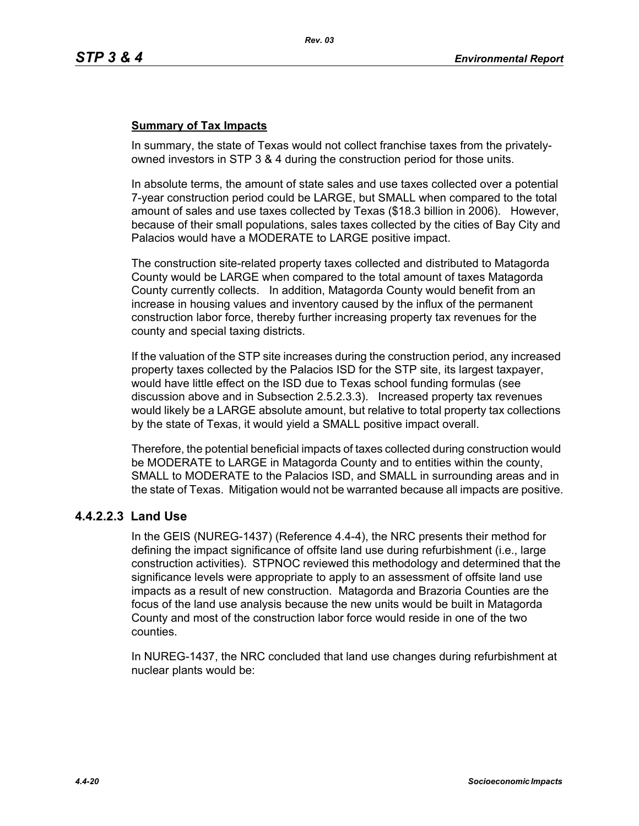## **Summary of Tax Impacts**

In summary, the state of Texas would not collect franchise taxes from the privatelyowned investors in STP 3 & 4 during the construction period for those units.

In absolute terms, the amount of state sales and use taxes collected over a potential 7-year construction period could be LARGE, but SMALL when compared to the total amount of sales and use taxes collected by Texas (\$18.3 billion in 2006). However, because of their small populations, sales taxes collected by the cities of Bay City and Palacios would have a MODERATE to LARGE positive impact.

The construction site-related property taxes collected and distributed to Matagorda County would be LARGE when compared to the total amount of taxes Matagorda County currently collects. In addition, Matagorda County would benefit from an increase in housing values and inventory caused by the influx of the permanent construction labor force, thereby further increasing property tax revenues for the county and special taxing districts.

If the valuation of the STP site increases during the construction period, any increased property taxes collected by the Palacios ISD for the STP site, its largest taxpayer, would have little effect on the ISD due to Texas school funding formulas (see discussion above and in Subsection 2.5.2.3.3). Increased property tax revenues would likely be a LARGE absolute amount, but relative to total property tax collections by the state of Texas, it would yield a SMALL positive impact overall.

Therefore, the potential beneficial impacts of taxes collected during construction would be MODERATE to LARGE in Matagorda County and to entities within the county, SMALL to MODERATE to the Palacios ISD, and SMALL in surrounding areas and in the state of Texas. Mitigation would not be warranted because all impacts are positive.

## **4.4.2.2.3 Land Use**

In the GEIS (NUREG-1437) (Reference 4.4-4), the NRC presents their method for defining the impact significance of offsite land use during refurbishment (i.e., large construction activities). STPNOC reviewed this methodology and determined that the significance levels were appropriate to apply to an assessment of offsite land use impacts as a result of new construction. Matagorda and Brazoria Counties are the focus of the land use analysis because the new units would be built in Matagorda County and most of the construction labor force would reside in one of the two counties.

In NUREG-1437, the NRC concluded that land use changes during refurbishment at nuclear plants would be: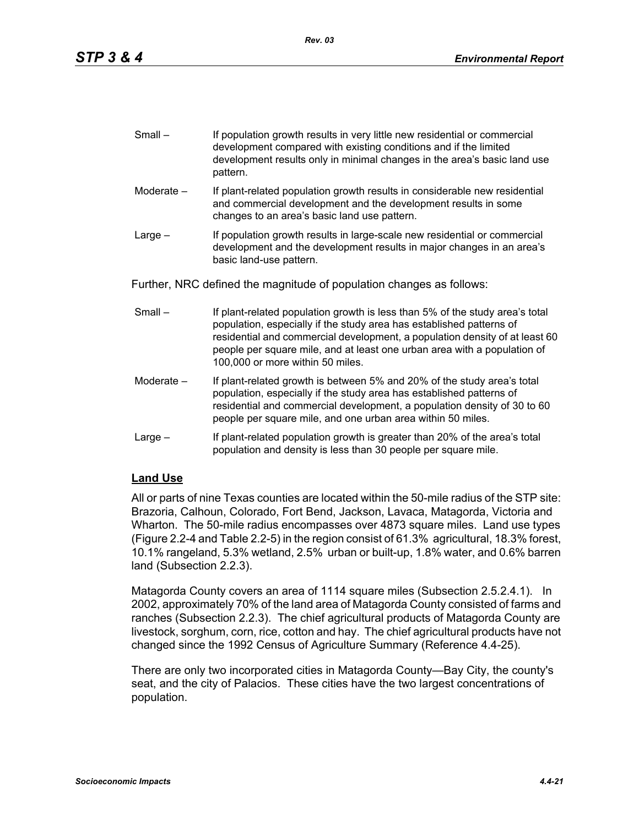| $Small -$ | If population growth results in very little new residential or commercial |
|-----------|---------------------------------------------------------------------------|
|           | development compared with existing conditions and if the limited          |
|           | development results only in minimal changes in the area's basic land use  |
|           | pattern.                                                                  |

- Moderate If plant-related population growth results in considerable new residential and commercial development and the development results in some changes to an area's basic land use pattern.
- Large If population growth results in large-scale new residential or commercial development and the development results in major changes in an area's basic land-use pattern.

Further, NRC defined the magnitude of population changes as follows:

- Small If plant-related population growth is less than 5% of the study area's total population, especially if the study area has established patterns of residential and commercial development, a population density of at least 60 people per square mile, and at least one urban area with a population of 100,000 or more within 50 miles.
- Moderate If plant-related growth is between 5% and 20% of the study area's total population, especially if the study area has established patterns of residential and commercial development, a population density of 30 to 60 people per square mile, and one urban area within 50 miles.
- Large If plant-related population growth is greater than 20% of the area's total population and density is less than 30 people per square mile.

## **Land Use**

All or parts of nine Texas counties are located within the 50-mile radius of the STP site: Brazoria, Calhoun, Colorado, Fort Bend, Jackson, Lavaca, Matagorda, Victoria and Wharton. The 50-mile radius encompasses over 4873 square miles. Land use types (Figure 2.2-4 and Table 2.2-5) in the region consist of 61.3% agricultural, 18.3% forest, 10.1% rangeland, 5.3% wetland, 2.5% urban or built-up, 1.8% water, and 0.6% barren land (Subsection 2.2.3).

Matagorda County covers an area of 1114 square miles (Subsection 2.5.2.4.1). In 2002, approximately 70% of the land area of Matagorda County consisted of farms and ranches (Subsection 2.2.3). The chief agricultural products of Matagorda County are livestock, sorghum, corn, rice, cotton and hay. The chief agricultural products have not changed since the 1992 Census of Agriculture Summary (Reference 4.4-25).

There are only two incorporated cities in Matagorda County—Bay City, the county's seat, and the city of Palacios. These cities have the two largest concentrations of population.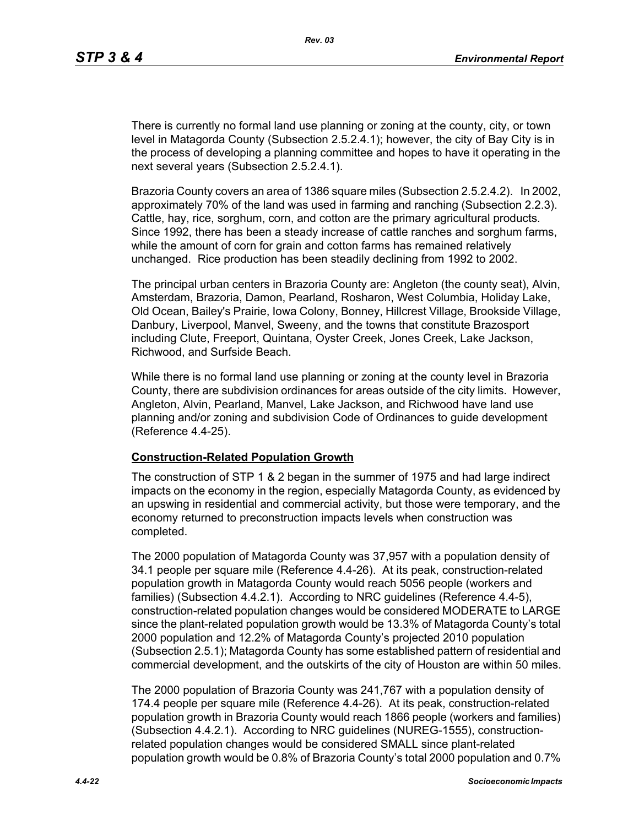There is currently no formal land use planning or zoning at the county, city, or town level in Matagorda County (Subsection 2.5.2.4.1); however, the city of Bay City is in the process of developing a planning committee and hopes to have it operating in the next several years (Subsection 2.5.2.4.1).

Brazoria County covers an area of 1386 square miles (Subsection 2.5.2.4.2). In 2002, approximately 70% of the land was used in farming and ranching (Subsection 2.2.3). Cattle, hay, rice, sorghum, corn, and cotton are the primary agricultural products. Since 1992, there has been a steady increase of cattle ranches and sorghum farms, while the amount of corn for grain and cotton farms has remained relatively unchanged. Rice production has been steadily declining from 1992 to 2002.

The principal urban centers in Brazoria County are: Angleton (the county seat), Alvin, Amsterdam, Brazoria, Damon, Pearland, Rosharon, West Columbia, Holiday Lake, Old Ocean, Bailey's Prairie, Iowa Colony, Bonney, Hillcrest Village, Brookside Village, Danbury, Liverpool, Manvel, Sweeny, and the towns that constitute Brazosport including Clute, Freeport, Quintana, Oyster Creek, Jones Creek, Lake Jackson, Richwood, and Surfside Beach.

While there is no formal land use planning or zoning at the county level in Brazoria County, there are subdivision ordinances for areas outside of the city limits. However, Angleton, Alvin, Pearland, Manvel, Lake Jackson, and Richwood have land use planning and/or zoning and subdivision Code of Ordinances to guide development (Reference 4.4-25).

#### **Construction-Related Population Growth**

The construction of STP 1 & 2 began in the summer of 1975 and had large indirect impacts on the economy in the region, especially Matagorda County, as evidenced by an upswing in residential and commercial activity, but those were temporary, and the economy returned to preconstruction impacts levels when construction was completed.

The 2000 population of Matagorda County was 37,957 with a population density of 34.1 people per square mile (Reference 4.4-26). At its peak, construction-related population growth in Matagorda County would reach 5056 people (workers and families) (Subsection 4.4.2.1). According to NRC guidelines (Reference 4.4-5), construction-related population changes would be considered MODERATE to LARGE since the plant-related population growth would be 13.3% of Matagorda County's total 2000 population and 12.2% of Matagorda County's projected 2010 population (Subsection 2.5.1); Matagorda County has some established pattern of residential and commercial development, and the outskirts of the city of Houston are within 50 miles.

The 2000 population of Brazoria County was 241,767 with a population density of 174.4 people per square mile (Reference 4.4-26). At its peak, construction-related population growth in Brazoria County would reach 1866 people (workers and families) (Subsection 4.4.2.1). According to NRC guidelines (NUREG-1555), constructionrelated population changes would be considered SMALL since plant-related population growth would be 0.8% of Brazoria County's total 2000 population and 0.7%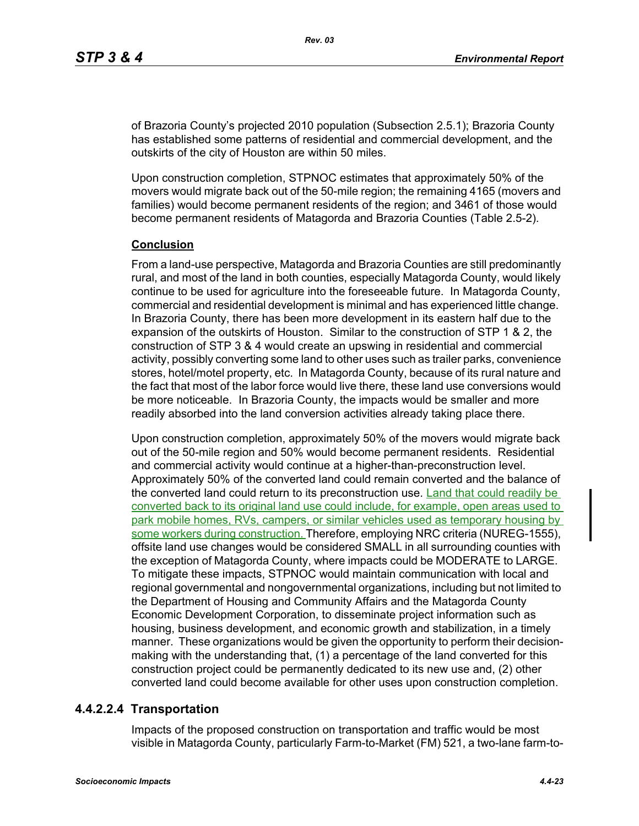of Brazoria County's projected 2010 population (Subsection 2.5.1); Brazoria County has established some patterns of residential and commercial development, and the outskirts of the city of Houston are within 50 miles.

Upon construction completion, STPNOC estimates that approximately 50% of the movers would migrate back out of the 50-mile region; the remaining 4165 (movers and families) would become permanent residents of the region; and 3461 of those would become permanent residents of Matagorda and Brazoria Counties (Table 2.5-2).

## **Conclusion**

From a land-use perspective, Matagorda and Brazoria Counties are still predominantly rural, and most of the land in both counties, especially Matagorda County, would likely continue to be used for agriculture into the foreseeable future. In Matagorda County, commercial and residential development is minimal and has experienced little change. In Brazoria County, there has been more development in its eastern half due to the expansion of the outskirts of Houston. Similar to the construction of STP 1 & 2, the construction of STP 3 & 4 would create an upswing in residential and commercial activity, possibly converting some land to other uses such as trailer parks, convenience stores, hotel/motel property, etc. In Matagorda County, because of its rural nature and the fact that most of the labor force would live there, these land use conversions would be more noticeable. In Brazoria County, the impacts would be smaller and more readily absorbed into the land conversion activities already taking place there.

Upon construction completion, approximately 50% of the movers would migrate back out of the 50-mile region and 50% would become permanent residents. Residential and commercial activity would continue at a higher-than-preconstruction level. Approximately 50% of the converted land could remain converted and the balance of the converted land could return to its preconstruction use. Land that could readily be converted back to its original land use could include, for example, open areas used to park mobile homes, RVs, campers, or similar vehicles used as temporary housing by some workers during construction. Therefore, employing NRC criteria (NUREG-1555), offsite land use changes would be considered SMALL in all surrounding counties with the exception of Matagorda County, where impacts could be MODERATE to LARGE. To mitigate these impacts, STPNOC would maintain communication with local and regional governmental and nongovernmental organizations, including but not limited to the Department of Housing and Community Affairs and the Matagorda County Economic Development Corporation, to disseminate project information such as housing, business development, and economic growth and stabilization, in a timely manner. These organizations would be given the opportunity to perform their decisionmaking with the understanding that, (1) a percentage of the land converted for this construction project could be permanently dedicated to its new use and, (2) other converted land could become available for other uses upon construction completion.

## **4.4.2.2.4 Transportation**

Impacts of the proposed construction on transportation and traffic would be most visible in Matagorda County, particularly Farm-to-Market (FM) 521, a two-lane farm-to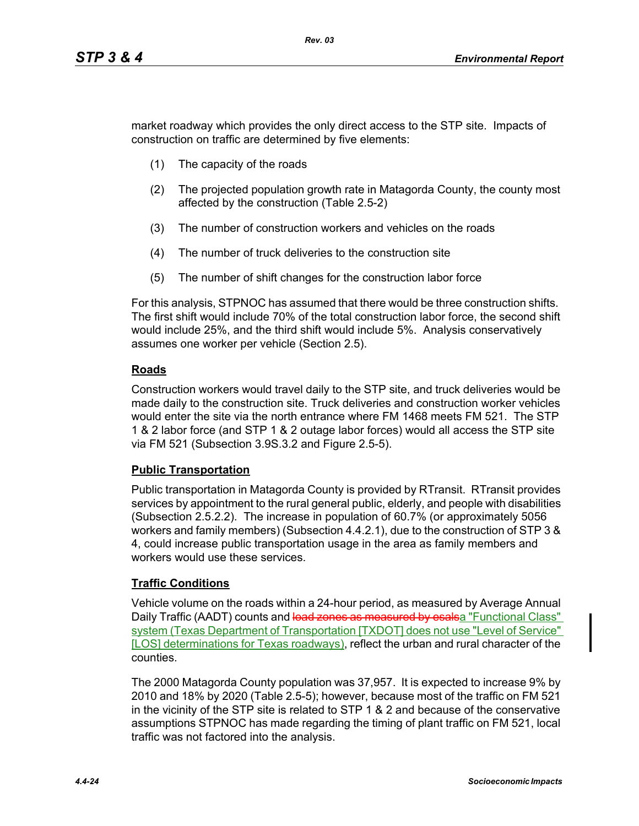market roadway which provides the only direct access to the STP site. Impacts of construction on traffic are determined by five elements:

- (1) The capacity of the roads
- (2) The projected population growth rate in Matagorda County, the county most affected by the construction (Table 2.5-2)
- (3) The number of construction workers and vehicles on the roads
- (4) The number of truck deliveries to the construction site
- (5) The number of shift changes for the construction labor force

For this analysis, STPNOC has assumed that there would be three construction shifts. The first shift would include 70% of the total construction labor force, the second shift would include 25%, and the third shift would include 5%. Analysis conservatively assumes one worker per vehicle (Section 2.5).

## **Roads**

Construction workers would travel daily to the STP site, and truck deliveries would be made daily to the construction site. Truck deliveries and construction worker vehicles would enter the site via the north entrance where FM 1468 meets FM 521. The STP 1 & 2 labor force (and STP 1 & 2 outage labor forces) would all access the STP site via FM 521 (Subsection 3.9S.3.2 and Figure 2.5-5).

## **Public Transportation**

Public transportation in Matagorda County is provided by RTransit. RTransit provides services by appointment to the rural general public, elderly, and people with disabilities (Subsection 2.5.2.2). The increase in population of 60.7% (or approximately 5056 workers and family members) (Subsection 4.4.2.1), due to the construction of STP 3 & 4, could increase public transportation usage in the area as family members and workers would use these services.

## **Traffic Conditions**

Vehicle volume on the roads within a 24-hour period, as measured by Average Annual Daily Traffic (AADT) counts and load zones as measured by esalsa "Functional Class" system (Texas Department of Transportation [TXDOT] does not use "Level of Service" [LOS] determinations for Texas roadways), reflect the urban and rural character of the counties.

The 2000 Matagorda County population was 37,957. It is expected to increase 9% by 2010 and 18% by 2020 (Table 2.5-5); however, because most of the traffic on FM 521 in the vicinity of the STP site is related to STP 1 & 2 and because of the conservative assumptions STPNOC has made regarding the timing of plant traffic on FM 521, local traffic was not factored into the analysis.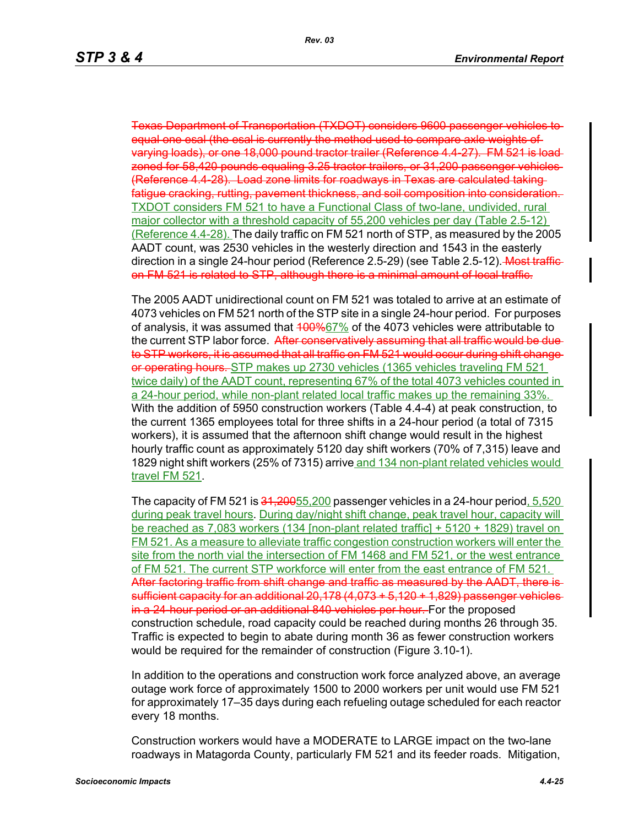Texas Department of Transportation (TXDOT) considers 9600 passenger vehicles to equal one esal (the esal is currently the method used to compare axle weights of varying loads), or one 18,000 pound tractor trailer (Reference 4.4-27). FM 521 is load zoned for 58,420 pounds equaling 3.25 tractor trailers, or 31,200 passenger vehicles (Reference 4.4-28). Load zone limits for roadways in Texas are calculated taking fatigue cracking, rutting, pavement thickness, and soil composition into consideration. TXDOT considers FM 521 to have a Functional Class of two-lane, undivided, rural major collector with a threshold capacity of 55,200 vehicles per day (Table 2.5-12) (Reference 4.4-28). The daily traffic on FM 521 north of STP, as measured by the 2005 AADT count, was 2530 vehicles in the westerly direction and 1543 in the easterly direction in a single 24-hour period (Reference 2.5-29) (see Table 2.5-12). Most trafficon FM 521 is related to STP, although there is a minimal amount of local traffic.

The 2005 AADT unidirectional count on FM 521 was totaled to arrive at an estimate of 4073 vehicles on FM 521 north of the STP site in a single 24-hour period. For purposes of analysis, it was assumed that 400%67% of the 4073 vehicles were attributable to the current STP labor force. After conservatively assuming that all traffic would be dueto STP workers, it is assumed that all traffic on FM 521 would occur during shift change or operating hours. STP makes up 2730 vehicles (1365 vehicles traveling FM 521 twice daily) of the AADT count, representing 67% of the total 4073 vehicles counted in a 24-hour period, while non-plant related local traffic makes up the remaining 33%. With the addition of 5950 construction workers (Table 4.4-4) at peak construction, to the current 1365 employees total for three shifts in a 24-hour period (a total of 7315 workers), it is assumed that the afternoon shift change would result in the highest hourly traffic count as approximately 5120 day shift workers (70% of 7,315) leave and 1829 night shift workers (25% of 7315) arrive and 134 non-plant related vehicles would travel FM 521.

The capacity of FM 521 is  $31,20055,200$  passenger vehicles in a 24-hour period,  $5,520$ during peak travel hours. During day/night shift change, peak travel hour, capacity will be reached as 7,083 workers (134 [non-plant related traffic] + 5120 + 1829) travel on FM 521. As a measure to alleviate traffic congestion construction workers will enter the site from the north vial the intersection of FM 1468 and FM 521, or the west entrance of FM 521. The current STP workforce will enter from the east entrance of FM 521. After factoring traffic from shift change and traffic as measured by the AADT, there is sufficient capacity for an additional 20,178 (4,073 + 5,120 + 1,829) passenger vehicles in a 24-hour period or an additional 840 vehicles per hour. For the proposed construction schedule, road capacity could be reached during months 26 through 35. Traffic is expected to begin to abate during month 36 as fewer construction workers would be required for the remainder of construction (Figure 3.10-1).

In addition to the operations and construction work force analyzed above, an average outage work force of approximately 1500 to 2000 workers per unit would use FM 521 for approximately 17–35 days during each refueling outage scheduled for each reactor every 18 months.

Construction workers would have a MODERATE to LARGE impact on the two-lane roadways in Matagorda County, particularly FM 521 and its feeder roads. Mitigation,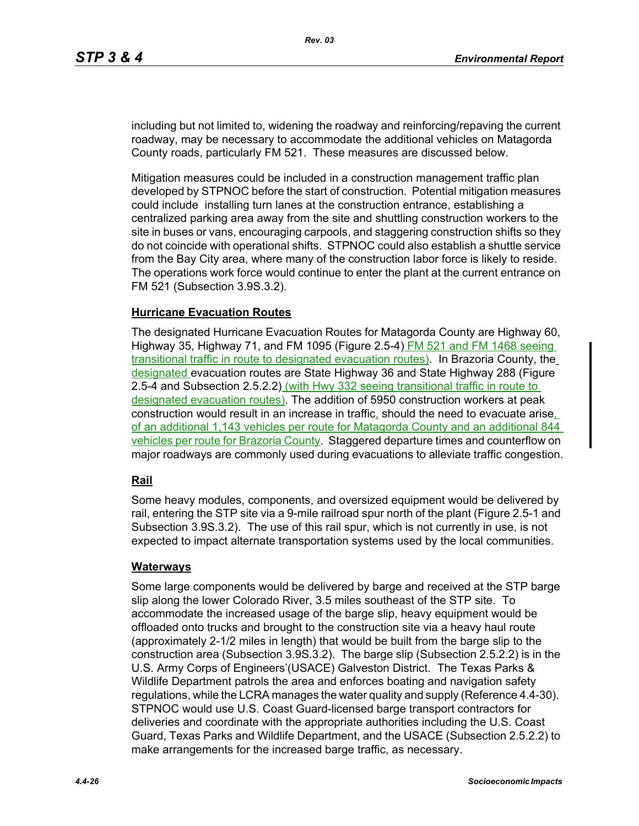including but not limited to, widening the roadway and reinforcing/repaving the current roadway, may be necessary to accommodate the additional vehicles on Matagorda County roads, particularly FM 521. These measures are discussed below.

Mitigation measures could be included in a construction management traffic plan developed by STPNOC before the start of construction. Potential mitigation measures could include installing turn lanes at the construction entrance, establishing a centralized parking area away from the site and shuttling construction workers to the site in buses or vans, encouraging carpools, and staggering construction shifts so they do not coincide with operational shifts. STPNOC could also establish a shuttle service from the Bay City area, where many of the construction labor force is likely to reside. The operations work force would continue to enter the plant at the current entrance on FM 521 (Subsection 3.9S.3.2).

## **Hurricane Evacuation Routes**

The designated Hurricane Evacuation Routes for Matagorda County are Highway 60, Highway 35, Highway 71, and FM 1095 (Figure 2.5-4) FM 521 and FM 1468 seeing transitional traffic in route to designated evacuation routes). In Brazoria County, the designated evacuation routes are State Highway 36 and State Highway 288 (Figure 2.5-4 and Subsection 2.5.2.2) (with Hwy 332 seeing transitional traffic in route to designated evacuation routes). The addition of 5950 construction workers at peak construction would result in an increase in traffic, should the need to evacuate arise, of an additional 1,143 vehicles per route for Matagorda County and an additional 844 vehicles per route for Brazoria County. Staggered departure times and counterflow on major roadways are commonly used during evacuations to alleviate traffic congestion.

## **Rail**

Some heavy modules, components, and oversized equipment would be delivered by rail, entering the STP site via a 9-mile railroad spur north of the plant (Figure 2.5-1 and Subsection 3.9S.3.2). The use of this rail spur, which is not currently in use, is not expected to impact alternate transportation systems used by the local communities.

#### **Waterways**

Some large components would be delivered by barge and received at the STP barge slip along the lower Colorado River, 3.5 miles southeast of the STP site. To accommodate the increased usage of the barge slip, heavy equipment would be offloaded onto trucks and brought to the construction site via a heavy haul route (approximately 2-1/2 miles in length) that would be built from the barge slip to the construction area (Subsection 3.9S.3.2). The barge slip (Subsection 2.5.2.2) is in the U.S. Army Corps of Engineers'(USACE) Galveston District. The Texas Parks & Wildlife Department patrols the area and enforces boating and navigation safety regulations, while the LCRA manages the water quality and supply (Reference 4.4-30). STPNOC would use U.S. Coast Guard-licensed barge transport contractors for deliveries and coordinate with the appropriate authorities including the U.S. Coast Guard, Texas Parks and Wildlife Department, and the USACE (Subsection 2.5.2.2) to make arrangements for the increased barge traffic, as necessary.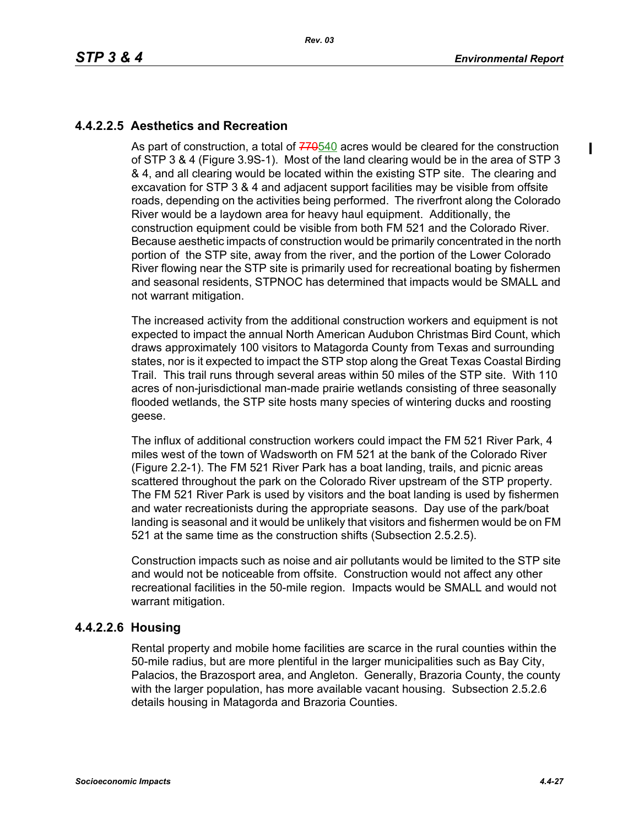$\mathbf I$ 

## **4.4.2.2.5 Aesthetics and Recreation**

As part of construction, a total of  $770540$  acres would be cleared for the construction of STP 3 & 4 (Figure 3.9S-1). Most of the land clearing would be in the area of STP 3 & 4, and all clearing would be located within the existing STP site. The clearing and excavation for STP 3 & 4 and adjacent support facilities may be visible from offsite roads, depending on the activities being performed. The riverfront along the Colorado River would be a laydown area for heavy haul equipment. Additionally, the construction equipment could be visible from both FM 521 and the Colorado River. Because aesthetic impacts of construction would be primarily concentrated in the north portion of the STP site, away from the river, and the portion of the Lower Colorado River flowing near the STP site is primarily used for recreational boating by fishermen and seasonal residents, STPNOC has determined that impacts would be SMALL and not warrant mitigation.

The increased activity from the additional construction workers and equipment is not expected to impact the annual North American Audubon Christmas Bird Count, which draws approximately 100 visitors to Matagorda County from Texas and surrounding states, nor is it expected to impact the STP stop along the Great Texas Coastal Birding Trail. This trail runs through several areas within 50 miles of the STP site. With 110 acres of non-jurisdictional man-made prairie wetlands consisting of three seasonally flooded wetlands, the STP site hosts many species of wintering ducks and roosting geese.

The influx of additional construction workers could impact the FM 521 River Park, 4 miles west of the town of Wadsworth on FM 521 at the bank of the Colorado River (Figure 2.2-1). The FM 521 River Park has a boat landing, trails, and picnic areas scattered throughout the park on the Colorado River upstream of the STP property. The FM 521 River Park is used by visitors and the boat landing is used by fishermen and water recreationists during the appropriate seasons. Day use of the park/boat landing is seasonal and it would be unlikely that visitors and fishermen would be on FM 521 at the same time as the construction shifts (Subsection 2.5.2.5).

Construction impacts such as noise and air pollutants would be limited to the STP site and would not be noticeable from offsite. Construction would not affect any other recreational facilities in the 50-mile region. Impacts would be SMALL and would not warrant mitigation.

## **4.4.2.2.6 Housing**

Rental property and mobile home facilities are scarce in the rural counties within the 50-mile radius, but are more plentiful in the larger municipalities such as Bay City, Palacios, the Brazosport area, and Angleton. Generally, Brazoria County, the county with the larger population, has more available vacant housing. Subsection 2.5.2.6 details housing in Matagorda and Brazoria Counties.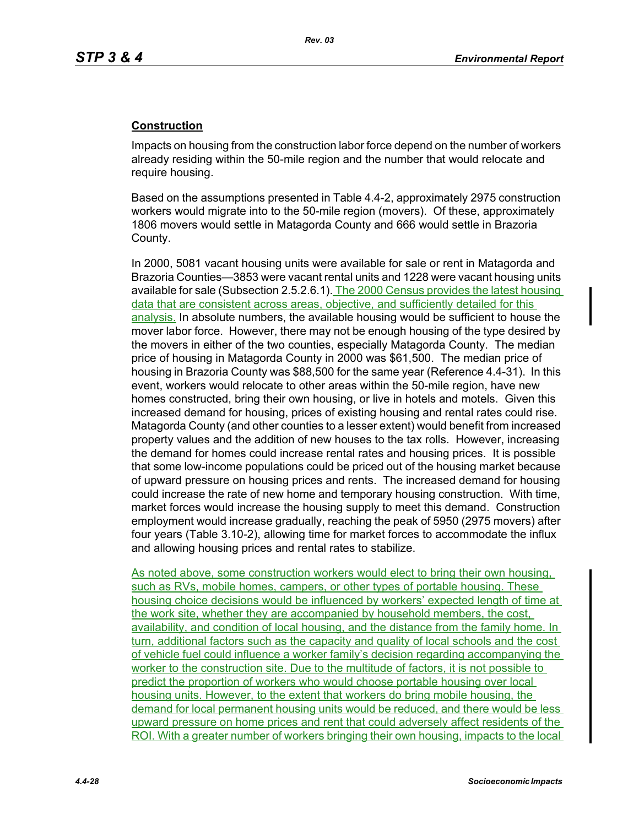## **Construction**

Impacts on housing from the construction labor force depend on the number of workers already residing within the 50-mile region and the number that would relocate and require housing.

Based on the assumptions presented in Table 4.4-2, approximately 2975 construction workers would migrate into to the 50-mile region (movers). Of these, approximately 1806 movers would settle in Matagorda County and 666 would settle in Brazoria County.

In 2000, 5081 vacant housing units were available for sale or rent in Matagorda and Brazoria Counties—3853 were vacant rental units and 1228 were vacant housing units available for sale (Subsection 2.5.2.6.1). The 2000 Census provides the latest housing data that are consistent across areas, objective, and sufficiently detailed for this analysis. In absolute numbers, the available housing would be sufficient to house the mover labor force. However, there may not be enough housing of the type desired by the movers in either of the two counties, especially Matagorda County. The median price of housing in Matagorda County in 2000 was \$61,500. The median price of housing in Brazoria County was \$88,500 for the same year (Reference 4.4-31). In this event, workers would relocate to other areas within the 50-mile region, have new homes constructed, bring their own housing, or live in hotels and motels. Given this increased demand for housing, prices of existing housing and rental rates could rise. Matagorda County (and other counties to a lesser extent) would benefit from increased property values and the addition of new houses to the tax rolls. However, increasing the demand for homes could increase rental rates and housing prices. It is possible that some low-income populations could be priced out of the housing market because of upward pressure on housing prices and rents. The increased demand for housing could increase the rate of new home and temporary housing construction. With time, market forces would increase the housing supply to meet this demand. Construction employment would increase gradually, reaching the peak of 5950 (2975 movers) after four years (Table 3.10-2), allowing time for market forces to accommodate the influx and allowing housing prices and rental rates to stabilize.

As noted above, some construction workers would elect to bring their own housing, such as RVs, mobile homes, campers, or other types of portable housing. These housing choice decisions would be influenced by workers' expected length of time at the work site, whether they are accompanied by household members, the cost. availability, and condition of local housing, and the distance from the family home. In turn, additional factors such as the capacity and quality of local schools and the cost of vehicle fuel could influence a worker family's decision regarding accompanying the worker to the construction site. Due to the multitude of factors, it is not possible to predict the proportion of workers who would choose portable housing over local housing units. However, to the extent that workers do bring mobile housing, the demand for local permanent housing units would be reduced, and there would be less upward pressure on home prices and rent that could adversely affect residents of the ROI. With a greater number of workers bringing their own housing, impacts to the local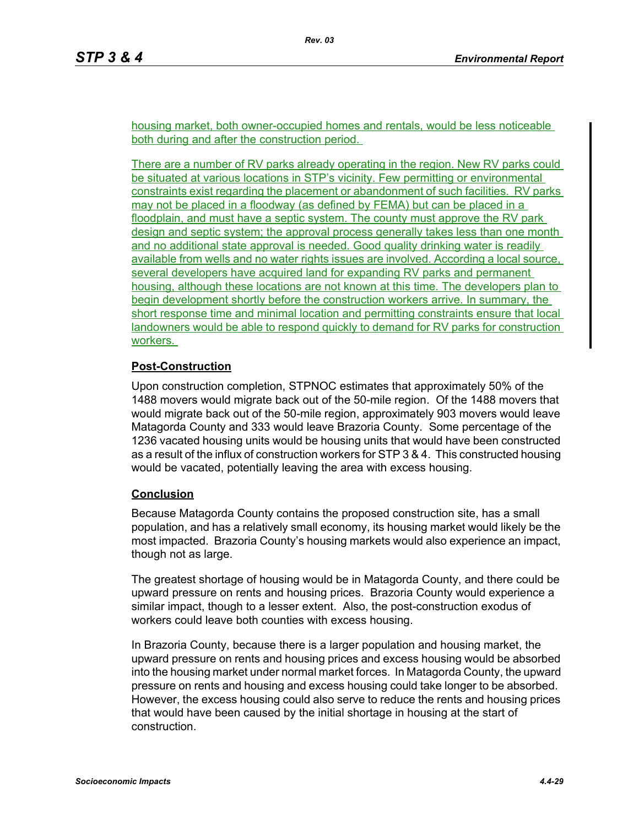housing market, both owner-occupied homes and rentals, would be less noticeable both during and after the construction period.

There are a number of RV parks already operating in the region. New RV parks could be situated at various locations in STP's vicinity. Few permitting or environmental constraints exist regarding the placement or abandonment of such facilities. RV parks may not be placed in a floodway (as defined by FEMA) but can be placed in a floodplain, and must have a septic system. The county must approve the RV park design and septic system; the approval process generally takes less than one month and no additional state approval is needed. Good quality drinking water is readily available from wells and no water rights issues are involved. According a local source, several developers have acquired land for expanding RV parks and permanent housing, although these locations are not known at this time. The developers plan to begin development shortly before the construction workers arrive. In summary, the short response time and minimal location and permitting constraints ensure that local landowners would be able to respond quickly to demand for RV parks for construction workers.

## **Post-Construction**

Upon construction completion, STPNOC estimates that approximately 50% of the 1488 movers would migrate back out of the 50-mile region. Of the 1488 movers that would migrate back out of the 50-mile region, approximately 903 movers would leave Matagorda County and 333 would leave Brazoria County. Some percentage of the 1236 vacated housing units would be housing units that would have been constructed as a result of the influx of construction workers for STP 3 & 4. This constructed housing would be vacated, potentially leaving the area with excess housing.

## **Conclusion**

Because Matagorda County contains the proposed construction site, has a small population, and has a relatively small economy, its housing market would likely be the most impacted. Brazoria County's housing markets would also experience an impact, though not as large.

The greatest shortage of housing would be in Matagorda County, and there could be upward pressure on rents and housing prices. Brazoria County would experience a similar impact, though to a lesser extent. Also, the post-construction exodus of workers could leave both counties with excess housing.

In Brazoria County, because there is a larger population and housing market, the upward pressure on rents and housing prices and excess housing would be absorbed into the housing market under normal market forces. In Matagorda County, the upward pressure on rents and housing and excess housing could take longer to be absorbed. However, the excess housing could also serve to reduce the rents and housing prices that would have been caused by the initial shortage in housing at the start of construction.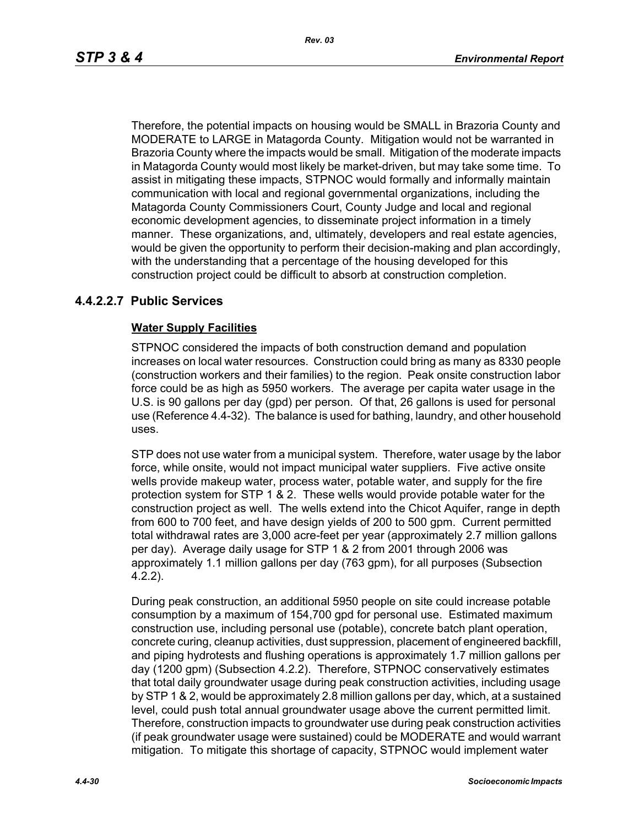Therefore, the potential impacts on housing would be SMALL in Brazoria County and MODERATE to LARGE in Matagorda County. Mitigation would not be warranted in Brazoria County where the impacts would be small. Mitigation of the moderate impacts in Matagorda County would most likely be market-driven, but may take some time. To assist in mitigating these impacts, STPNOC would formally and informally maintain communication with local and regional governmental organizations, including the Matagorda County Commissioners Court, County Judge and local and regional economic development agencies, to disseminate project information in a timely manner. These organizations, and, ultimately, developers and real estate agencies, would be given the opportunity to perform their decision-making and plan accordingly, with the understanding that a percentage of the housing developed for this construction project could be difficult to absorb at construction completion.

## **4.4.2.2.7 Public Services**

## **Water Supply Facilities**

STPNOC considered the impacts of both construction demand and population increases on local water resources. Construction could bring as many as 8330 people (construction workers and their families) to the region. Peak onsite construction labor force could be as high as 5950 workers. The average per capita water usage in the U.S. is 90 gallons per day (gpd) per person. Of that, 26 gallons is used for personal use (Reference 4.4-32). The balance is used for bathing, laundry, and other household uses.

STP does not use water from a municipal system. Therefore, water usage by the labor force, while onsite, would not impact municipal water suppliers. Five active onsite wells provide makeup water, process water, potable water, and supply for the fire protection system for STP 1 & 2. These wells would provide potable water for the construction project as well. The wells extend into the Chicot Aquifer, range in depth from 600 to 700 feet, and have design yields of 200 to 500 gpm. Current permitted total withdrawal rates are 3,000 acre-feet per year (approximately 2.7 million gallons per day). Average daily usage for STP 1 & 2 from 2001 through 2006 was approximately 1.1 million gallons per day (763 gpm), for all purposes (Subsection 4.2.2).

During peak construction, an additional 5950 people on site could increase potable consumption by a maximum of 154,700 gpd for personal use. Estimated maximum construction use, including personal use (potable), concrete batch plant operation, concrete curing, cleanup activities, dust suppression, placement of engineered backfill, and piping hydrotests and flushing operations is approximately 1.7 million gallons per day (1200 gpm) (Subsection 4.2.2). Therefore, STPNOC conservatively estimates that total daily groundwater usage during peak construction activities, including usage by STP 1 & 2, would be approximately 2.8 million gallons per day, which, at a sustained level, could push total annual groundwater usage above the current permitted limit. Therefore, construction impacts to groundwater use during peak construction activities (if peak groundwater usage were sustained) could be MODERATE and would warrant mitigation. To mitigate this shortage of capacity, STPNOC would implement water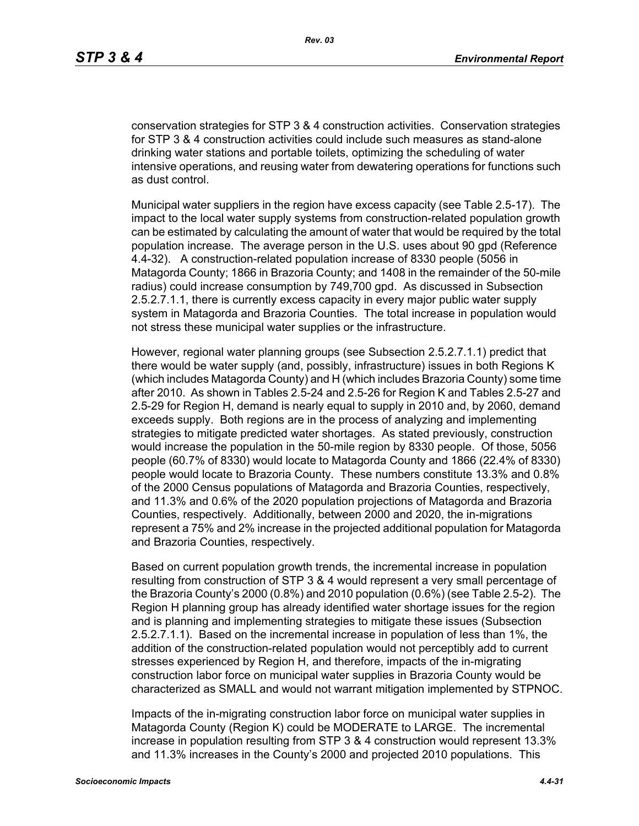conservation strategies for STP 3 & 4 construction activities. Conservation strategies for STP 3 & 4 construction activities could include such measures as stand-alone drinking water stations and portable toilets, optimizing the scheduling of water intensive operations, and reusing water from dewatering operations for functions such as dust control.

Municipal water suppliers in the region have excess capacity (see Table 2.5-17). The impact to the local water supply systems from construction-related population growth can be estimated by calculating the amount of water that would be required by the total population increase. The average person in the U.S. uses about 90 gpd (Reference 4.4-32). A construction-related population increase of 8330 people (5056 in Matagorda County; 1866 in Brazoria County; and 1408 in the remainder of the 50-mile radius) could increase consumption by 749,700 gpd. As discussed in Subsection 2.5.2.7.1.1, there is currently excess capacity in every major public water supply system in Matagorda and Brazoria Counties. The total increase in population would not stress these municipal water supplies or the infrastructure.

However, regional water planning groups (see Subsection 2.5.2.7.1.1) predict that there would be water supply (and, possibly, infrastructure) issues in both Regions K (which includes Matagorda County) and H (which includes Brazoria County) some time after 2010. As shown in Tables 2.5-24 and 2.5-26 for Region K and Tables 2.5-27 and 2.5-29 for Region H, demand is nearly equal to supply in 2010 and, by 2060, demand exceeds supply. Both regions are in the process of analyzing and implementing strategies to mitigate predicted water shortages. As stated previously, construction would increase the population in the 50-mile region by 8330 people. Of those, 5056 people (60.7% of 8330) would locate to Matagorda County and 1866 (22.4% of 8330) people would locate to Brazoria County. These numbers constitute 13.3% and 0.8% of the 2000 Census populations of Matagorda and Brazoria Counties, respectively, and 11.3% and 0.6% of the 2020 population projections of Matagorda and Brazoria Counties, respectively. Additionally, between 2000 and 2020, the in-migrations represent a 75% and 2% increase in the projected additional population for Matagorda and Brazoria Counties, respectively.

Based on current population growth trends, the incremental increase in population resulting from construction of STP 3 & 4 would represent a very small percentage of the Brazoria County's 2000 (0.8%) and 2010 population (0.6%) (see Table 2.5-2). The Region H planning group has already identified water shortage issues for the region and is planning and implementing strategies to mitigate these issues (Subsection 2.5.2.7.1.1). Based on the incremental increase in population of less than 1%, the addition of the construction-related population would not perceptibly add to current stresses experienced by Region H, and therefore, impacts of the in-migrating construction labor force on municipal water supplies in Brazoria County would be characterized as SMALL and would not warrant mitigation implemented by STPNOC.

Impacts of the in-migrating construction labor force on municipal water supplies in Matagorda County (Region K) could be MODERATE to LARGE. The incremental increase in population resulting from STP 3 & 4 construction would represent 13.3% and 11.3% increases in the County's 2000 and projected 2010 populations. This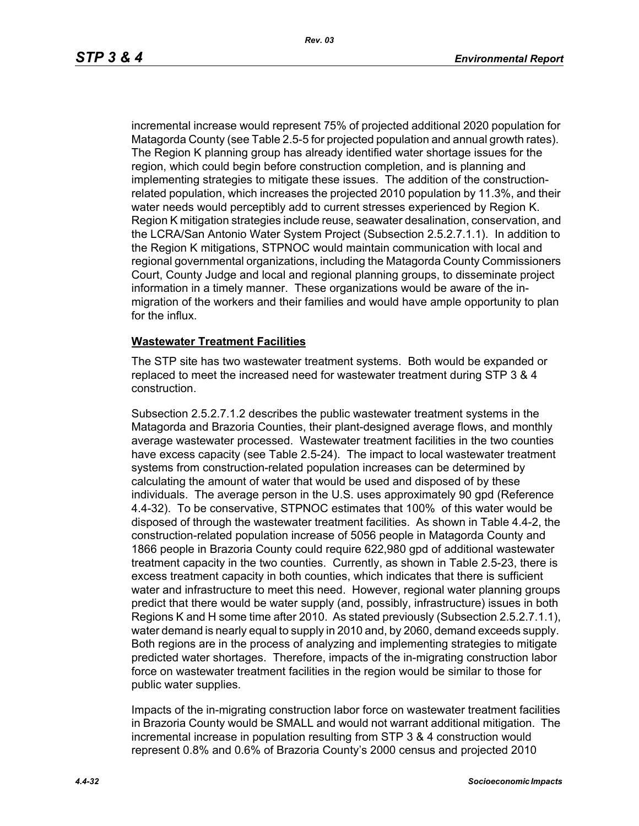incremental increase would represent 75% of projected additional 2020 population for Matagorda County (see Table 2.5-5 for projected population and annual growth rates). The Region K planning group has already identified water shortage issues for the region, which could begin before construction completion, and is planning and implementing strategies to mitigate these issues. The addition of the constructionrelated population, which increases the projected 2010 population by 11.3%, and their water needs would perceptibly add to current stresses experienced by Region K. Region K mitigation strategies include reuse, seawater desalination, conservation, and the LCRA/San Antonio Water System Project (Subsection 2.5.2.7.1.1). In addition to the Region K mitigations, STPNOC would maintain communication with local and regional governmental organizations, including the Matagorda County Commissioners Court, County Judge and local and regional planning groups, to disseminate project information in a timely manner. These organizations would be aware of the inmigration of the workers and their families and would have ample opportunity to plan for the influx.

## **Wastewater Treatment Facilities**

The STP site has two wastewater treatment systems. Both would be expanded or replaced to meet the increased need for wastewater treatment during STP 3 & 4 construction.

Subsection 2.5.2.7.1.2 describes the public wastewater treatment systems in the Matagorda and Brazoria Counties, their plant-designed average flows, and monthly average wastewater processed. Wastewater treatment facilities in the two counties have excess capacity (see Table 2.5-24). The impact to local wastewater treatment systems from construction-related population increases can be determined by calculating the amount of water that would be used and disposed of by these individuals. The average person in the U.S. uses approximately 90 gpd (Reference 4.4-32). To be conservative, STPNOC estimates that 100% of this water would be disposed of through the wastewater treatment facilities. As shown in Table 4.4-2, the construction-related population increase of 5056 people in Matagorda County and 1866 people in Brazoria County could require 622,980 gpd of additional wastewater treatment capacity in the two counties. Currently, as shown in Table 2.5-23, there is excess treatment capacity in both counties, which indicates that there is sufficient water and infrastructure to meet this need. However, regional water planning groups predict that there would be water supply (and, possibly, infrastructure) issues in both Regions K and H some time after 2010. As stated previously (Subsection 2.5.2.7.1.1), water demand is nearly equal to supply in 2010 and, by 2060, demand exceeds supply. Both regions are in the process of analyzing and implementing strategies to mitigate predicted water shortages. Therefore, impacts of the in-migrating construction labor force on wastewater treatment facilities in the region would be similar to those for public water supplies.

Impacts of the in-migrating construction labor force on wastewater treatment facilities in Brazoria County would be SMALL and would not warrant additional mitigation. The incremental increase in population resulting from STP 3 & 4 construction would represent 0.8% and 0.6% of Brazoria County's 2000 census and projected 2010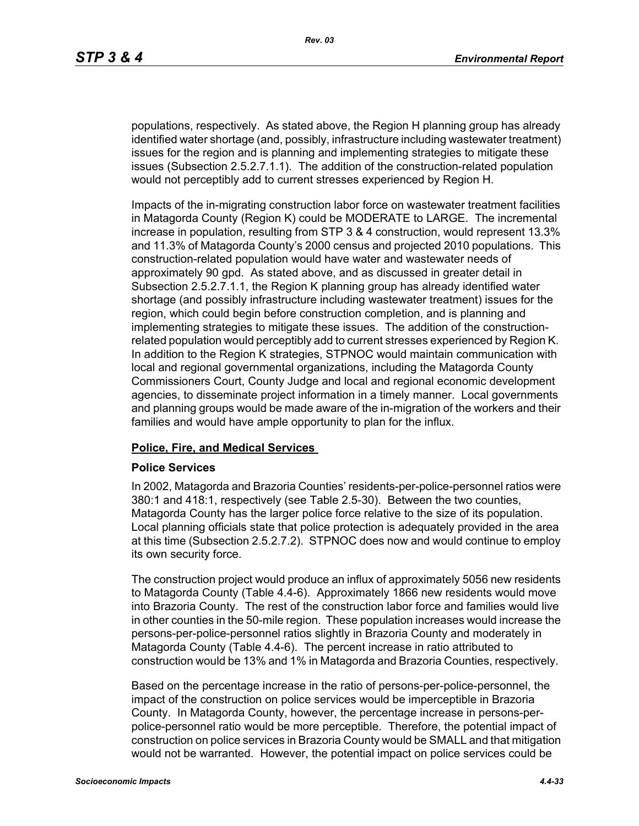populations, respectively. As stated above, the Region H planning group has already identified water shortage (and, possibly, infrastructure including wastewater treatment) issues for the region and is planning and implementing strategies to mitigate these issues (Subsection 2.5.2.7.1.1). The addition of the construction-related population would not perceptibly add to current stresses experienced by Region H.

Impacts of the in-migrating construction labor force on wastewater treatment facilities in Matagorda County (Region K) could be MODERATE to LARGE. The incremental increase in population, resulting from STP 3 & 4 construction, would represent 13.3% and 11.3% of Matagorda County's 2000 census and projected 2010 populations. This construction-related population would have water and wastewater needs of approximately 90 gpd. As stated above, and as discussed in greater detail in Subsection 2.5.2.7.1.1, the Region K planning group has already identified water shortage (and possibly infrastructure including wastewater treatment) issues for the region, which could begin before construction completion, and is planning and implementing strategies to mitigate these issues. The addition of the constructionrelated population would perceptibly add to current stresses experienced by Region K. In addition to the Region K strategies, STPNOC would maintain communication with local and regional governmental organizations, including the Matagorda County Commissioners Court, County Judge and local and regional economic development agencies, to disseminate project information in a timely manner. Local governments and planning groups would be made aware of the in-migration of the workers and their families and would have ample opportunity to plan for the influx.

#### **Police, Fire, and Medical Services**

#### **Police Services**

In 2002, Matagorda and Brazoria Counties' residents-per-police-personnel ratios were 380:1 and 418:1, respectively (see Table 2.5-30). Between the two counties, Matagorda County has the larger police force relative to the size of its population. Local planning officials state that police protection is adequately provided in the area at this time (Subsection 2.5.2.7.2). STPNOC does now and would continue to employ its own security force.

The construction project would produce an influx of approximately 5056 new residents to Matagorda County (Table 4.4-6). Approximately 1866 new residents would move into Brazoria County. The rest of the construction labor force and families would live in other counties in the 50-mile region. These population increases would increase the persons-per-police-personnel ratios slightly in Brazoria County and moderately in Matagorda County (Table 4.4-6). The percent increase in ratio attributed to construction would be 13% and 1% in Matagorda and Brazoria Counties, respectively.

Based on the percentage increase in the ratio of persons-per-police-personnel, the impact of the construction on police services would be imperceptible in Brazoria County. In Matagorda County, however, the percentage increase in persons-perpolice-personnel ratio would be more perceptible. Therefore, the potential impact of construction on police services in Brazoria County would be SMALL and that mitigation would not be warranted. However, the potential impact on police services could be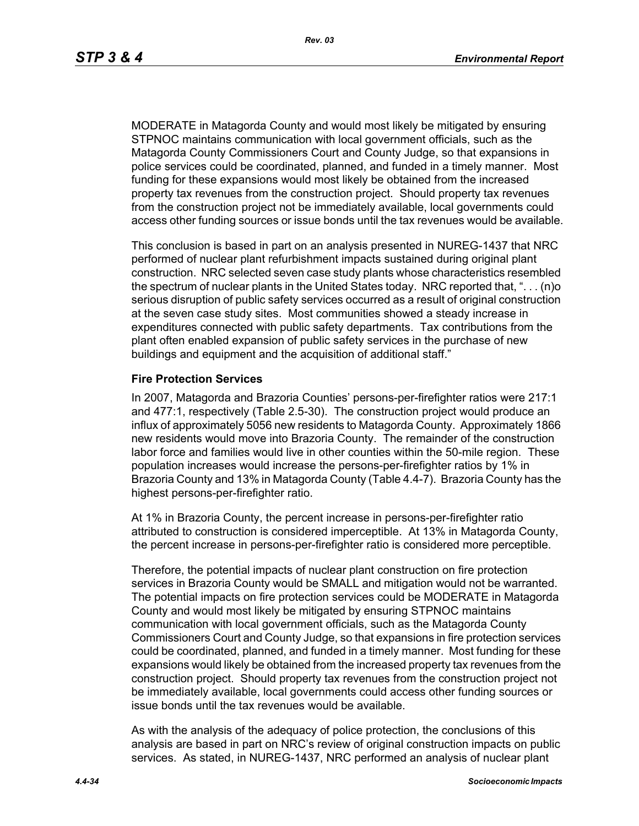MODERATE in Matagorda County and would most likely be mitigated by ensuring STPNOC maintains communication with local government officials, such as the Matagorda County Commissioners Court and County Judge, so that expansions in police services could be coordinated, planned, and funded in a timely manner. Most funding for these expansions would most likely be obtained from the increased property tax revenues from the construction project. Should property tax revenues from the construction project not be immediately available, local governments could access other funding sources or issue bonds until the tax revenues would be available.

This conclusion is based in part on an analysis presented in NUREG-1437 that NRC performed of nuclear plant refurbishment impacts sustained during original plant construction. NRC selected seven case study plants whose characteristics resembled the spectrum of nuclear plants in the United States today. NRC reported that, ". . . (n)o serious disruption of public safety services occurred as a result of original construction at the seven case study sites. Most communities showed a steady increase in expenditures connected with public safety departments. Tax contributions from the plant often enabled expansion of public safety services in the purchase of new buildings and equipment and the acquisition of additional staff."

#### **Fire Protection Services**

In 2007, Matagorda and Brazoria Counties' persons-per-firefighter ratios were 217:1 and 477:1, respectively (Table 2.5-30). The construction project would produce an influx of approximately 5056 new residents to Matagorda County. Approximately 1866 new residents would move into Brazoria County. The remainder of the construction labor force and families would live in other counties within the 50-mile region. These population increases would increase the persons-per-firefighter ratios by 1% in Brazoria County and 13% in Matagorda County (Table 4.4-7). Brazoria County has the highest persons-per-firefighter ratio.

At 1% in Brazoria County, the percent increase in persons-per-firefighter ratio attributed to construction is considered imperceptible. At 13% in Matagorda County, the percent increase in persons-per-firefighter ratio is considered more perceptible.

Therefore, the potential impacts of nuclear plant construction on fire protection services in Brazoria County would be SMALL and mitigation would not be warranted. The potential impacts on fire protection services could be MODERATE in Matagorda County and would most likely be mitigated by ensuring STPNOC maintains communication with local government officials, such as the Matagorda County Commissioners Court and County Judge, so that expansions in fire protection services could be coordinated, planned, and funded in a timely manner. Most funding for these expansions would likely be obtained from the increased property tax revenues from the construction project. Should property tax revenues from the construction project not be immediately available, local governments could access other funding sources or issue bonds until the tax revenues would be available.

As with the analysis of the adequacy of police protection, the conclusions of this analysis are based in part on NRC's review of original construction impacts on public services. As stated, in NUREG-1437, NRC performed an analysis of nuclear plant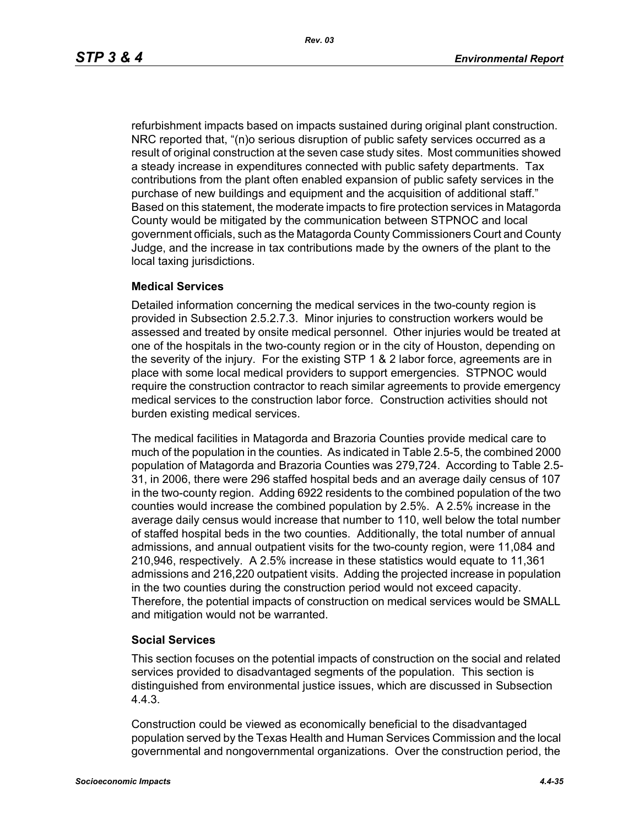refurbishment impacts based on impacts sustained during original plant construction. NRC reported that, "(n)o serious disruption of public safety services occurred as a result of original construction at the seven case study sites. Most communities showed a steady increase in expenditures connected with public safety departments. Tax contributions from the plant often enabled expansion of public safety services in the purchase of new buildings and equipment and the acquisition of additional staff." Based on this statement, the moderate impacts to fire protection services in Matagorda County would be mitigated by the communication between STPNOC and local government officials, such as the Matagorda County Commissioners Court and County Judge, and the increase in tax contributions made by the owners of the plant to the local taxing jurisdictions.

## **Medical Services**

Detailed information concerning the medical services in the two-county region is provided in Subsection 2.5.2.7.3. Minor injuries to construction workers would be assessed and treated by onsite medical personnel. Other injuries would be treated at one of the hospitals in the two-county region or in the city of Houston, depending on the severity of the injury. For the existing STP 1 & 2 labor force, agreements are in place with some local medical providers to support emergencies. STPNOC would require the construction contractor to reach similar agreements to provide emergency medical services to the construction labor force. Construction activities should not burden existing medical services.

The medical facilities in Matagorda and Brazoria Counties provide medical care to much of the population in the counties. As indicated in Table 2.5-5, the combined 2000 population of Matagorda and Brazoria Counties was 279,724. According to Table 2.5- 31, in 2006, there were 296 staffed hospital beds and an average daily census of 107 in the two-county region. Adding 6922 residents to the combined population of the two counties would increase the combined population by 2.5%. A 2.5% increase in the average daily census would increase that number to 110, well below the total number of staffed hospital beds in the two counties. Additionally, the total number of annual admissions, and annual outpatient visits for the two-county region, were 11,084 and 210,946, respectively. A 2.5% increase in these statistics would equate to 11,361 admissions and 216,220 outpatient visits. Adding the projected increase in population in the two counties during the construction period would not exceed capacity. Therefore, the potential impacts of construction on medical services would be SMALL and mitigation would not be warranted.

#### **Social Services**

This section focuses on the potential impacts of construction on the social and related services provided to disadvantaged segments of the population. This section is distinguished from environmental justice issues, which are discussed in Subsection 4.4.3.

Construction could be viewed as economically beneficial to the disadvantaged population served by the Texas Health and Human Services Commission and the local governmental and nongovernmental organizations. Over the construction period, the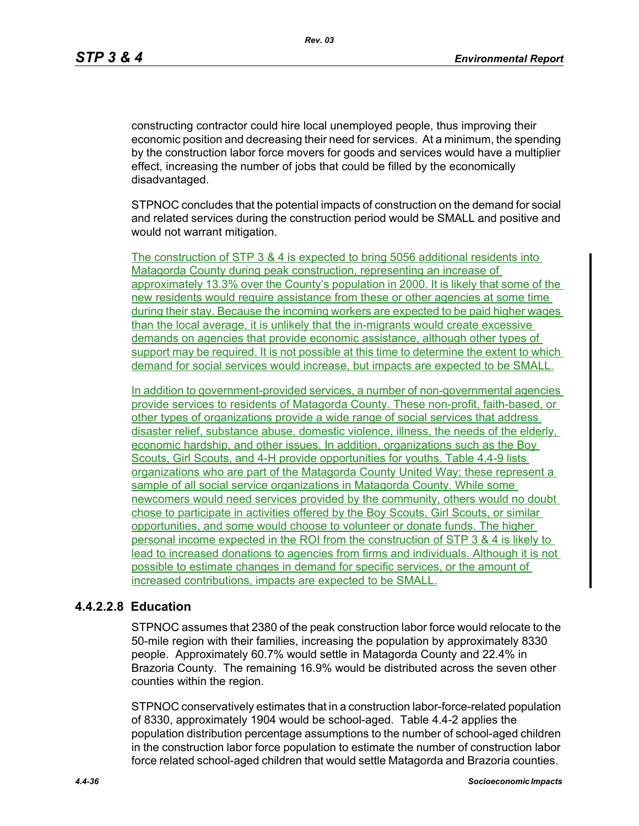constructing contractor could hire local unemployed people, thus improving their economic position and decreasing their need for services. At a minimum, the spending by the construction labor force movers for goods and services would have a multiplier effect, increasing the number of jobs that could be filled by the economically disadvantaged.

STPNOC concludes that the potential impacts of construction on the demand for social and related services during the construction period would be SMALL and positive and would not warrant mitigation.

The construction of STP 3 & 4 is expected to bring 5056 additional residents into Matagorda County during peak construction, representing an increase of approximately 13.3% over the County's population in 2000. It is likely that some of the new residents would require assistance from these or other agencies at some time during their stay. Because the incoming workers are expected to be paid higher wages than the local average, it is unlikely that the in-migrants would create excessive demands on agencies that provide economic assistance, although other types of support may be required. It is not possible at this time to determine the extent to which demand for social services would increase, but impacts are expected to be SMALL.

In addition to government-provided services, a number of non-governmental agencies provide services to residents of Matagorda County. These non-profit, faith-based, or other types of organizations provide a wide range of social services that address disaster relief, substance abuse, domestic violence, illness, the needs of the elderly, economic hardship, and other issues. In addition, organizations such as the Boy Scouts, Girl Scouts, and 4-H provide opportunities for youths. Table 4.4-9 lists organizations who are part of the Matagorda County United Way; these represent a sample of all social service organizations in Matagorda County. While some newcomers would need services provided by the community, others would no doubt chose to participate in activities offered by the Boy Scouts, Girl Scouts, or similar opportunities, and some would choose to volunteer or donate funds. The higher personal income expected in the ROI from the construction of STP 3 & 4 is likely to lead to increased donations to agencies from firms and individuals. Although it is not possible to estimate changes in demand for specific services, or the amount of increased contributions, impacts are expected to be SMALL.

## **4.4.2.2.8 Education**

STPNOC assumes that 2380 of the peak construction labor force would relocate to the 50-mile region with their families, increasing the population by approximately 8330 people. Approximately 60.7% would settle in Matagorda County and 22.4% in Brazoria County. The remaining 16.9% would be distributed across the seven other counties within the region.

STPNOC conservatively estimates that in a construction labor-force-related population of 8330, approximately 1904 would be school-aged. Table 4.4-2 applies the population distribution percentage assumptions to the number of school-aged children in the construction labor force population to estimate the number of construction labor force related school-aged children that would settle Matagorda and Brazoria counties.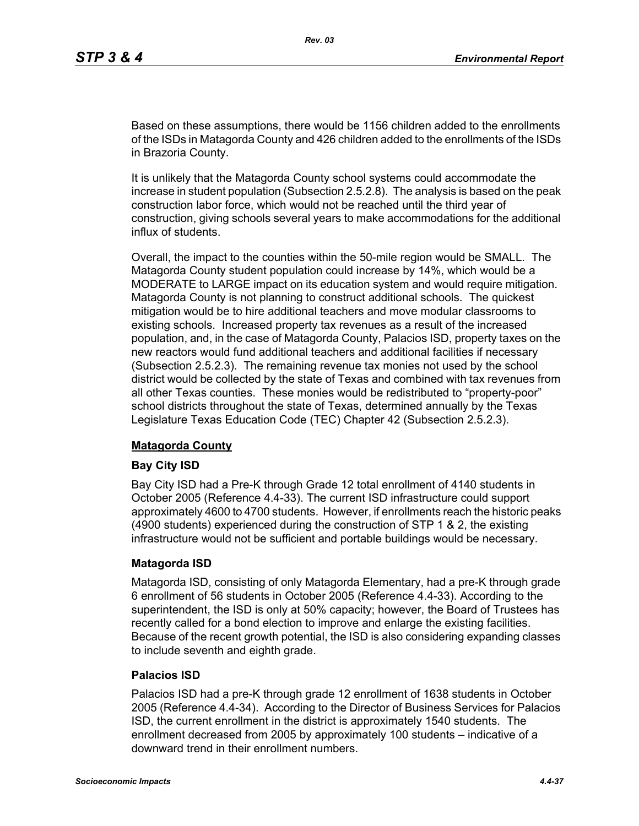Based on these assumptions, there would be 1156 children added to the enrollments of the ISDs in Matagorda County and 426 children added to the enrollments of the ISDs in Brazoria County.

It is unlikely that the Matagorda County school systems could accommodate the increase in student population (Subsection 2.5.2.8). The analysis is based on the peak construction labor force, which would not be reached until the third year of construction, giving schools several years to make accommodations for the additional influx of students.

Overall, the impact to the counties within the 50-mile region would be SMALL. The Matagorda County student population could increase by 14%, which would be a MODERATE to LARGE impact on its education system and would require mitigation. Matagorda County is not planning to construct additional schools. The quickest mitigation would be to hire additional teachers and move modular classrooms to existing schools. Increased property tax revenues as a result of the increased population, and, in the case of Matagorda County, Palacios ISD, property taxes on the new reactors would fund additional teachers and additional facilities if necessary (Subsection 2.5.2.3). The remaining revenue tax monies not used by the school district would be collected by the state of Texas and combined with tax revenues from all other Texas counties. These monies would be redistributed to "property-poor" school districts throughout the state of Texas, determined annually by the Texas Legislature Texas Education Code (TEC) Chapter 42 (Subsection 2.5.2.3).

## **Matagorda County**

#### **Bay City ISD**

Bay City ISD had a Pre-K through Grade 12 total enrollment of 4140 students in October 2005 (Reference 4.4-33). The current ISD infrastructure could support approximately 4600 to 4700 students. However, if enrollments reach the historic peaks (4900 students) experienced during the construction of STP 1 & 2, the existing infrastructure would not be sufficient and portable buildings would be necessary.

#### **Matagorda ISD**

Matagorda ISD, consisting of only Matagorda Elementary, had a pre-K through grade 6 enrollment of 56 students in October 2005 (Reference 4.4-33). According to the superintendent, the ISD is only at 50% capacity; however, the Board of Trustees has recently called for a bond election to improve and enlarge the existing facilities. Because of the recent growth potential, the ISD is also considering expanding classes to include seventh and eighth grade.

#### **Palacios ISD**

Palacios ISD had a pre-K through grade 12 enrollment of 1638 students in October 2005 (Reference 4.4-34). According to the Director of Business Services for Palacios ISD, the current enrollment in the district is approximately 1540 students. The enrollment decreased from 2005 by approximately 100 students – indicative of a downward trend in their enrollment numbers.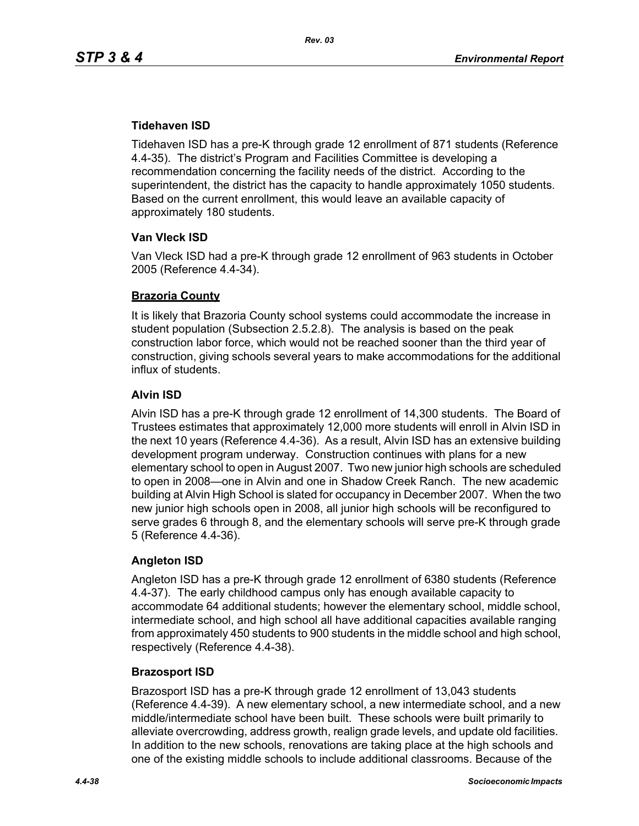## **Tidehaven ISD**

Tidehaven ISD has a pre-K through grade 12 enrollment of 871 students (Reference 4.4-35). The district's Program and Facilities Committee is developing a recommendation concerning the facility needs of the district. According to the superintendent, the district has the capacity to handle approximately 1050 students. Based on the current enrollment, this would leave an available capacity of approximately 180 students.

## **Van Vleck ISD**

Van Vleck ISD had a pre-K through grade 12 enrollment of 963 students in October 2005 (Reference 4.4-34).

## **Brazoria County**

It is likely that Brazoria County school systems could accommodate the increase in student population (Subsection 2.5.2.8). The analysis is based on the peak construction labor force, which would not be reached sooner than the third year of construction, giving schools several years to make accommodations for the additional influx of students.

## **Alvin ISD**

Alvin ISD has a pre-K through grade 12 enrollment of 14,300 students. The Board of Trustees estimates that approximately 12,000 more students will enroll in Alvin ISD in the next 10 years (Reference 4.4-36). As a result, Alvin ISD has an extensive building development program underway. Construction continues with plans for a new elementary school to open in August 2007. Two new junior high schools are scheduled to open in 2008—one in Alvin and one in Shadow Creek Ranch. The new academic building at Alvin High School is slated for occupancy in December 2007. When the two new junior high schools open in 2008, all junior high schools will be reconfigured to serve grades 6 through 8, and the elementary schools will serve pre-K through grade 5 (Reference 4.4-36).

## **Angleton ISD**

Angleton ISD has a pre-K through grade 12 enrollment of 6380 students (Reference 4.4-37). The early childhood campus only has enough available capacity to accommodate 64 additional students; however the elementary school, middle school, intermediate school, and high school all have additional capacities available ranging from approximately 450 students to 900 students in the middle school and high school, respectively (Reference 4.4-38).

## **Brazosport ISD**

Brazosport ISD has a pre-K through grade 12 enrollment of 13,043 students (Reference 4.4-39). A new elementary school, a new intermediate school, and a new middle/intermediate school have been built. These schools were built primarily to alleviate overcrowding, address growth, realign grade levels, and update old facilities. In addition to the new schools, renovations are taking place at the high schools and one of the existing middle schools to include additional classrooms. Because of the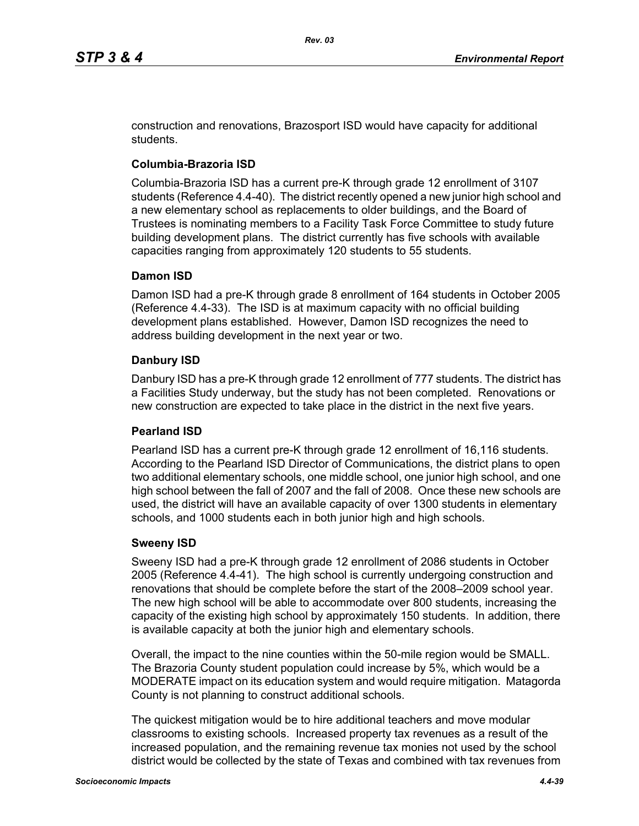construction and renovations, Brazosport ISD would have capacity for additional students.

## **Columbia-Brazoria ISD**

Columbia-Brazoria ISD has a current pre-K through grade 12 enrollment of 3107 students (Reference 4.4-40). The district recently opened a new junior high school and a new elementary school as replacements to older buildings, and the Board of Trustees is nominating members to a Facility Task Force Committee to study future building development plans. The district currently has five schools with available capacities ranging from approximately 120 students to 55 students.

## **Damon ISD**

Damon ISD had a pre-K through grade 8 enrollment of 164 students in October 2005 (Reference 4.4-33). The ISD is at maximum capacity with no official building development plans established. However, Damon ISD recognizes the need to address building development in the next year or two.

## **Danbury ISD**

Danbury ISD has a pre-K through grade 12 enrollment of 777 students. The district has a Facilities Study underway, but the study has not been completed. Renovations or new construction are expected to take place in the district in the next five years.

#### **Pearland ISD**

Pearland ISD has a current pre-K through grade 12 enrollment of 16,116 students. According to the Pearland ISD Director of Communications, the district plans to open two additional elementary schools, one middle school, one junior high school, and one high school between the fall of 2007 and the fall of 2008. Once these new schools are used, the district will have an available capacity of over 1300 students in elementary schools, and 1000 students each in both junior high and high schools.

#### **Sweeny ISD**

Sweeny ISD had a pre-K through grade 12 enrollment of 2086 students in October 2005 (Reference 4.4-41). The high school is currently undergoing construction and renovations that should be complete before the start of the 2008–2009 school year. The new high school will be able to accommodate over 800 students, increasing the capacity of the existing high school by approximately 150 students. In addition, there is available capacity at both the junior high and elementary schools.

Overall, the impact to the nine counties within the 50-mile region would be SMALL. The Brazoria County student population could increase by 5%, which would be a MODERATE impact on its education system and would require mitigation. Matagorda County is not planning to construct additional schools.

The quickest mitigation would be to hire additional teachers and move modular classrooms to existing schools. Increased property tax revenues as a result of the increased population, and the remaining revenue tax monies not used by the school district would be collected by the state of Texas and combined with tax revenues from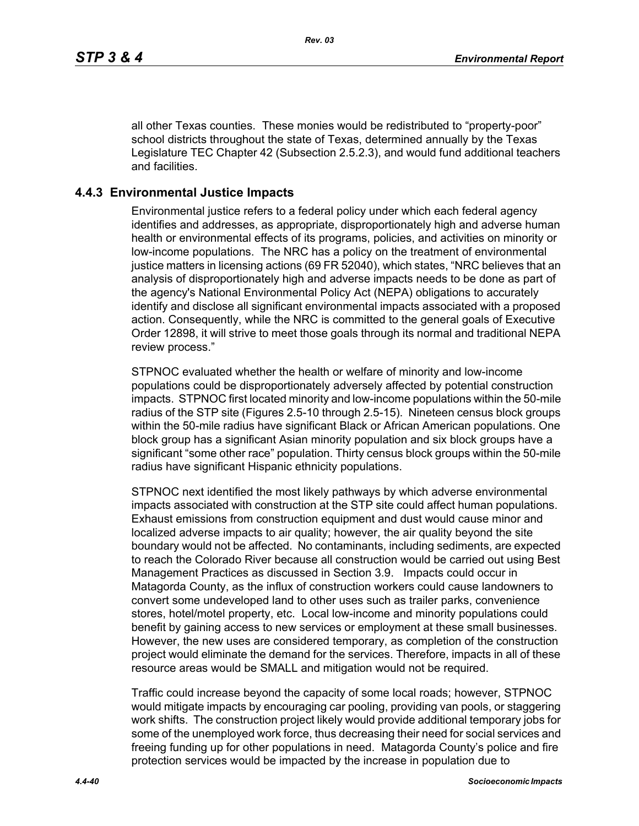all other Texas counties. These monies would be redistributed to "property-poor" school districts throughout the state of Texas, determined annually by the Texas Legislature TEC Chapter 42 (Subsection 2.5.2.3), and would fund additional teachers and facilities.

## **4.4.3 Environmental Justice Impacts**

Environmental justice refers to a federal policy under which each federal agency identifies and addresses, as appropriate, disproportionately high and adverse human health or environmental effects of its programs, policies, and activities on minority or low-income populations. The NRC has a policy on the treatment of environmental justice matters in licensing actions (69 FR 52040), which states, "NRC believes that an analysis of disproportionately high and adverse impacts needs to be done as part of the agency's National Environmental Policy Act (NEPA) obligations to accurately identify and disclose all significant environmental impacts associated with a proposed action. Consequently, while the NRC is committed to the general goals of Executive Order 12898, it will strive to meet those goals through its normal and traditional NEPA review process."

STPNOC evaluated whether the health or welfare of minority and low-income populations could be disproportionately adversely affected by potential construction impacts. STPNOC first located minority and low-income populations within the 50-mile radius of the STP site (Figures 2.5-10 through 2.5-15). Nineteen census block groups within the 50-mile radius have significant Black or African American populations. One block group has a significant Asian minority population and six block groups have a significant "some other race" population. Thirty census block groups within the 50-mile radius have significant Hispanic ethnicity populations.

STPNOC next identified the most likely pathways by which adverse environmental impacts associated with construction at the STP site could affect human populations. Exhaust emissions from construction equipment and dust would cause minor and localized adverse impacts to air quality; however, the air quality beyond the site boundary would not be affected. No contaminants, including sediments, are expected to reach the Colorado River because all construction would be carried out using Best Management Practices as discussed in Section 3.9. Impacts could occur in Matagorda County, as the influx of construction workers could cause landowners to convert some undeveloped land to other uses such as trailer parks, convenience stores, hotel/motel property, etc. Local low-income and minority populations could benefit by gaining access to new services or employment at these small businesses. However, the new uses are considered temporary, as completion of the construction project would eliminate the demand for the services. Therefore, impacts in all of these resource areas would be SMALL and mitigation would not be required.

Traffic could increase beyond the capacity of some local roads; however, STPNOC would mitigate impacts by encouraging car pooling, providing van pools, or staggering work shifts. The construction project likely would provide additional temporary jobs for some of the unemployed work force, thus decreasing their need for social services and freeing funding up for other populations in need. Matagorda County's police and fire protection services would be impacted by the increase in population due to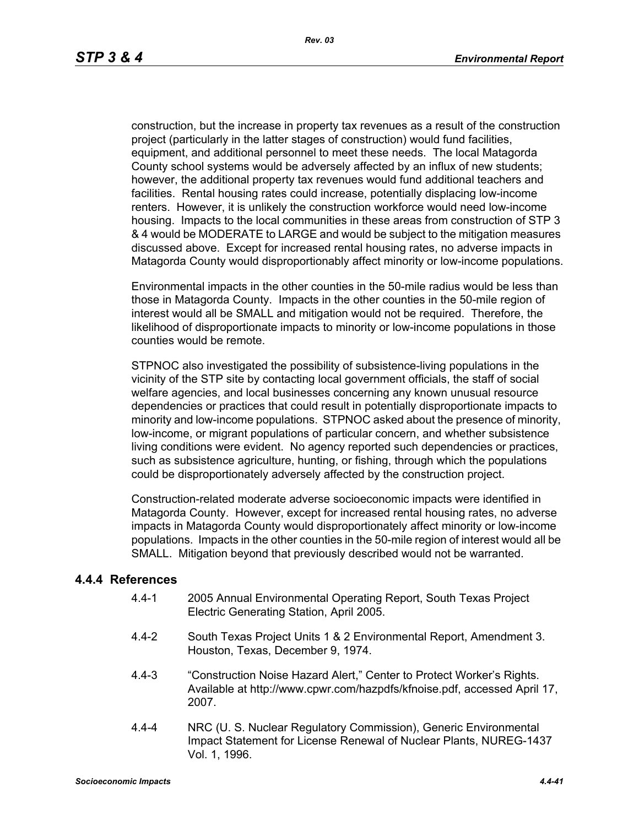construction, but the increase in property tax revenues as a result of the construction project (particularly in the latter stages of construction) would fund facilities, equipment, and additional personnel to meet these needs. The local Matagorda County school systems would be adversely affected by an influx of new students; however, the additional property tax revenues would fund additional teachers and facilities. Rental housing rates could increase, potentially displacing low-income renters. However, it is unlikely the construction workforce would need low-income housing. Impacts to the local communities in these areas from construction of STP 3 & 4 would be MODERATE to LARGE and would be subject to the mitigation measures discussed above. Except for increased rental housing rates, no adverse impacts in Matagorda County would disproportionably affect minority or low-income populations.

Environmental impacts in the other counties in the 50-mile radius would be less than those in Matagorda County. Impacts in the other counties in the 50-mile region of interest would all be SMALL and mitigation would not be required. Therefore, the likelihood of disproportionate impacts to minority or low-income populations in those counties would be remote.

STPNOC also investigated the possibility of subsistence-living populations in the vicinity of the STP site by contacting local government officials, the staff of social welfare agencies, and local businesses concerning any known unusual resource dependencies or practices that could result in potentially disproportionate impacts to minority and low-income populations. STPNOC asked about the presence of minority, low-income, or migrant populations of particular concern, and whether subsistence living conditions were evident. No agency reported such dependencies or practices, such as subsistence agriculture, hunting, or fishing, through which the populations could be disproportionately adversely affected by the construction project.

Construction-related moderate adverse socioeconomic impacts were identified in Matagorda County. However, except for increased rental housing rates, no adverse impacts in Matagorda County would disproportionately affect minority or low-income populations. Impacts in the other counties in the 50-mile region of interest would all be SMALL. Mitigation beyond that previously described would not be warranted.

## **4.4.4 References**

- 4.4-1 2005 Annual Environmental Operating Report, South Texas Project Electric Generating Station, April 2005.
- 4.4-2 South Texas Project Units 1 & 2 Environmental Report, Amendment 3. Houston, Texas, December 9, 1974.
- 4.4-3 "Construction Noise Hazard Alert," Center to Protect Worker's Rights. Available at http://www.cpwr.com/hazpdfs/kfnoise.pdf, accessed April 17, 2007.
- 4.4-4 NRC (U. S. Nuclear Regulatory Commission), Generic Environmental Impact Statement for License Renewal of Nuclear Plants, NUREG-1437 Vol. 1, 1996.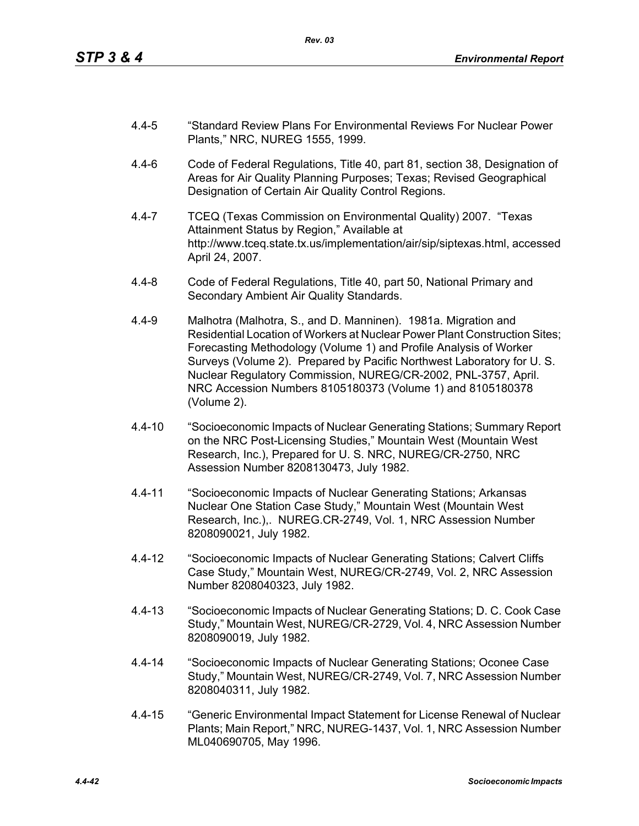- 4.4-5 "Standard Review Plans For Environmental Reviews For Nuclear Power Plants," NRC, NUREG 1555, 1999.
- 4.4-6 Code of Federal Regulations, Title 40, part 81, section 38, Designation of Areas for Air Quality Planning Purposes; Texas; Revised Geographical Designation of Certain Air Quality Control Regions.
- 4.4-7 TCEQ (Texas Commission on Environmental Quality) 2007. "Texas Attainment Status by Region," Available at http://www.tceq.state.tx.us/implementation/air/sip/siptexas.html, accessed April 24, 2007.
- 4.4-8 Code of Federal Regulations, Title 40, part 50, National Primary and Secondary Ambient Air Quality Standards.
- 4.4-9 Malhotra (Malhotra, S., and D. Manninen). 1981a. Migration and Residential Location of Workers at Nuclear Power Plant Construction Sites; Forecasting Methodology (Volume 1) and Profile Analysis of Worker Surveys (Volume 2). Prepared by Pacific Northwest Laboratory for U. S. Nuclear Regulatory Commission, NUREG/CR-2002, PNL-3757, April. NRC Accession Numbers 8105180373 (Volume 1) and 8105180378 (Volume 2).
- 4.4-10 "Socioeconomic Impacts of Nuclear Generating Stations; Summary Report on the NRC Post-Licensing Studies," Mountain West (Mountain West Research, Inc.), Prepared for U. S. NRC, NUREG/CR-2750, NRC Assession Number 8208130473, July 1982.
- 4.4-11 "Socioeconomic Impacts of Nuclear Generating Stations; Arkansas Nuclear One Station Case Study," Mountain West (Mountain West Research, Inc.),. NUREG.CR-2749, Vol. 1, NRC Assession Number 8208090021, July 1982.
- 4.4-12 "Socioeconomic Impacts of Nuclear Generating Stations; Calvert Cliffs Case Study," Mountain West, NUREG/CR-2749, Vol. 2, NRC Assession Number 8208040323, July 1982.
- 4.4-13 "Socioeconomic Impacts of Nuclear Generating Stations; D. C. Cook Case Study," Mountain West, NUREG/CR-2729, Vol. 4, NRC Assession Number 8208090019, July 1982.
- 4.4-14 "Socioeconomic Impacts of Nuclear Generating Stations; Oconee Case Study," Mountain West, NUREG/CR-2749, Vol. 7, NRC Assession Number 8208040311, July 1982.
- 4.4-15 "Generic Environmental Impact Statement for License Renewal of Nuclear Plants; Main Report," NRC, NUREG-1437, Vol. 1, NRC Assession Number ML040690705, May 1996.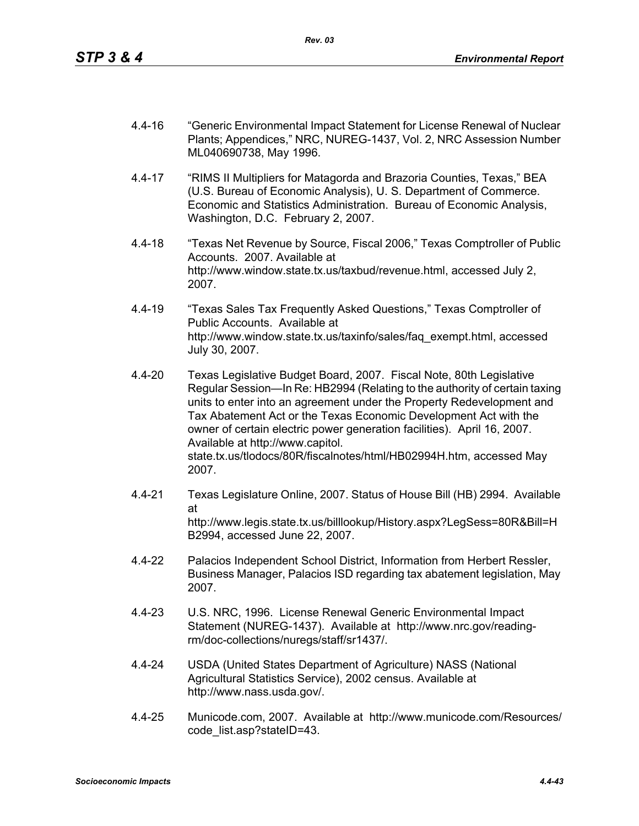- 4.4-16 "Generic Environmental Impact Statement for License Renewal of Nuclear Plants; Appendices," NRC, NUREG-1437, Vol. 2, NRC Assession Number ML040690738, May 1996.
- 4.4-17 "RIMS II Multipliers for Matagorda and Brazoria Counties, Texas," BEA (U.S. Bureau of Economic Analysis), U. S. Department of Commerce. Economic and Statistics Administration. Bureau of Economic Analysis, Washington, D.C. February 2, 2007.
- 4.4-18 "Texas Net Revenue by Source, Fiscal 2006," Texas Comptroller of Public Accounts. 2007. Available at http://www.window.state.tx.us/taxbud/revenue.html, accessed July 2, 2007.
- 4.4-19 "Texas Sales Tax Frequently Asked Questions," Texas Comptroller of Public Accounts. Available at http://www.window.state.tx.us/taxinfo/sales/faq\_exempt.html, accessed July 30, 2007.
- 4.4-20 Texas Legislative Budget Board, 2007. Fiscal Note, 80th Legislative Regular Session—In Re: HB2994 (Relating to the authority of certain taxing units to enter into an agreement under the Property Redevelopment and Tax Abatement Act or the Texas Economic Development Act with the owner of certain electric power generation facilities). April 16, 2007. Available at http://www.capitol. state.tx.us/tlodocs/80R/fiscalnotes/html/HB02994H.htm, accessed May 2007.
- 4.4-21 Texas Legislature Online, 2007. Status of House Bill (HB) 2994. Available at http://www.legis.state.tx.us/billlookup/History.aspx?LegSess=80R&Bill=H B2994, accessed June 22, 2007.
- 4.4-22 Palacios Independent School District, Information from Herbert Ressler, Business Manager, Palacios ISD regarding tax abatement legislation, May 2007.
- 4.4-23 U.S. NRC, 1996. License Renewal Generic Environmental Impact Statement (NUREG-1437). Available at http://www.nrc.gov/readingrm/doc-collections/nuregs/staff/sr1437/.
- 4.4-24 USDA (United States Department of Agriculture) NASS (National Agricultural Statistics Service), 2002 census. Available at http://www.nass.usda.gov/.
- 4.4-25 Municode.com, 2007. Available at http://www.municode.com/Resources/ code\_list.asp?stateID=43.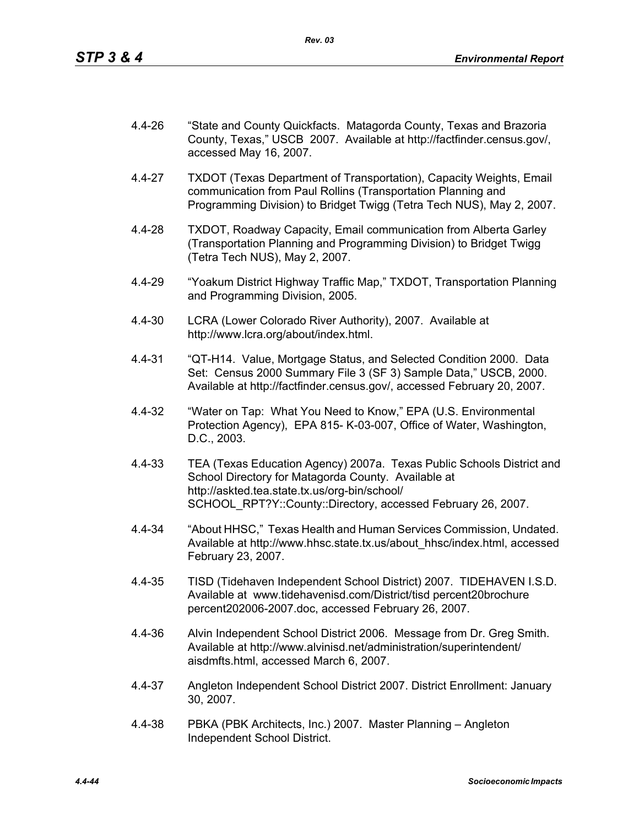4.4-26 "State and County Quickfacts. Matagorda County, Texas and Brazoria County, Texas," USCB 2007. Available at http://factfinder.census.gov/, accessed May 16, 2007.

*Rev. 03*

- 4.4-27 TXDOT (Texas Department of Transportation), Capacity Weights, Email communication from Paul Rollins (Transportation Planning and Programming Division) to Bridget Twigg (Tetra Tech NUS), May 2, 2007.
- 4.4-28 TXDOT, Roadway Capacity, Email communication from Alberta Garley (Transportation Planning and Programming Division) to Bridget Twigg (Tetra Tech NUS), May 2, 2007.
- 4.4-29 "Yoakum District Highway Traffic Map," TXDOT, Transportation Planning and Programming Division, 2005.
- 4.4-30 LCRA (Lower Colorado River Authority), 2007. Available at http://www.lcra.org/about/index.html.
- 4.4-31 "QT-H14. Value, Mortgage Status, and Selected Condition 2000. Data Set: Census 2000 Summary File 3 (SF 3) Sample Data," USCB, 2000. Available at http://factfinder.census.gov/, accessed February 20, 2007.
- 4.4-32 "Water on Tap: What You Need to Know," EPA (U.S. Environmental Protection Agency), EPA 815- K-03-007, Office of Water, Washington, D.C., 2003.
- 4.4-33 TEA (Texas Education Agency) 2007a. Texas Public Schools District and School Directory for Matagorda County. Available at http://askted.tea.state.tx.us/org-bin/school/ SCHOOL\_RPT?Y::County::Directory, accessed February 26, 2007.
- 4.4-34 "About HHSC," Texas Health and Human Services Commission, Undated. Available at http://www.hhsc.state.tx.us/about\_hhsc/index.html, accessed February 23, 2007.
- 4.4-35 TISD (Tidehaven Independent School District) 2007. TIDEHAVEN I.S.D. Available at www.tidehavenisd.com/District/tisd percent20brochure percent202006-2007.doc, accessed February 26, 2007.
- 4.4-36 Alvin Independent School District 2006. Message from Dr. Greg Smith. Available at http://www.alvinisd.net/administration/superintendent/ aisdmfts.html, accessed March 6, 2007.
- 4.4-37 Angleton Independent School District 2007. District Enrollment: January 30, 2007.
- 4.4-38 PBKA (PBK Architects, Inc.) 2007. Master Planning Angleton Independent School District.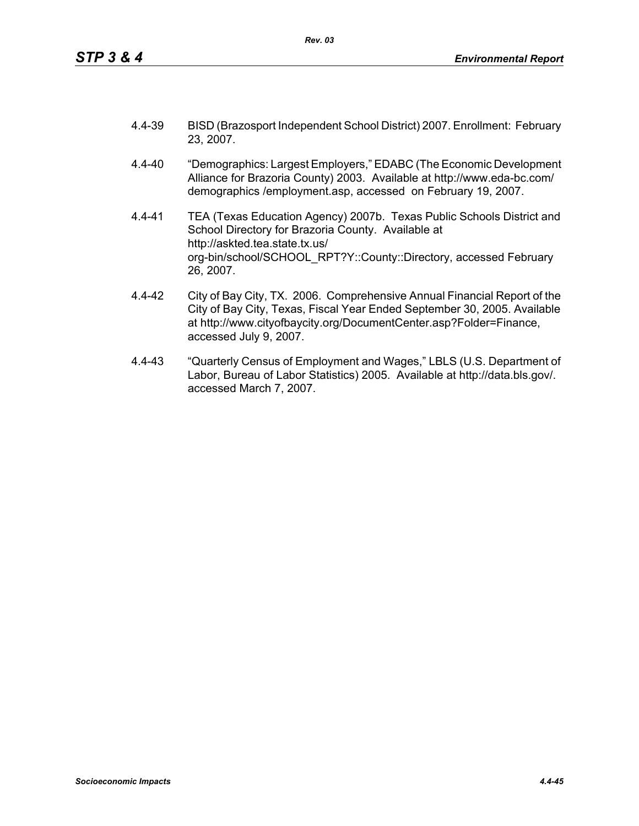- 4.4-39 BISD (Brazosport Independent School District) 2007. Enrollment: February 23, 2007.
- 4.4-40 "Demographics: Largest Employers," EDABC (The Economic Development Alliance for Brazoria County) 2003. Available at http://www.eda-bc.com/ demographics /employment.asp, accessed on February 19, 2007.
- 4.4-41 TEA (Texas Education Agency) 2007b. Texas Public Schools District and School Directory for Brazoria County. Available at http://askted.tea.state.tx.us/ org-bin/school/SCHOOL\_RPT?Y::County::Directory, accessed February 26, 2007.
- 4.4-42 City of Bay City, TX. 2006. Comprehensive Annual Financial Report of the City of Bay City, Texas, Fiscal Year Ended September 30, 2005. Available at http://www.cityofbaycity.org/DocumentCenter.asp?Folder=Finance, accessed July 9, 2007.
- 4.4-43 "Quarterly Census of Employment and Wages," LBLS (U.S. Department of Labor, Bureau of Labor Statistics) 2005. Available at http://data.bls.gov/. accessed March 7, 2007.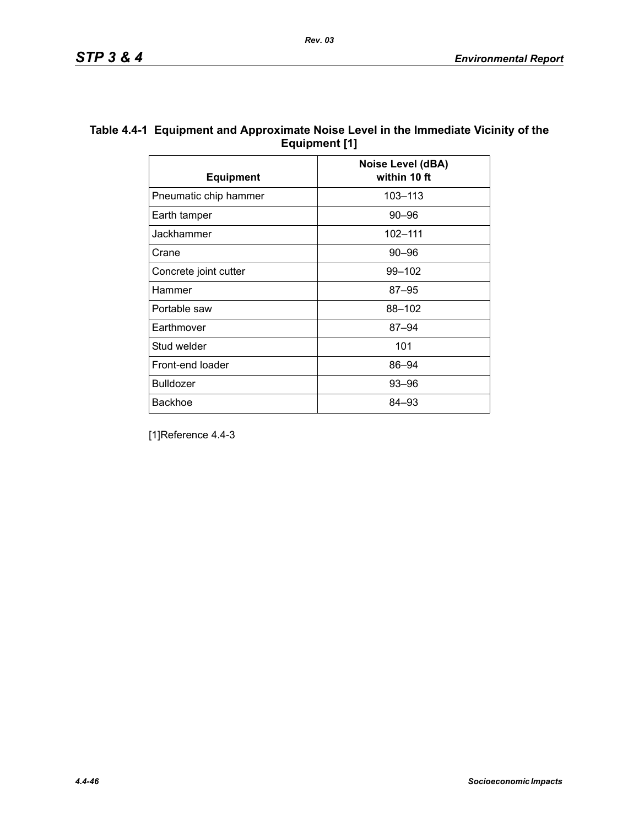| Table 4.4-1 Equipment and Approximate Noise Level in the Immediate Vicinity of the |
|------------------------------------------------------------------------------------|
| Equipment [1]                                                                      |

| <b>Equipment</b>      | Noise Level (dBA)<br>within 10 ft |
|-----------------------|-----------------------------------|
| Pneumatic chip hammer | 103-113                           |
| Earth tamper          | 90–96                             |
| Jackhammer            | 102-111                           |
| Crane                 | $90 - 96$                         |
| Concrete joint cutter | 99-102                            |
| Hammer                | $87 - 95$                         |
| Portable saw          | 88-102                            |
| Earthmover            | $87 - 94$                         |
| Stud welder           | 101                               |
| Front-end loader      | 86-94                             |
| <b>Bulldozer</b>      | 93-96                             |
| <b>Backhoe</b>        | 84–93                             |

[1]Reference 4.4-3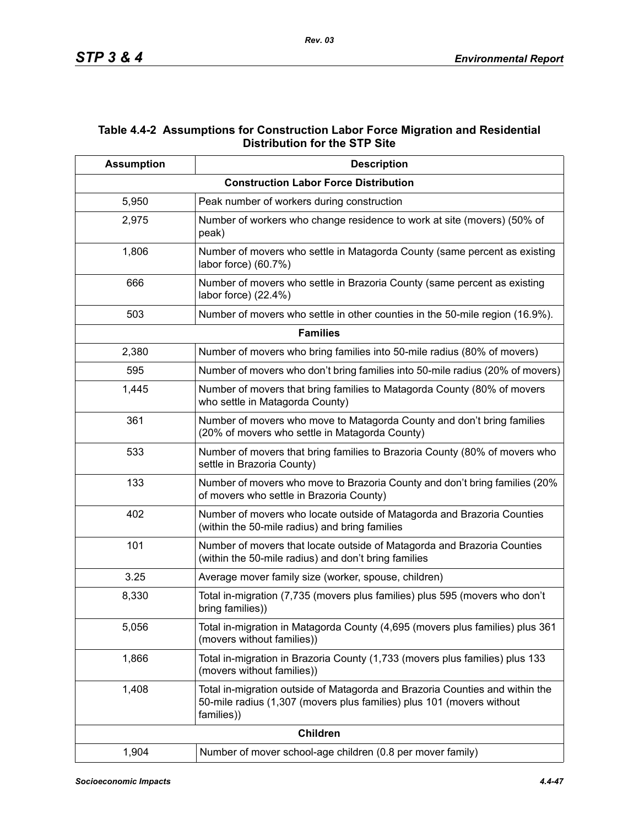## **Table 4.4-2 Assumptions for Construction Labor Force Migration and Residential Distribution for the STP Site**

| <b>Assumption</b> | <b>Description</b>                                                                                                                                                  |
|-------------------|---------------------------------------------------------------------------------------------------------------------------------------------------------------------|
|                   | <b>Construction Labor Force Distribution</b>                                                                                                                        |
| 5,950             | Peak number of workers during construction                                                                                                                          |
| 2,975             | Number of workers who change residence to work at site (movers) (50% of<br>peak)                                                                                    |
| 1,806             | Number of movers who settle in Matagorda County (same percent as existing<br>labor force) (60.7%)                                                                   |
| 666               | Number of movers who settle in Brazoria County (same percent as existing<br>labor force) (22.4%)                                                                    |
| 503               | Number of movers who settle in other counties in the 50-mile region (16.9%).                                                                                        |
|                   | <b>Families</b>                                                                                                                                                     |
| 2,380             | Number of movers who bring families into 50-mile radius (80% of movers)                                                                                             |
| 595               | Number of movers who don't bring families into 50-mile radius (20% of movers)                                                                                       |
| 1,445             | Number of movers that bring families to Matagorda County (80% of movers<br>who settle in Matagorda County)                                                          |
| 361               | Number of movers who move to Matagorda County and don't bring families<br>(20% of movers who settle in Matagorda County)                                            |
| 533               | Number of movers that bring families to Brazoria County (80% of movers who<br>settle in Brazoria County)                                                            |
| 133               | Number of movers who move to Brazoria County and don't bring families (20%<br>of movers who settle in Brazoria County)                                              |
| 402               | Number of movers who locate outside of Matagorda and Brazoria Counties<br>(within the 50-mile radius) and bring families                                            |
| 101               | Number of movers that locate outside of Matagorda and Brazoria Counties<br>(within the 50-mile radius) and don't bring families                                     |
| 3.25              | Average mover family size (worker, spouse, children)                                                                                                                |
| 8,330             | Total in-migration (7,735 (movers plus families) plus 595 (movers who don't<br>bring families))                                                                     |
| 5,056             | Total in-migration in Matagorda County (4,695 (movers plus families) plus 361<br>(movers without families))                                                         |
| 1,866             | Total in-migration in Brazoria County (1,733 (movers plus families) plus 133<br>(movers without families))                                                          |
| 1,408             | Total in-migration outside of Matagorda and Brazoria Counties and within the<br>50-mile radius (1,307 (movers plus families) plus 101 (movers without<br>families)) |
|                   | <b>Children</b>                                                                                                                                                     |
| 1,904             | Number of mover school-age children (0.8 per mover family)                                                                                                          |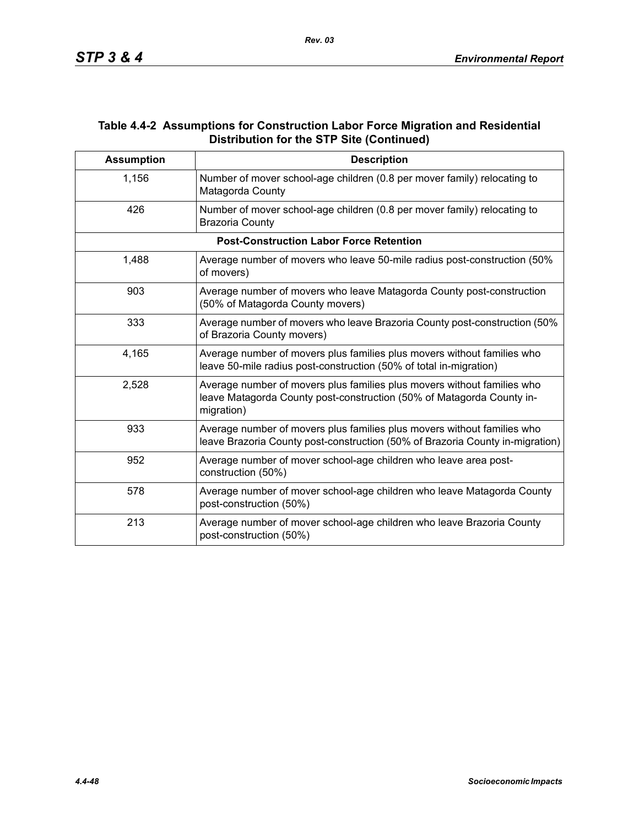## **Table 4.4-2 Assumptions for Construction Labor Force Migration and Residential Distribution for the STP Site (Continued)**

| <b>Assumption</b> | <b>Description</b>                                                                                                                                             |
|-------------------|----------------------------------------------------------------------------------------------------------------------------------------------------------------|
| 1,156             | Number of mover school-age children (0.8 per mover family) relocating to<br>Matagorda County                                                                   |
| 426               | Number of mover school-age children (0.8 per mover family) relocating to<br><b>Brazoria County</b>                                                             |
|                   | <b>Post-Construction Labor Force Retention</b>                                                                                                                 |
| 1,488             | Average number of movers who leave 50-mile radius post-construction (50%<br>of movers)                                                                         |
| 903               | Average number of movers who leave Matagorda County post-construction<br>(50% of Matagorda County movers)                                                      |
| 333               | Average number of movers who leave Brazoria County post-construction (50%<br>of Brazoria County movers)                                                        |
| 4,165             | Average number of movers plus families plus movers without families who<br>leave 50-mile radius post-construction (50% of total in-migration)                  |
| 2,528             | Average number of movers plus families plus movers without families who<br>leave Matagorda County post-construction (50% of Matagorda County in-<br>migration) |
| 933               | Average number of movers plus families plus movers without families who<br>leave Brazoria County post-construction (50% of Brazoria County in-migration)       |
| 952               | Average number of mover school-age children who leave area post-<br>construction (50%)                                                                         |
| 578               | Average number of mover school-age children who leave Matagorda County<br>post-construction (50%)                                                              |
| 213               | Average number of mover school-age children who leave Brazoria County<br>post-construction (50%)                                                               |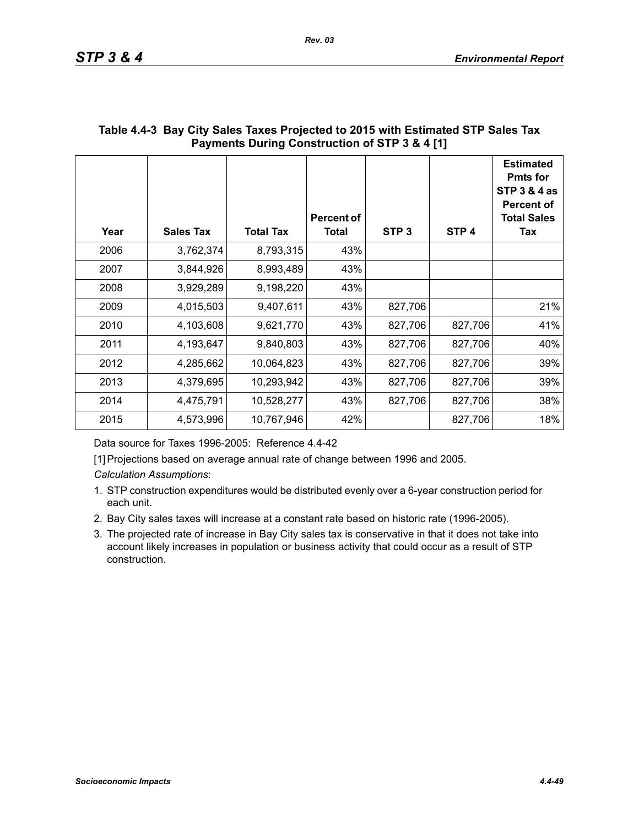| Year | <b>Sales Tax</b> | <b>Total Tax</b> | Percent of<br><b>Total</b> | STP <sub>3</sub> | STP <sub>4</sub> | <b>Estimated</b><br><b>Pmts for</b><br><b>STP 3 &amp; 4 as</b><br><b>Percent of</b><br><b>Total Sales</b><br>Tax |
|------|------------------|------------------|----------------------------|------------------|------------------|------------------------------------------------------------------------------------------------------------------|
| 2006 | 3,762,374        | 8,793,315        | 43%                        |                  |                  |                                                                                                                  |
| 2007 | 3,844,926        | 8,993,489        | 43%                        |                  |                  |                                                                                                                  |
| 2008 | 3,929,289        | 9,198,220        | 43%                        |                  |                  |                                                                                                                  |
| 2009 | 4,015,503        | 9,407,611        | 43%                        | 827,706          |                  | 21%                                                                                                              |
| 2010 | 4,103,608        | 9,621,770        | 43%                        | 827,706          | 827,706          | 41%                                                                                                              |
| 2011 | 4,193,647        | 9,840,803        | 43%                        | 827,706          | 827,706          | 40%                                                                                                              |
| 2012 | 4,285,662        | 10,064,823       | 43%                        | 827,706          | 827,706          | 39%                                                                                                              |
| 2013 | 4,379,695        | 10,293,942       | 43%                        | 827,706          | 827,706          | 39%                                                                                                              |
| 2014 | 4,475,791        | 10,528,277       | 43%                        | 827,706          | 827,706          | 38%                                                                                                              |
| 2015 | 4,573,996        | 10,767,946       | 42%                        |                  | 827,706          | 18%                                                                                                              |

## **Table 4.4-3 Bay City Sales Taxes Projected to 2015 with Estimated STP Sales Tax Payments During Construction of STP 3 & 4 [1]**

Data source for Taxes 1996-2005: Reference 4.4-42

[1] Projections based on average annual rate of change between 1996 and 2005.

*Calculation Assumptions*:

- 1. STP construction expenditures would be distributed evenly over a 6-year construction period for each unit.
- 2. Bay City sales taxes will increase at a constant rate based on historic rate (1996-2005).
- 3. The projected rate of increase in Bay City sales tax is conservative in that it does not take into account likely increases in population or business activity that could occur as a result of STP construction.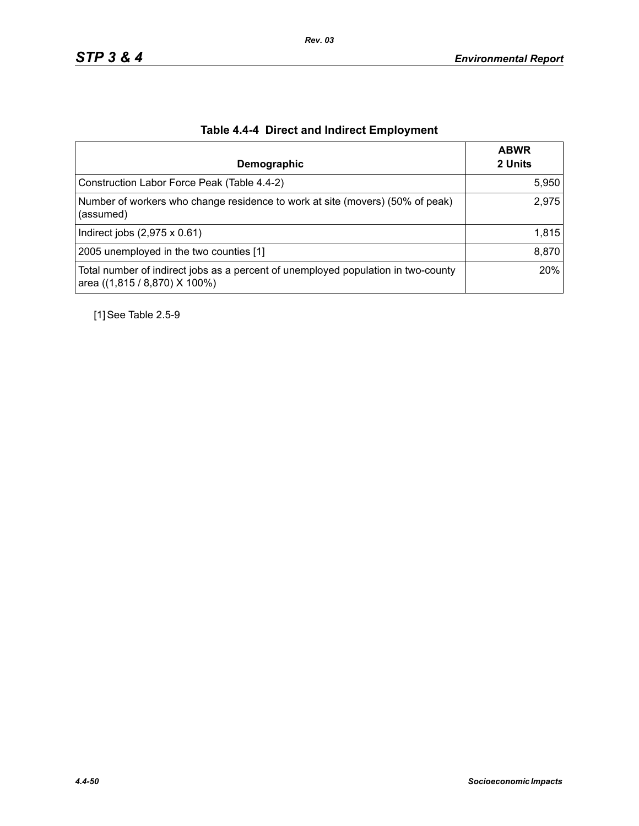| Demographic                                                                                                        | <b>ABWR</b><br>2 Units |
|--------------------------------------------------------------------------------------------------------------------|------------------------|
| Construction Labor Force Peak (Table 4.4-2)                                                                        | 5,950                  |
| Number of workers who change residence to work at site (movers) (50% of peak)<br>(assumed)                         | 2,975                  |
| Indirect jobs $(2,975 \times 0.61)$                                                                                | 1,815                  |
| 2005 unemployed in the two counties [1]                                                                            | 8,870                  |
| Total number of indirect jobs as a percent of unemployed population in two-county<br>area ((1,815 / 8,870) X 100%) | 20%                    |

# **Table 4.4-4 Direct and Indirect Employment**

[1] See Table 2.5-9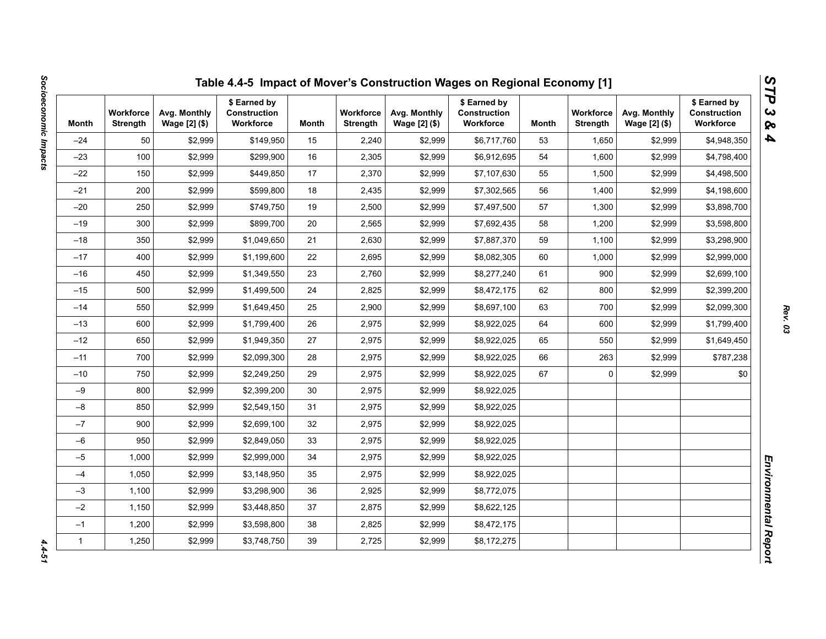| Month        | <b>Workforce</b><br><b>Strength</b> | Avg. Monthly<br>Wage [2] (\$) | \$ Earned by<br>Construction<br>Workforce | Month | <b>Workforce</b><br><b>Strength</b> | Avg. Monthly<br>Wage [2] (\$) | \$ Earned by<br><b>Construction</b><br>Workforce | Month | <b>Workforce</b><br><b>Strength</b> | Avg. Monthly<br>Wage [2] (\$) | \$ Earned by<br>Construction<br>Workforce |
|--------------|-------------------------------------|-------------------------------|-------------------------------------------|-------|-------------------------------------|-------------------------------|--------------------------------------------------|-------|-------------------------------------|-------------------------------|-------------------------------------------|
| $-24$        | 50                                  | \$2,999                       | \$149,950                                 | 15    | 2,240                               | \$2,999                       | \$6,717,760                                      | 53    | 1,650                               | \$2,999                       | \$4,948,350                               |
| $-23$        | 100                                 | \$2,999                       | \$299,900                                 | 16    | 2,305                               | \$2,999                       | \$6,912,695                                      | 54    | 1,600                               | \$2,999                       | \$4,798,400                               |
| $-22$        | 150                                 | \$2,999                       | \$449,850                                 | 17    | 2,370                               | \$2,999                       | \$7,107,630                                      | 55    | 1,500                               | \$2,999                       | \$4,498,500                               |
| $-21$        | 200                                 | \$2,999                       | \$599,800                                 | 18    | 2,435                               | \$2,999                       | \$7,302,565                                      | 56    | 1,400                               | \$2,999                       | \$4,198,600                               |
| $-20$        | 250                                 | \$2,999                       | \$749,750                                 | 19    | 2,500                               | \$2,999                       | \$7,497,500                                      | 57    | 1,300                               | \$2,999                       | \$3,898,700                               |
| $-19$        | 300                                 | \$2,999                       | \$899.700                                 | 20    | 2,565                               | \$2,999                       | \$7,692,435                                      | 58    | 1,200                               | \$2,999                       | \$3,598,800                               |
| $-18$        | 350                                 | \$2,999                       | \$1,049,650                               | 21    | 2,630                               | \$2,999                       | \$7,887,370                                      | 59    | 1,100                               | \$2,999                       | \$3,298,900                               |
| $-17$        | 400                                 | \$2,999                       | \$1,199,600                               | 22    | 2,695                               | \$2,999                       | \$8,082,305                                      | 60    | 1,000                               | \$2,999                       | \$2,999,000                               |
| $-16$        | 450                                 | \$2,999                       | \$1,349,550                               | 23    | 2,760                               | \$2,999                       | \$8,277,240                                      | 61    | 900                                 | \$2,999                       | \$2,699,100                               |
| $-15$        | 500                                 | \$2,999                       | \$1,499,500                               | 24    | 2,825                               | \$2,999                       | \$8,472,175                                      | 62    | 800                                 | \$2,999                       | \$2,399,200                               |
| $-14$        | 550                                 | \$2,999                       | \$1,649,450                               | 25    | 2,900                               | \$2,999                       | \$8,697,100                                      | 63    | 700                                 | \$2,999                       | \$2,099,300                               |
| $-13$        | 600                                 | \$2,999                       | \$1,799,400                               | 26    | 2,975                               | \$2,999                       | \$8,922,025                                      | 64    | 600                                 | \$2,999                       | \$1,799,400                               |
| $-12$        | 650                                 | \$2,999                       | \$1,949,350                               | 27    | 2,975                               | \$2,999                       | \$8,922,025                                      | 65    | 550                                 | \$2,999                       | \$1,649,450                               |
| $-11$        | 700                                 | \$2,999                       | \$2,099,300                               | 28    | 2,975                               | \$2,999                       | \$8,922,025                                      | 66    | 263                                 | \$2,999                       | \$787,238                                 |
| $-10$        | 750                                 | \$2,999                       | \$2,249,250                               | 29    | 2,975                               | \$2,999                       | \$8,922,025                                      | 67    | 0                                   | \$2,999                       | \$0                                       |
| $-9$         | 800                                 | \$2,999                       | \$2,399,200                               | 30    | 2,975                               | \$2,999                       | \$8,922,025                                      |       |                                     |                               |                                           |
| $-8$         | 850                                 | \$2,999                       | \$2,549,150                               | 31    | 2,975                               | \$2,999                       | \$8,922,025                                      |       |                                     |                               |                                           |
| $-7$         | 900                                 | \$2,999                       | \$2,699,100                               | 32    | 2,975                               | \$2,999                       | \$8,922,025                                      |       |                                     |                               |                                           |
| $-6$         | 950                                 | \$2,999                       | \$2,849,050                               | 33    | 2,975                               | \$2,999                       | \$8,922,025                                      |       |                                     |                               |                                           |
| $-5$         | 1,000                               | \$2,999                       | \$2,999,000                               | 34    | 2,975                               | \$2,999                       | \$8,922,025                                      |       |                                     |                               |                                           |
| $-4$         | 1,050                               | \$2,999                       | \$3,148,950                               | 35    | 2,975                               | \$2,999                       | \$8,922,025                                      |       |                                     |                               |                                           |
| $-3$         | 1,100                               | \$2,999                       | \$3,298,900                               | 36    | 2,925                               | \$2,999                       | \$8,772,075                                      |       |                                     |                               |                                           |
| $-2$         | 1,150                               | \$2,999                       | \$3,448,850                               | 37    | 2,875                               | \$2,999                       | \$8,622,125                                      |       |                                     |                               |                                           |
| $-1$         | 1,200                               | \$2,999                       | \$3,598,800                               | 38    | 2,825                               | \$2,999                       | \$8,472,175                                      |       |                                     |                               |                                           |
| $\mathbf{1}$ | 1,250                               | \$2,999                       | \$3,748,750                               | 39    | 2,725                               | \$2,999                       | \$8,172,275                                      |       |                                     |                               |                                           |

 $4.4 - 51$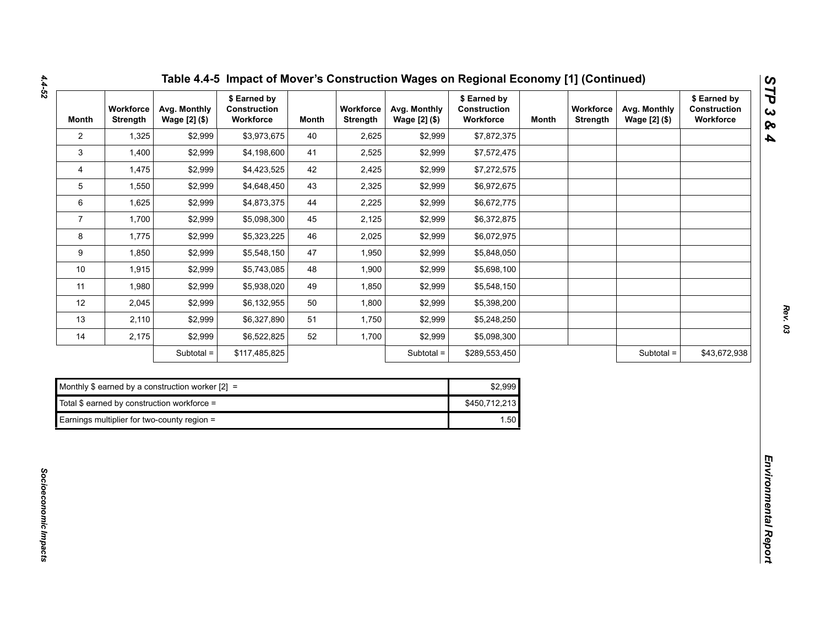| <b>Month</b>   | Workforce<br><b>Strength</b> | Avg. Monthly<br>Wage [2] (\$)                      | \$ Earned by<br>Construction<br>Workforce | <b>Month</b> | Workforce<br><b>Strength</b> | Avg. Monthly<br>Wage [2] (\$) | \$ Earned by<br>Construction<br>Workforce | <b>Month</b> | Workforce<br><b>Strength</b> | Avg. Monthly<br>Wage [2] (\$) | \$ Earned by<br>Construction<br>Workforce |
|----------------|------------------------------|----------------------------------------------------|-------------------------------------------|--------------|------------------------------|-------------------------------|-------------------------------------------|--------------|------------------------------|-------------------------------|-------------------------------------------|
| $\overline{2}$ | 1,325                        | \$2,999                                            | \$3,973,675                               | 40           | 2,625                        | \$2,999                       | \$7,872,375                               |              |                              |                               |                                           |
| 3              | 1,400                        | \$2,999                                            | \$4,198,600                               | 41           | 2,525                        | \$2,999                       | \$7,572,475                               |              |                              |                               |                                           |
| 4              | 1,475                        | \$2,999                                            | \$4,423,525                               | 42           | 2,425                        | \$2,999                       | \$7,272,575                               |              |                              |                               |                                           |
| 5              | 1,550                        | \$2,999                                            | \$4,648,450                               | 43           | 2,325                        | \$2,999                       | \$6,972,675                               |              |                              |                               |                                           |
| 6              | 1,625                        | \$2,999                                            | \$4,873,375                               | 44           | 2,225                        | \$2,999                       | \$6,672,775                               |              |                              |                               |                                           |
| $\overline{7}$ | 1,700                        | \$2,999                                            | \$5,098,300                               | 45           | 2,125                        | \$2,999                       | \$6,372,875                               |              |                              |                               |                                           |
| 8              | 1,775                        | \$2,999                                            | \$5,323,225                               | 46           | 2,025                        | \$2,999                       | \$6,072,975                               |              |                              |                               |                                           |
| 9              | 1,850                        | \$2,999                                            | \$5,548,150                               | 47           | 1,950                        | \$2,999                       | \$5,848,050                               |              |                              |                               |                                           |
| $10$           | 1,915                        | \$2,999                                            | \$5,743,085                               | 48           | 1,900                        | \$2,999                       | \$5,698,100                               |              |                              |                               |                                           |
| 11             | 1,980                        | \$2,999                                            | \$5,938,020                               | 49           | 1,850                        | \$2,999                       | \$5,548,150                               |              |                              |                               |                                           |
| 12             | 2,045                        | \$2,999                                            | \$6,132,955                               | 50           | 1,800                        | \$2,999                       | \$5,398,200                               |              |                              |                               |                                           |
| 13             | 2,110                        | \$2,999                                            | \$6,327,890                               | 51           | 1,750                        | \$2,999                       | \$5,248,250                               |              |                              |                               |                                           |
| 14             | 2,175                        | \$2,999                                            | \$6,522,825                               | 52           | 1,700                        | \$2,999                       | \$5,098,300                               |              |                              |                               |                                           |
|                |                              | Subtotal =                                         | \$117,485,825                             |              |                              | Subtotal =                    | \$289,553,450                             |              |                              | Subtotal =                    | \$43,672,938                              |
|                |                              |                                                    |                                           |              |                              |                               |                                           |              |                              |                               |                                           |
|                |                              | Monthly \$ earned by a construction worker $[2] =$ |                                           |              |                              |                               | \$2,999                                   |              |                              |                               |                                           |
|                |                              | Total \$ earned by construction workforce =        |                                           |              |                              |                               | \$450,712,213                             |              |                              |                               |                                           |
|                |                              | Earnings multiplier for two-county region =        |                                           |              |                              |                               | 1.50                                      |              |                              |                               |                                           |

| Monthly \$ earned by a construction worker $[2] =$ | \$2.999       |
|----------------------------------------------------|---------------|
| Total \$ earned by construction workforce =        | \$450,712,213 |
| Earnings multiplier for two-county region =        | 1.50          |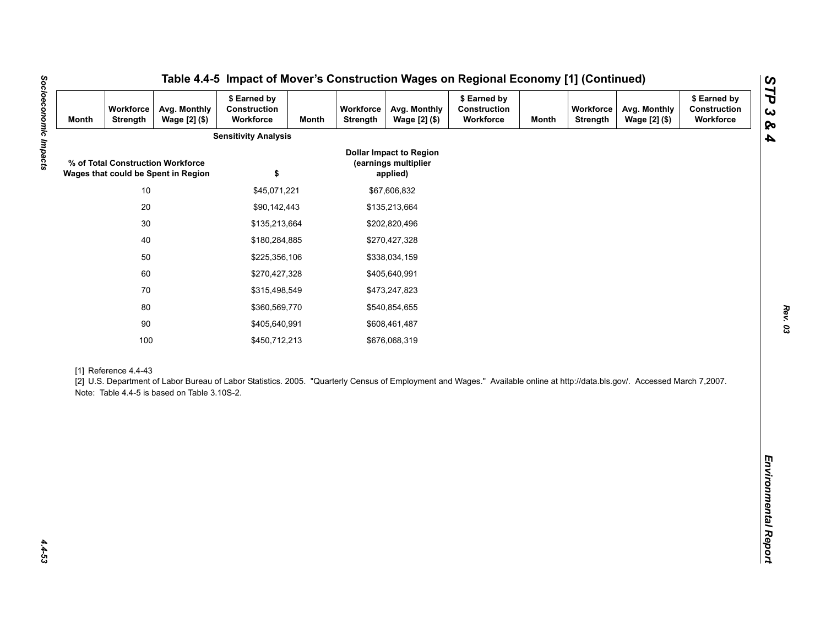| <b>Month</b> | Workforce<br>Strength | Avg. Monthly<br>Wage [2] (\$)                                            | \$ Earned by<br>Construction<br>Workforce                                                                                                                                   | <b>Month</b> | Workforce<br>Strength | Avg. Monthly<br>Wage [2] (\$)                                      | \$ Earned by<br>Construction<br>Workforce | <b>Month</b> | Workforce<br><b>Strength</b> | Avg. Monthly<br>Wage [2] (\$) | \$ Earned by<br>Construction<br>Workforce |
|--------------|-----------------------|--------------------------------------------------------------------------|-----------------------------------------------------------------------------------------------------------------------------------------------------------------------------|--------------|-----------------------|--------------------------------------------------------------------|-------------------------------------------|--------------|------------------------------|-------------------------------|-------------------------------------------|
|              |                       |                                                                          | <b>Sensitivity Analysis</b>                                                                                                                                                 |              |                       |                                                                    |                                           |              |                              |                               |                                           |
|              |                       | % of Total Construction Workforce<br>Wages that could be Spent in Region | \$                                                                                                                                                                          |              |                       | <b>Dollar Impact to Region</b><br>(earnings multiplier<br>applied) |                                           |              |                              |                               |                                           |
|              | $10$                  |                                                                          | \$45,071,221                                                                                                                                                                |              |                       | \$67,606,832                                                       |                                           |              |                              |                               |                                           |
|              | $20\,$                |                                                                          | \$90,142,443                                                                                                                                                                |              |                       | \$135,213,664                                                      |                                           |              |                              |                               |                                           |
|              | $30\,$                |                                                                          | \$135,213,664                                                                                                                                                               |              |                       | \$202,820,496                                                      |                                           |              |                              |                               |                                           |
|              | 40                    |                                                                          | \$180,284,885                                                                                                                                                               |              |                       | \$270,427,328                                                      |                                           |              |                              |                               |                                           |
|              | 50                    |                                                                          | \$225,356,106                                                                                                                                                               |              |                       | \$338,034,159                                                      |                                           |              |                              |                               |                                           |
|              | 60                    |                                                                          | \$270,427,328                                                                                                                                                               |              |                       | \$405,640,991                                                      |                                           |              |                              |                               |                                           |
| 70           |                       | \$315,498,549                                                            |                                                                                                                                                                             |              |                       | \$473,247,823                                                      |                                           |              |                              |                               |                                           |
|              | 80<br>\$360,569,770   |                                                                          |                                                                                                                                                                             |              | \$540,854,655         |                                                                    |                                           |              |                              |                               |                                           |
|              | $90\,$                |                                                                          | \$405,640,991                                                                                                                                                               |              |                       | \$608,461,487                                                      |                                           |              |                              |                               |                                           |
|              | 100                   |                                                                          | \$450,712,213                                                                                                                                                               |              |                       | \$676,068,319                                                      |                                           |              |                              |                               |                                           |
|              | [1] Reference 4.4-43  | Note: Table 4.4-5 is based on Table 3.10S-2.                             | [2] U.S. Department of Labor Bureau of Labor Statistics. 2005. "Quarterly Census of Employment and Wages." Available online at http://data.bls.gov/. Accessed March 7,2007. |              |                       |                                                                    |                                           |              |                              |                               |                                           |
|              |                       |                                                                          |                                                                                                                                                                             |              |                       |                                                                    |                                           |              |                              |                               |                                           |
|              |                       |                                                                          |                                                                                                                                                                             |              |                       |                                                                    |                                           |              |                              |                               |                                           |
|              |                       |                                                                          |                                                                                                                                                                             |              |                       |                                                                    |                                           |              |                              |                               |                                           |
|              |                       |                                                                          |                                                                                                                                                                             |              |                       |                                                                    |                                           |              |                              |                               |                                           |

*Rev. 03*

Socioeconomic Impacts *Socioeconomic Impacts 4.4-53*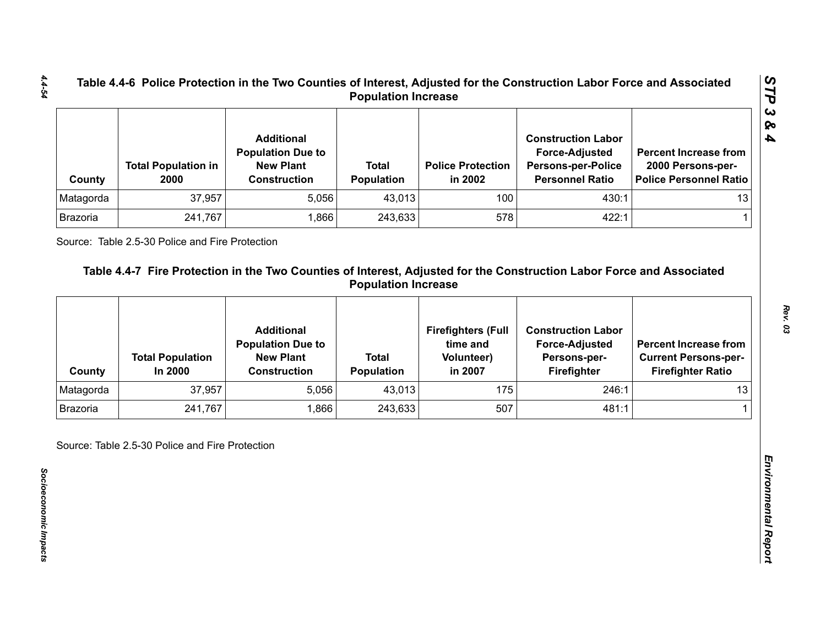| County    | <b>Total Population in</b><br>2000 | <b>Additional</b><br><b>Population Due to</b><br><b>New Plant</b><br><b>Construction</b> | <b>Total</b><br><b>Population</b> | <b>Police Protection</b><br>in 2002 | <b>Construction Labor</b><br><b>Force-Adjusted</b><br><b>Persons-per-Police</b><br><b>Personnel Ratio</b> | <b>Percent Increase from</b><br>2000 Persons-per-<br>Police Personnel Ratio |
|-----------|------------------------------------|------------------------------------------------------------------------------------------|-----------------------------------|-------------------------------------|-----------------------------------------------------------------------------------------------------------|-----------------------------------------------------------------------------|
| Matagorda | 37,957                             | 5,056                                                                                    | 43,013                            | 100                                 | 430:1                                                                                                     | 13                                                                          |
| Brazoria  | 241,767                            | .866                                                                                     | 243,633                           | 578                                 | 422:1                                                                                                     |                                                                             |

| Matagorda       |                                    | <b>Construction</b>                           | Population                        | in 2002                               | <b>Persons-per-Police</b><br><b>Personnel Ratio</b> | 2000 Persons-per-<br><b>Police Personnel Ratio</b>      |
|-----------------|------------------------------------|-----------------------------------------------|-----------------------------------|---------------------------------------|-----------------------------------------------------|---------------------------------------------------------|
|                 | 37,957                             | 5,056                                         | 43,013                            | 100                                   | 430:1                                               | 13                                                      |
| Brazoria        | 241,767                            | 1,866                                         | 243,633                           | 578                                   | 422:1                                               | 1                                                       |
|                 |                                    | <b>Additional</b><br><b>Population Due to</b> |                                   | <b>Firefighters (Full</b><br>time and | <b>Construction Labor</b><br><b>Force-Adjusted</b>  | <b>Percent Increase from</b>                            |
| County          | <b>Total Population</b><br>In 2000 | <b>New Plant</b><br><b>Construction</b>       | <b>Total</b><br><b>Population</b> | <b>Volunteer)</b><br>in 2007          | Persons-per-<br>Firefighter                         | <b>Current Persons-per-</b><br><b>Firefighter Ratio</b> |
| Matagorda       | 37,957                             | 5,056                                         | 43,013                            | 175                                   | 246:1                                               | 13                                                      |
| <b>Brazoria</b> | 241,767                            | 1,866                                         | 243,633                           | 507                                   | 481:1                                               |                                                         |

*STP 3 & 4*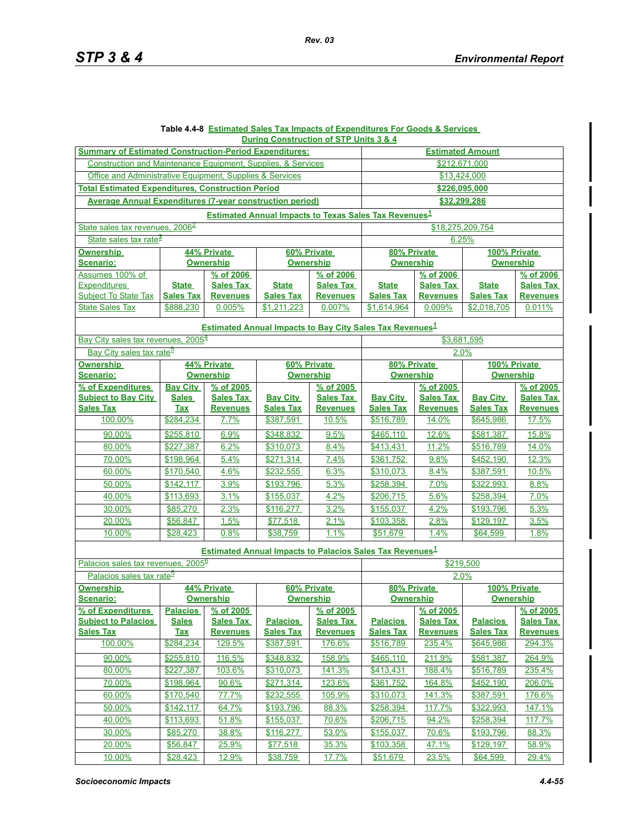#### **Table 4.4-8 Estimated Sales Tax Impacts of Expenditures For Goods & Services During Construction of STP Units 3 & 4**

| <b>Summary of Estimated Construction-Period Expenditures:</b>                                                                              | <b>Estimated Amount</b>         |                    |                                 |                  |                                                                                          |                  |                                  |                  |  |  |
|--------------------------------------------------------------------------------------------------------------------------------------------|---------------------------------|--------------------|---------------------------------|------------------|------------------------------------------------------------------------------------------|------------------|----------------------------------|------------------|--|--|
| Construction and Maintenance Equipment, Supplies, & Services                                                                               |                                 |                    |                                 |                  | \$212.671.000                                                                            |                  |                                  |                  |  |  |
| Office and Administrative Equipment, Supplies & Services                                                                                   |                                 |                    |                                 |                  | \$13,424,000                                                                             |                  |                                  |                  |  |  |
| <b>Total Estimated Expenditures, Construction Period</b>                                                                                   |                                 |                    |                                 |                  | \$226,095,000                                                                            |                  |                                  |                  |  |  |
|                                                                                                                                            | \$32.299.286                    |                    |                                 |                  |                                                                                          |                  |                                  |                  |  |  |
| <b>Average Annual Expenditures (7-vear construction period)</b><br><b>Estimated Annual Impacts to Texas Sales Tax Revenues<sup>1</sup></b> |                                 |                    |                                 |                  |                                                                                          |                  |                                  |                  |  |  |
| State sales tax revenues, 2006 <sup>2</sup>                                                                                                |                                 |                    |                                 |                  |                                                                                          |                  |                                  |                  |  |  |
|                                                                                                                                            |                                 |                    |                                 |                  |                                                                                          | \$18,275,209,754 |                                  |                  |  |  |
| State sales tax rate <sup>3</sup>                                                                                                          |                                 |                    |                                 |                  | 6.25%                                                                                    |                  |                                  |                  |  |  |
| <b>Ownership</b><br>Scenario:                                                                                                              | 44% Private<br><b>Ownership</b> |                    | 60% Private<br><b>Ownership</b> |                  | 80% Private<br><b>Ownership</b>                                                          |                  | 100% Private<br><b>Ownership</b> |                  |  |  |
| Assumes 100% of                                                                                                                            | % of 2006                       |                    | % of 2006                       |                  | % of 2006                                                                                |                  | % of 2006                        |                  |  |  |
| Expenditures                                                                                                                               | <b>State</b>                    | <b>Sales Tax</b>   | <b>State</b>                    | <b>Sales Tax</b> | <b>State</b>                                                                             | <b>Sales Tax</b> | <b>State</b>                     | <b>Sales Tax</b> |  |  |
| <b>Subject To State Tax</b>                                                                                                                | <b>Sales Tax</b>                | <b>Revenues</b>    | <b>Sales Tax</b>                | <b>Revenues</b>  | <b>Sales Tax</b>                                                                         | <b>Revenues</b>  | <b>Sales Tax</b>                 | <b>Revenues</b>  |  |  |
| <b>State Sales Tax</b>                                                                                                                     | \$888,230                       | 0.005%             | \$1,211,223                     | 0.007%           | \$1,614,964                                                                              | 0.009%           | \$2,018,705                      | 0.011%           |  |  |
| <b>Estimated Annual Impacts to Bay City Sales Tax Revenues</b> <sup>1</sup>                                                                |                                 |                    |                                 |                  |                                                                                          |                  |                                  |                  |  |  |
| Bay City sales tax revenues, 2005 <sup>4</sup>                                                                                             |                                 |                    |                                 |                  |                                                                                          | \$3,681,595      |                                  |                  |  |  |
| Bay City sales tax rate <sup>5</sup>                                                                                                       |                                 |                    |                                 |                  | 2.0%                                                                                     |                  |                                  |                  |  |  |
| <b>Ownership</b>                                                                                                                           |                                 | 44% Private        |                                 | 60% Private      | 80% Private                                                                              |                  | 100% Private                     |                  |  |  |
| Scenario:                                                                                                                                  | <b>Ownership</b>                |                    | <b>Ownership</b>                |                  | Ownership                                                                                |                  | <b>Ownership</b>                 |                  |  |  |
| % of Expenditures                                                                                                                          | <b>Bay City</b>                 | % of 2005          |                                 | % of 2005        | % of 2005                                                                                |                  | % of 2005                        |                  |  |  |
| <b>Subject to Bay City</b>                                                                                                                 | <b>Sales</b>                    | <b>Sales Tax</b>   | <b>Bay City</b>                 | <b>Sales Tax</b> | <b>Bay City</b>                                                                          | <b>Sales Tax</b> | <b>Bay City</b>                  | <b>Sales Tax</b> |  |  |
| <b>Sales Tax</b>                                                                                                                           | <b>Tax</b>                      | <b>Revenues</b>    | <b>Sales Tax</b>                | <b>Revenues</b>  | <b>Sales Tax</b>                                                                         | <b>Revenues</b>  | <b>Sales Tax</b>                 | <b>Revenues</b>  |  |  |
| 100.00%                                                                                                                                    | \$284,234                       | 7.7%               | \$387,591                       | 10.5%            | \$516,789                                                                                | 14.0%            | \$645,986                        | 17.5%            |  |  |
| 90.00%                                                                                                                                     | \$255,810                       | 6.9%               | \$348,832                       | 9.5%             | \$465,110                                                                                | 12.6%            | \$581,387                        | 15.8%            |  |  |
| 80.00%                                                                                                                                     | \$227,387                       | 6.2%               | \$310,073                       | 8.4%             | \$413,431                                                                                | 11.2%            | \$516,789                        | 14.0%            |  |  |
| 70.00%                                                                                                                                     | \$198,964                       | 5.4%               | \$271,314                       | 7.4%             | \$361,752                                                                                | 9.8%             | \$452,190                        | 12.3%            |  |  |
| 60.00%                                                                                                                                     | \$170,540                       | 4.6%               | \$232,555                       | 6.3%             | \$310,073                                                                                | 8.4%             | \$387,591                        | 10.5%            |  |  |
| 50.00%                                                                                                                                     | \$142,117                       | 3.9%               | \$193,796                       | 5.3%             | \$258,394                                                                                | 7.0%             | \$322,993                        | 8.8%             |  |  |
| 40.00%                                                                                                                                     | \$113,693                       | 3.1%               | \$155,037                       | 4.2%             | \$206,715                                                                                | 5.6%             | \$258,394                        | 7.0%             |  |  |
| 30.00%                                                                                                                                     | \$85,270                        | 2.3%               | \$116,277                       | 3.2%             | \$155,037                                                                                | 4.2%             | \$193,796                        | 5.3%             |  |  |
| 20.00%                                                                                                                                     | \$56,847                        | 1.5%               | \$77,518                        | 2.1%             | \$103,358                                                                                | 2.8%             | \$129,197                        | 3.5%             |  |  |
| 10.00%                                                                                                                                     | \$28,423                        | 0.8%               | \$38,759                        | 1.1%             | \$51,679                                                                                 | 1.4%             | \$64,599                         | 1.8%             |  |  |
|                                                                                                                                            |                                 |                    |                                 |                  |                                                                                          |                  |                                  |                  |  |  |
| Palacios sales tax revenues, 2005 <sup>6</sup>                                                                                             |                                 |                    |                                 |                  | <b>Estimated Annual Impacts to Palacios Sales Tax Revenues</b> <sup>1</sup><br>\$219,500 |                  |                                  |                  |  |  |
| Palacios sales tax rate <sup>5</sup>                                                                                                       |                                 |                    |                                 |                  | 2.0%                                                                                     |                  |                                  |                  |  |  |
| <b>Ownership</b>                                                                                                                           |                                 | 44% Private        |                                 |                  | 80% Private<br>100% Private                                                              |                  |                                  |                  |  |  |
| Scenario:                                                                                                                                  | <b>Ownership</b>                |                    | 60% Private<br><b>Ownership</b> |                  | <b>Ownership</b>                                                                         |                  | <b>Ownership</b>                 |                  |  |  |
| % of Expenditures                                                                                                                          |                                 | Palacios % of 2005 | % of 2005                       |                  | % of 2005                                                                                |                  | % of 2005                        |                  |  |  |
| <b>Subiect to Palacios</b>                                                                                                                 | <b>Sales</b>                    | <b>Sales Tax</b>   | <b>Palacios</b>                 | <b>Sales Tax</b> | <b>Palacios</b>                                                                          | <b>Sales Tax</b> | <b>Palacios</b>                  | <b>Sales Tax</b> |  |  |
| <b>Sales Tax</b>                                                                                                                           | <b>Tax</b>                      | <b>Revenues</b>    | <b>Sales Tax</b>                | <b>Revenues</b>  | <b>Sales Tax</b>                                                                         | <b>Revenues</b>  | <b>Sales Tax</b>                 | <b>Revenues</b>  |  |  |
| 100.00%                                                                                                                                    | \$284,234                       | 129.5%             | \$387,591                       | 176.6%           | \$516,789                                                                                | 235.4%           | \$645,986                        | 294.3%           |  |  |
| 90.00%                                                                                                                                     | \$255,810                       | 116.5%             | \$348,832                       | 158.9%           | \$465,110                                                                                | 211.9%           | \$581,387                        | 264.9%           |  |  |
| 80.00%                                                                                                                                     | \$227,387                       | 103.6%             | \$310,073                       | 141.3%           | \$413,431                                                                                | 188.4%           | \$516,789                        | 235.4%           |  |  |
| 70.00%                                                                                                                                     | \$198,964                       | 90.6%              | \$271,314                       | 123.6%           | \$361,752                                                                                | 164.8%           | \$452,190                        | 206.0%           |  |  |
| 60.00%                                                                                                                                     | \$170,540                       | 77.7%              | \$232,555                       | 105.9%           | \$310,073                                                                                | 141.3%           | \$387,591                        | 176.6%           |  |  |
| 50.00%                                                                                                                                     | \$142,117                       | 64.7%              | \$193,796                       | 88.3%            | \$258,394                                                                                | 117.7%           | \$322,993                        | 147.1%           |  |  |
| 40.00%                                                                                                                                     | \$113,693                       | 51.8%              | \$155,037                       | 70.6%            | \$206,715                                                                                | 94.2%            | \$258,394                        | 117.7%           |  |  |
| 30.00%                                                                                                                                     | \$85,270                        | 38.8%              | \$116,277                       | 53.0%            | \$155,037                                                                                | 70.6%            | \$193,796                        | 88.3%            |  |  |
| 20.00%                                                                                                                                     | \$56,847                        | 25.9%              | \$77,518                        | 35.3%            | \$103,358                                                                                | 47.1%            | \$129,197                        | 58.9%            |  |  |
| 10.00%                                                                                                                                     | \$28,423                        | 12.9%              | \$38,759                        | 17.7%            | \$51,679                                                                                 | 23.5%            | \$64,599                         | 29.4%            |  |  |